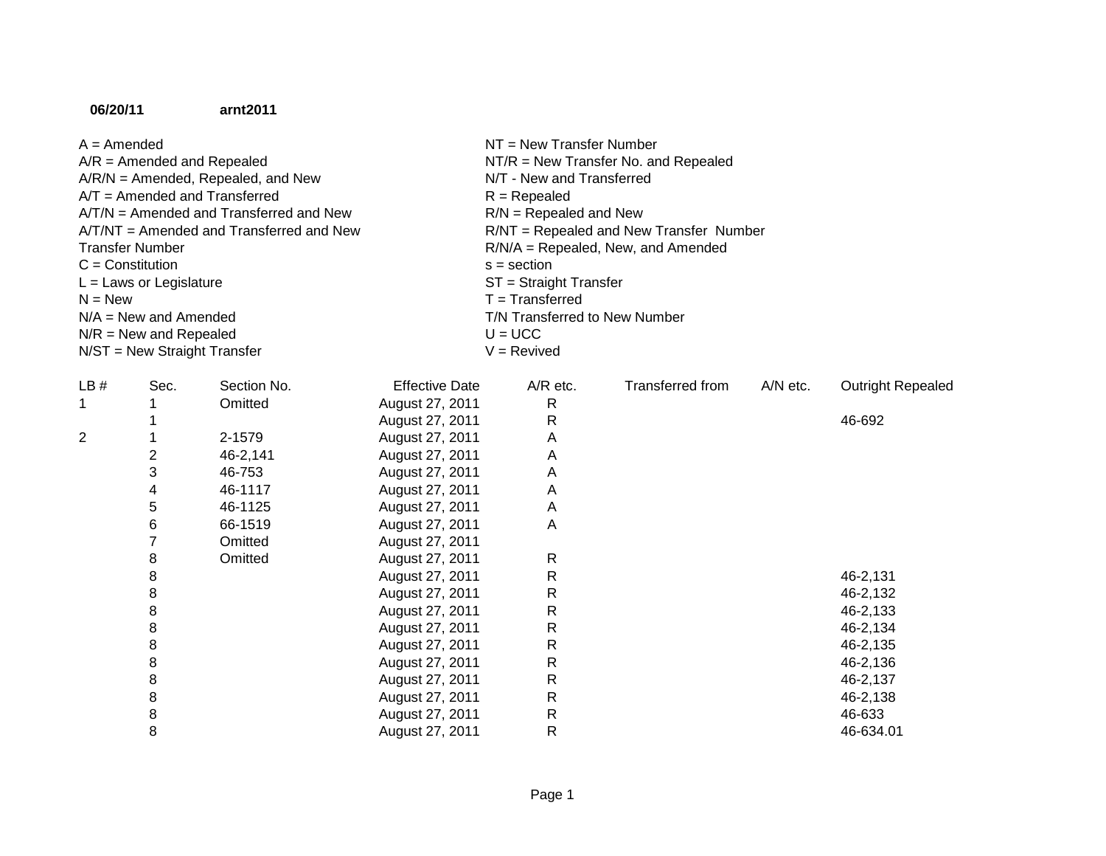## **06/20/11arnt2011**

| $A =$ Amended                              | $NT = New Transfer Number$              |
|--------------------------------------------|-----------------------------------------|
| $A/R =$ Amended and Repealed               | $NT/R = New Transfer No.$ and Repealed  |
| $A/R/N =$ Amended, Repealed, and New       | N/T - New and Transferred               |
| $AYT =$ Amended and Transferred            | $R = Rep ealed$                         |
| $AYTN =$ Amended and Transferred and New   | $R/N$ = Repealed and New                |
| $AYT/NT =$ Amended and Transferred and New | R/NT = Repealed and New Transfer Number |
| Transfer Number                            | $R/N/A$ = Repealed, New, and Amended    |
| $C =$ Constitution                         | $s =$ section                           |
| $L =$ Laws or Legislature                  | $ST =$ Straight Transfer                |
| $N = New$                                  | $T =$ Transferred                       |
| $N/A =$ New and Amended                    | T/N Transferred to New Number           |
| $N/R$ = New and Repealed                   | $U = UCC$                               |
| $N/ST = New Straight Transfer$             | $V =$ Revived                           |
|                                            |                                         |

| LB# | Sec. | Section No. | <b>Effective Date</b> | $A/R$ etc.   | Transferred from | A/N etc. | <b>Outright Repealed</b> |
|-----|------|-------------|-----------------------|--------------|------------------|----------|--------------------------|
|     |      | Omitted     | August 27, 2011       | $\mathsf{R}$ |                  |          |                          |
|     |      |             | August 27, 2011       | R            |                  |          | 46-692                   |
| 2   |      | 2-1579      | August 27, 2011       | A            |                  |          |                          |
|     | 2    | 46-2,141    | August 27, 2011       | Α            |                  |          |                          |
|     | 3    | 46-753      | August 27, 2011       | A            |                  |          |                          |
|     | 4    | 46-1117     | August 27, 2011       | А            |                  |          |                          |
|     | 5    | 46-1125     | August 27, 2011       | A            |                  |          |                          |
|     | 6    | 66-1519     | August 27, 2011       | А            |                  |          |                          |
|     |      | Omitted     | August 27, 2011       |              |                  |          |                          |
|     | 8    | Omitted     | August 27, 2011       | $\mathsf{R}$ |                  |          |                          |
|     | 8    |             | August 27, 2011       | R            |                  |          | 46-2,131                 |
|     | 8    |             | August 27, 2011       | R            |                  |          | 46-2,132                 |
|     | 8    |             | August 27, 2011       | R            |                  |          | 46-2,133                 |
|     | 8    |             | August 27, 2011       | R            |                  |          | 46-2,134                 |
|     | 8    |             | August 27, 2011       | R            |                  |          | 46-2,135                 |
|     | 8    |             | August 27, 2011       | R            |                  |          | 46-2,136                 |
|     | 8    |             | August 27, 2011       | $\mathsf{R}$ |                  |          | 46-2,137                 |
|     | 8    |             | August 27, 2011       | R            |                  |          | 46-2,138                 |
|     | 8    |             | August 27, 2011       | R            |                  |          | 46-633                   |
|     | 8    |             | August 27, 2011       | R            |                  |          | 46-634.01                |
|     |      |             |                       |              |                  |          |                          |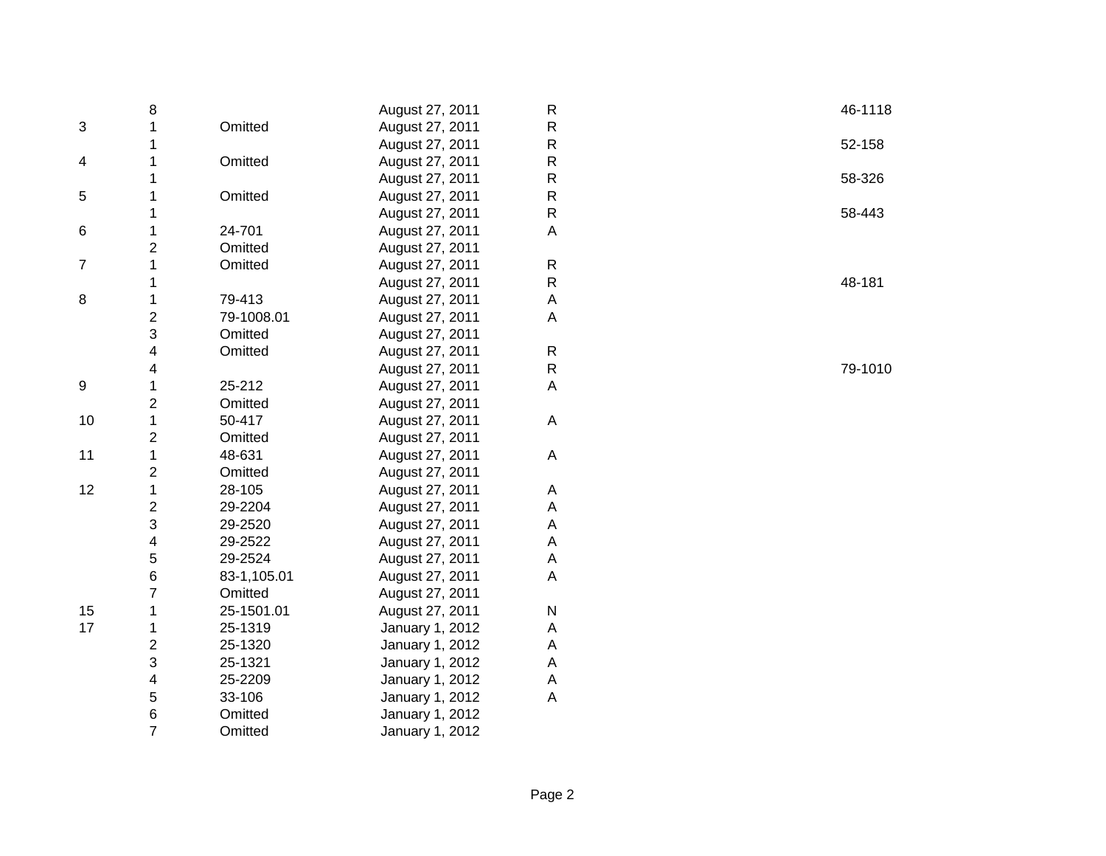|                | 8                       |             | August 27, 2011 | $\mathsf{R}$              | 46-1118 |
|----------------|-------------------------|-------------|-----------------|---------------------------|---------|
| 3              | 1                       | Omitted     | August 27, 2011 | ${\sf R}$                 |         |
|                | 1                       |             | August 27, 2011 | ${\sf R}$                 | 52-158  |
| 4              | 1                       | Omitted     | August 27, 2011 | ${\sf R}$                 |         |
|                | 1                       |             | August 27, 2011 | ${\sf R}$                 | 58-326  |
| 5              | 1                       | Omitted     | August 27, 2011 | $\mathsf{R}$              |         |
|                | 1                       |             | August 27, 2011 | ${\sf R}$                 | 58-443  |
| 6              | 1                       | 24-701      | August 27, 2011 | A                         |         |
|                | $\overline{\mathbf{c}}$ | Omitted     | August 27, 2011 |                           |         |
| $\overline{7}$ | 1                       | Omitted     | August 27, 2011 | $\mathsf{R}$              |         |
|                | 1                       |             | August 27, 2011 | ${\sf R}$                 | 48-181  |
| 8              | 1                       | 79-413      | August 27, 2011 | $\boldsymbol{\mathsf{A}}$ |         |
|                | $\overline{\mathbf{c}}$ | 79-1008.01  | August 27, 2011 | A                         |         |
|                | 3                       | Omitted     | August 27, 2011 |                           |         |
|                | 4                       | Omitted     | August 27, 2011 | ${\sf R}$                 |         |
|                | 4                       |             | August 27, 2011 | ${\sf R}$                 | 79-1010 |
| 9              | 1                       | 25-212      | August 27, 2011 | $\mathsf A$               |         |
|                | $\overline{\mathbf{c}}$ | Omitted     | August 27, 2011 |                           |         |
| 10             | $\mathbf 1$             | 50-417      | August 27, 2011 | $\mathsf A$               |         |
|                | 2                       | Omitted     | August 27, 2011 |                           |         |
| 11             | 1                       | 48-631      | August 27, 2011 | A                         |         |
|                | 2                       | Omitted     | August 27, 2011 |                           |         |
| 12             | $\mathbf{1}$            | 28-105      | August 27, 2011 | A                         |         |
|                | $\overline{\mathbf{c}}$ | 29-2204     | August 27, 2011 | A                         |         |
|                | 3                       | 29-2520     | August 27, 2011 | A                         |         |
|                | 4                       | 29-2522     | August 27, 2011 | $\boldsymbol{\mathsf{A}}$ |         |
|                | 5                       | 29-2524     | August 27, 2011 | $\boldsymbol{\mathsf{A}}$ |         |
|                | 6                       | 83-1,105.01 | August 27, 2011 | $\mathsf A$               |         |
|                | $\overline{7}$          | Omitted     | August 27, 2011 |                           |         |
| 15             | 1                       | 25-1501.01  | August 27, 2011 | N                         |         |
| 17             | 1                       | 25-1319     | January 1, 2012 | $\boldsymbol{\mathsf{A}}$ |         |
|                | 2                       | 25-1320     | January 1, 2012 | $\boldsymbol{\mathsf{A}}$ |         |
|                | 3                       | 25-1321     | January 1, 2012 | $\boldsymbol{\mathsf{A}}$ |         |
|                | 4                       | 25-2209     | January 1, 2012 | A                         |         |
|                | 5                       | 33-106      | January 1, 2012 | A                         |         |
|                | 6                       | Omitted     | January 1, 2012 |                           |         |
|                | $\overline{7}$          | Omitted     | January 1, 2012 |                           |         |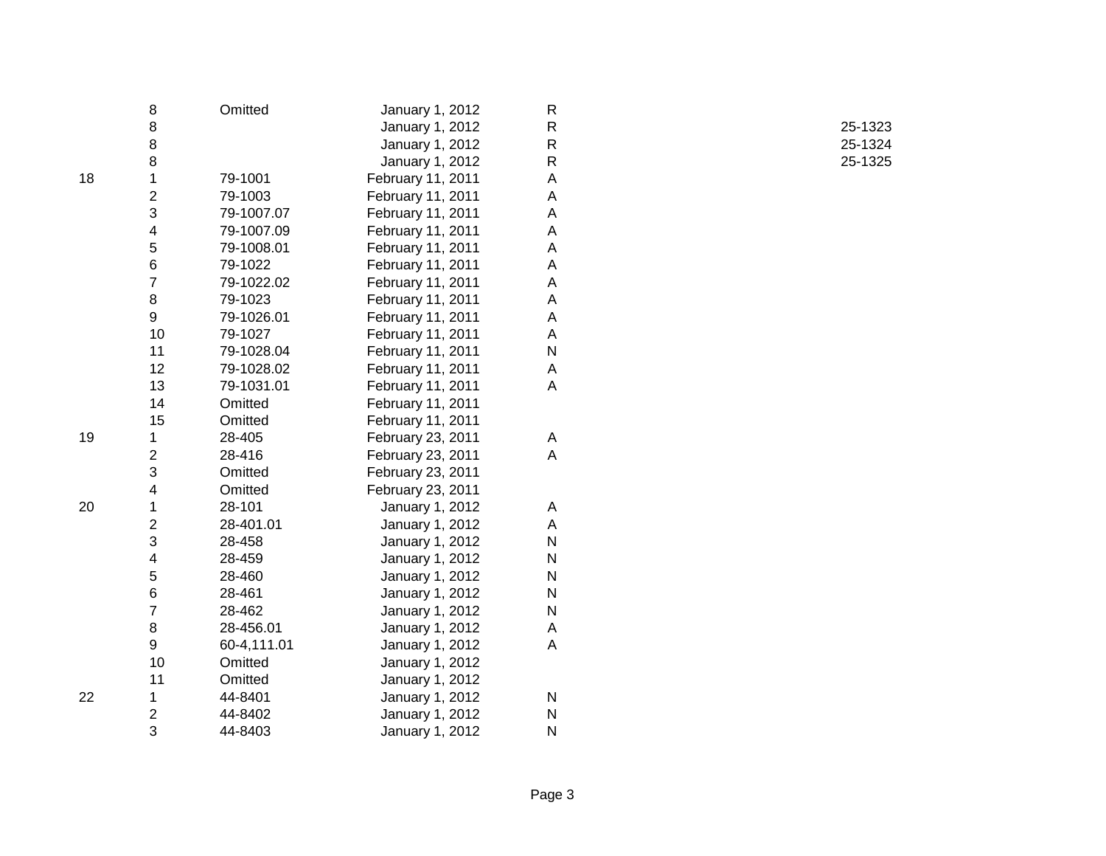|    | 8                       | Omitted     | January 1, 2012   | R            |         |
|----|-------------------------|-------------|-------------------|--------------|---------|
|    | 8                       |             | January 1, 2012   | ${\sf R}$    | 25-1323 |
|    | 8                       |             | January 1, 2012   | ${\sf R}$    | 25-1324 |
|    | 8                       |             | January 1, 2012   | $\mathsf R$  | 25-1325 |
| 18 | 1                       | 79-1001     | February 11, 2011 | А            |         |
|    | $\overline{c}$          | 79-1003     | February 11, 2011 | A            |         |
|    | 3                       | 79-1007.07  | February 11, 2011 | A            |         |
|    | 4                       | 79-1007.09  | February 11, 2011 | А            |         |
|    | 5                       | 79-1008.01  | February 11, 2011 | Α            |         |
|    | 6                       | 79-1022     | February 11, 2011 | А            |         |
|    | $\overline{7}$          | 79-1022.02  | February 11, 2011 | Α            |         |
|    | 8                       | 79-1023     | February 11, 2011 | А            |         |
|    | 9                       | 79-1026.01  | February 11, 2011 | A            |         |
|    | 10                      | 79-1027     | February 11, 2011 | А            |         |
|    | 11                      | 79-1028.04  | February 11, 2011 | ${\sf N}$    |         |
|    | 12                      | 79-1028.02  | February 11, 2011 | A            |         |
|    | 13                      | 79-1031.01  | February 11, 2011 | A            |         |
|    | 14                      | Omitted     | February 11, 2011 |              |         |
|    | 15                      | Omitted     | February 11, 2011 |              |         |
| 19 | 1                       | 28-405      | February 23, 2011 | A            |         |
|    | 2                       | 28-416      | February 23, 2011 | A            |         |
|    | 3                       | Omitted     | February 23, 2011 |              |         |
|    | 4                       | Omitted     | February 23, 2011 |              |         |
| 20 | 1                       | 28-101      | January 1, 2012   | Α            |         |
|    | 2                       | 28-401.01   | January 1, 2012   | A            |         |
|    | 3                       | 28-458      | January 1, 2012   | $\mathsf{N}$ |         |
|    | 4                       | 28-459      | January 1, 2012   | ${\sf N}$    |         |
|    | 5                       | 28-460      | January 1, 2012   | $\mathsf{N}$ |         |
|    | 6                       | 28-461      | January 1, 2012   | ${\sf N}$    |         |
|    | 7                       | 28-462      | January 1, 2012   | $\mathsf{N}$ |         |
|    | 8                       | 28-456.01   | January 1, 2012   | Α            |         |
|    | 9                       | 60-4,111.01 | January 1, 2012   | A            |         |
|    | 10                      | Omitted     | January 1, 2012   |              |         |
|    | 11                      | Omitted     | January 1, 2012   |              |         |
| 22 | 1                       | 44-8401     | January 1, 2012   | ${\sf N}$    |         |
|    | $\overline{\mathbf{c}}$ | 44-8402     | January 1, 2012   | ${\sf N}$    |         |
|    | 3                       | 44-8403     | January 1, 2012   | N            |         |
|    |                         |             |                   |              |         |

 25-1323 25-1324<br>25-1325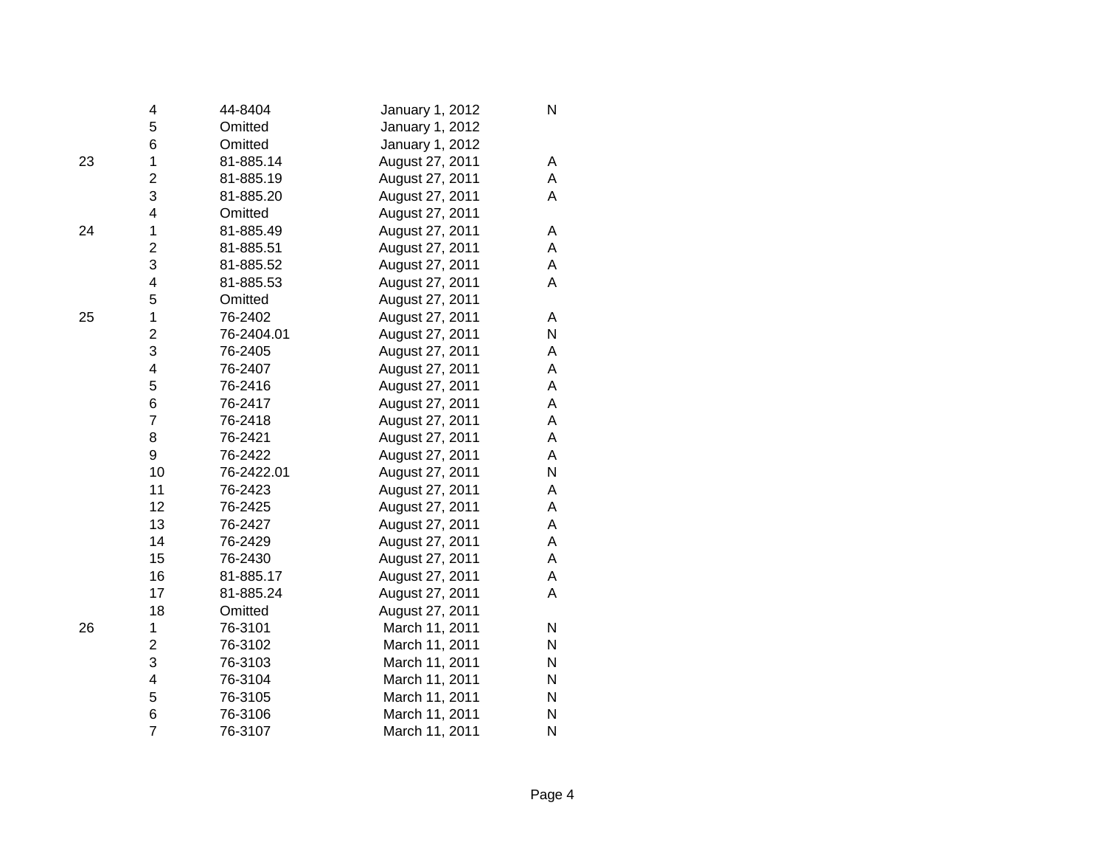|    | 4                       | 44-8404    | January 1, 2012 | N |
|----|-------------------------|------------|-----------------|---|
|    | 5                       | Omitted    | January 1, 2012 |   |
|    | 6                       | Omitted    | January 1, 2012 |   |
| 23 | $\mathbf 1$             | 81-885.14  | August 27, 2011 | A |
|    | $\overline{2}$          | 81-885.19  | August 27, 2011 | A |
|    | 3                       | 81-885.20  | August 27, 2011 | Α |
|    | 4                       | Omitted    | August 27, 2011 |   |
| 24 | $\overline{1}$          | 81-885.49  | August 27, 2011 | A |
|    | $\overline{\mathbf{c}}$ | 81-885.51  | August 27, 2011 | A |
|    | 3                       | 81-885.52  | August 27, 2011 | A |
|    | 4                       | 81-885.53  | August 27, 2011 | A |
|    | 5                       | Omitted    | August 27, 2011 |   |
| 25 | $\mathbf 1$             | 76-2402    | August 27, 2011 | A |
|    | $\overline{2}$          | 76-2404.01 | August 27, 2011 | N |
|    | 3                       | 76-2405    | August 27, 2011 | Α |
|    | 4                       | 76-2407    | August 27, 2011 | Α |
|    | 5                       | 76-2416    | August 27, 2011 | Α |
|    | 6                       | 76-2417    | August 27, 2011 | A |
|    | $\overline{7}$          | 76-2418    | August 27, 2011 | A |
|    | 8                       | 76-2421    | August 27, 2011 | A |
|    | 9                       | 76-2422    | August 27, 2011 | A |
|    | 10                      | 76-2422.01 | August 27, 2011 | N |
|    | 11                      | 76-2423    | August 27, 2011 | Α |
|    | 12                      | 76-2425    | August 27, 2011 | A |
|    | 13                      | 76-2427    | August 27, 2011 | A |
|    | 14                      | 76-2429    | August 27, 2011 | A |
|    | 15                      | 76-2430    | August 27, 2011 | A |
|    | 16                      | 81-885.17  | August 27, 2011 | A |
|    | 17                      | 81-885.24  | August 27, 2011 | A |
|    | 18                      | Omitted    | August 27, 2011 |   |
| 26 | 1                       | 76-3101    | March 11, 2011  | N |
|    | $\overline{2}$          | 76-3102    | March 11, 2011  | N |
|    | 3                       | 76-3103    | March 11, 2011  | N |
|    | $\overline{\mathbf{4}}$ | 76-3104    | March 11, 2011  | N |
|    | 5                       | 76-3105    | March 11, 2011  | N |
|    | 6                       | 76-3106    | March 11, 2011  | N |
|    | $\overline{7}$          | 76-3107    | March 11, 2011  | N |
|    |                         |            |                 |   |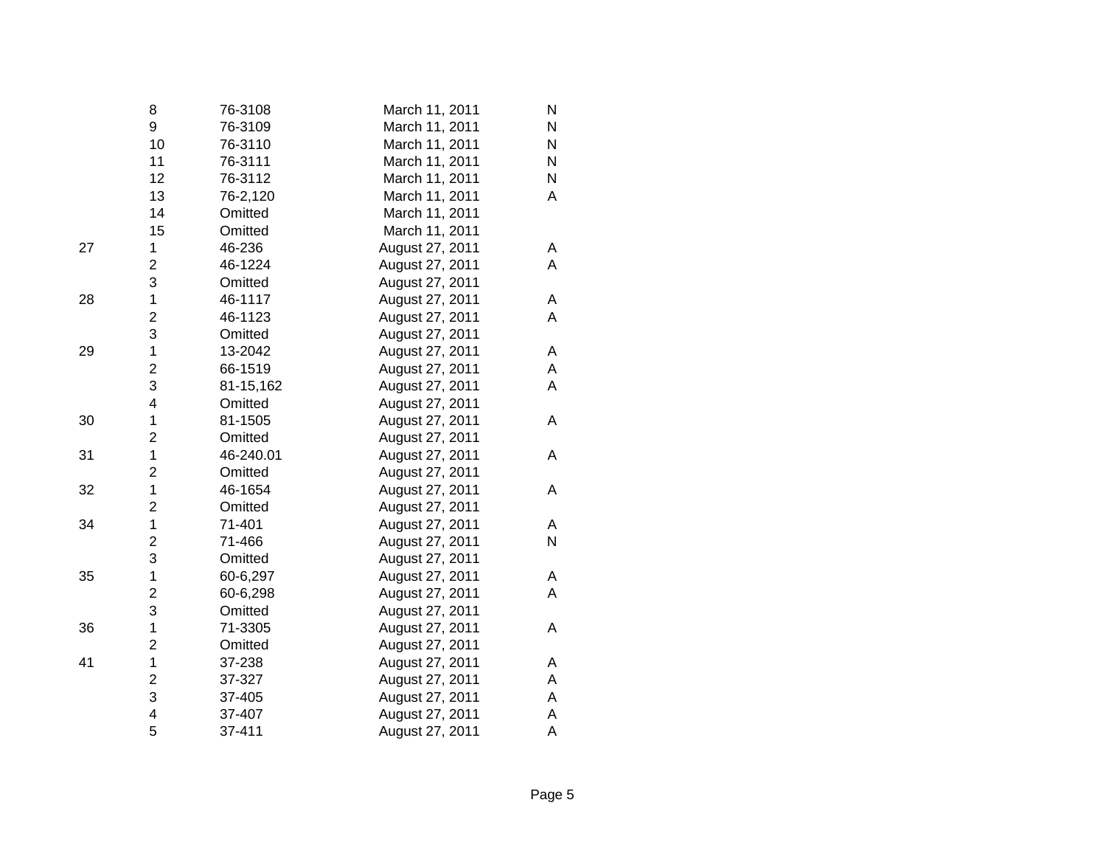|    | 8                       | 76-3108   | March 11, 2011  | N         |
|----|-------------------------|-----------|-----------------|-----------|
|    | 9                       | 76-3109   | March 11, 2011  | N         |
|    | 10                      | 76-3110   | March 11, 2011  | ${\sf N}$ |
|    | 11                      | 76-3111   | March 11, 2011  | N         |
|    | 12                      | 76-3112   | March 11, 2011  | N         |
|    | 13                      | 76-2,120  | March 11, 2011  | Α         |
|    | 14                      | Omitted   | March 11, 2011  |           |
|    | 15                      | Omitted   | March 11, 2011  |           |
| 27 | 1                       | 46-236    | August 27, 2011 | Α         |
|    | $\overline{c}$          | 46-1224   | August 27, 2011 | A         |
|    | 3                       | Omitted   | August 27, 2011 |           |
| 28 | $\mathbf{1}$            | 46-1117   | August 27, 2011 | A         |
|    | $\overline{c}$          | 46-1123   | August 27, 2011 | Α         |
|    | 3                       | Omitted   | August 27, 2011 |           |
| 29 | $\overline{1}$          | 13-2042   | August 27, 2011 | A         |
|    | $\overline{\mathbf{c}}$ | 66-1519   | August 27, 2011 | Α         |
|    | 3                       | 81-15,162 | August 27, 2011 | A         |
|    | $\overline{\mathbf{4}}$ | Omitted   | August 27, 2011 |           |
| 30 | $\mathbf 1$             | 81-1505   | August 27, 2011 | Α         |
|    | $\overline{c}$          | Omitted   | August 27, 2011 |           |
| 31 | $\mathbf 1$             | 46-240.01 | August 27, 2011 | Α         |
|    | $\overline{c}$          | Omitted   | August 27, 2011 |           |
| 32 | $\mathbf 1$             | 46-1654   | August 27, 2011 | Α         |
|    | $\overline{\mathbf{c}}$ | Omitted   | August 27, 2011 |           |
| 34 | $\mathbf 1$             | 71-401    | August 27, 2011 | Α         |
|    | $\overline{\mathbf{c}}$ | 71-466    | August 27, 2011 | N         |
|    | 3                       | Omitted   | August 27, 2011 |           |
| 35 | $\mathbf 1$             | 60-6,297  | August 27, 2011 | A         |
|    | $\overline{\mathbf{c}}$ | 60-6,298  | August 27, 2011 | A         |
|    | 3                       | Omitted   | August 27, 2011 |           |
| 36 | $\mathbf 1$             | 71-3305   | August 27, 2011 | Α         |
|    | $\overline{\mathbf{c}}$ | Omitted   | August 27, 2011 |           |
| 41 | $\mathbf 1$             | 37-238    | August 27, 2011 | Α         |
|    | $\overline{\mathbf{c}}$ | 37-327    | August 27, 2011 | A         |
|    | 3                       | 37-405    | August 27, 2011 | А         |
|    | 4                       | 37-407    | August 27, 2011 | Α         |
|    | 5                       | 37-411    | August 27, 2011 | A         |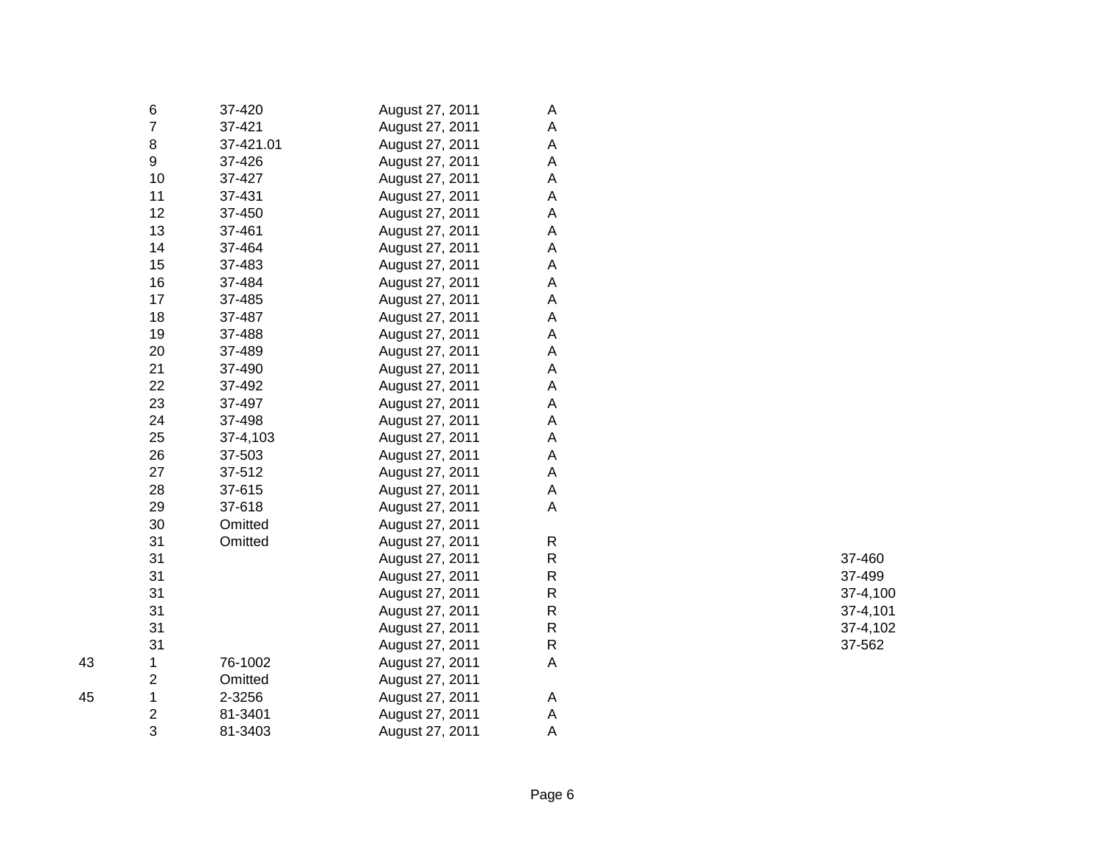|    | 6                       | 37-420    | August 27, 2011 | A                         |             |
|----|-------------------------|-----------|-----------------|---------------------------|-------------|
|    | $\overline{7}$          | 37-421    | August 27, 2011 | A                         |             |
|    | 8                       | 37-421.01 | August 27, 2011 | A                         |             |
|    | 9                       | 37-426    | August 27, 2011 | A                         |             |
|    | 10                      | 37-427    | August 27, 2011 | A                         |             |
|    | 11                      | 37-431    | August 27, 2011 | A                         |             |
|    | 12                      | 37-450    | August 27, 2011 | A                         |             |
|    | 13                      | 37-461    | August 27, 2011 | A                         |             |
|    | 14                      | 37-464    | August 27, 2011 | $\mathsf A$               |             |
|    | 15                      | 37-483    | August 27, 2011 | $\mathsf A$               |             |
|    | 16                      | 37-484    | August 27, 2011 | $\mathsf A$               |             |
|    | 17                      | 37-485    | August 27, 2011 | $\mathsf A$               |             |
|    | 18                      | 37-487    | August 27, 2011 | $\mathsf A$               |             |
|    | 19                      | 37-488    | August 27, 2011 | $\mathsf A$               |             |
|    | 20                      | 37-489    | August 27, 2011 | $\mathsf A$               |             |
|    | 21                      | 37-490    | August 27, 2011 | A                         |             |
|    | 22                      | 37-492    | August 27, 2011 | $\boldsymbol{\mathsf{A}}$ |             |
|    | 23                      | 37-497    | August 27, 2011 | A                         |             |
|    | 24                      | 37-498    | August 27, 2011 | A                         |             |
|    | 25                      | 37-4,103  | August 27, 2011 | A                         |             |
|    | 26                      | 37-503    | August 27, 2011 | A                         |             |
|    | 27                      | 37-512    | August 27, 2011 | Α                         |             |
|    | 28                      | 37-615    | August 27, 2011 | A                         |             |
|    | 29                      | 37-618    | August 27, 2011 | A                         |             |
|    | 30                      | Omitted   | August 27, 2011 |                           |             |
|    | 31                      | Omitted   | August 27, 2011 | $\mathsf{R}$              |             |
|    | 31                      |           | August 27, 2011 | ${\sf R}$                 | 37-460      |
|    | 31                      |           | August 27, 2011 | ${\sf R}$                 | 37-499      |
|    | 31                      |           | August 27, 2011 | ${\sf R}$                 | $37 - 4,10$ |
|    | 31                      |           | August 27, 2011 | ${\sf R}$                 | $37 - 4,10$ |
|    | 31                      |           | August 27, 2011 | ${\sf R}$                 | $37 - 4,10$ |
|    | 31                      |           | August 27, 2011 | ${\sf R}$                 | 37-562      |
| 43 | 1                       | 76-1002   | August 27, 2011 | $\mathsf A$               |             |
|    | $\overline{\mathbf{c}}$ | Omitted   | August 27, 2011 |                           |             |
| 45 | $\mathbf 1$             | 2-3256    | August 27, 2011 | A                         |             |
|    | $\overline{\mathbf{c}}$ | 81-3401   | August 27, 2011 | A                         |             |
|    | 3                       | 81-3403   | August 27, 2011 | Α                         |             |
|    |                         |           |                 |                           |             |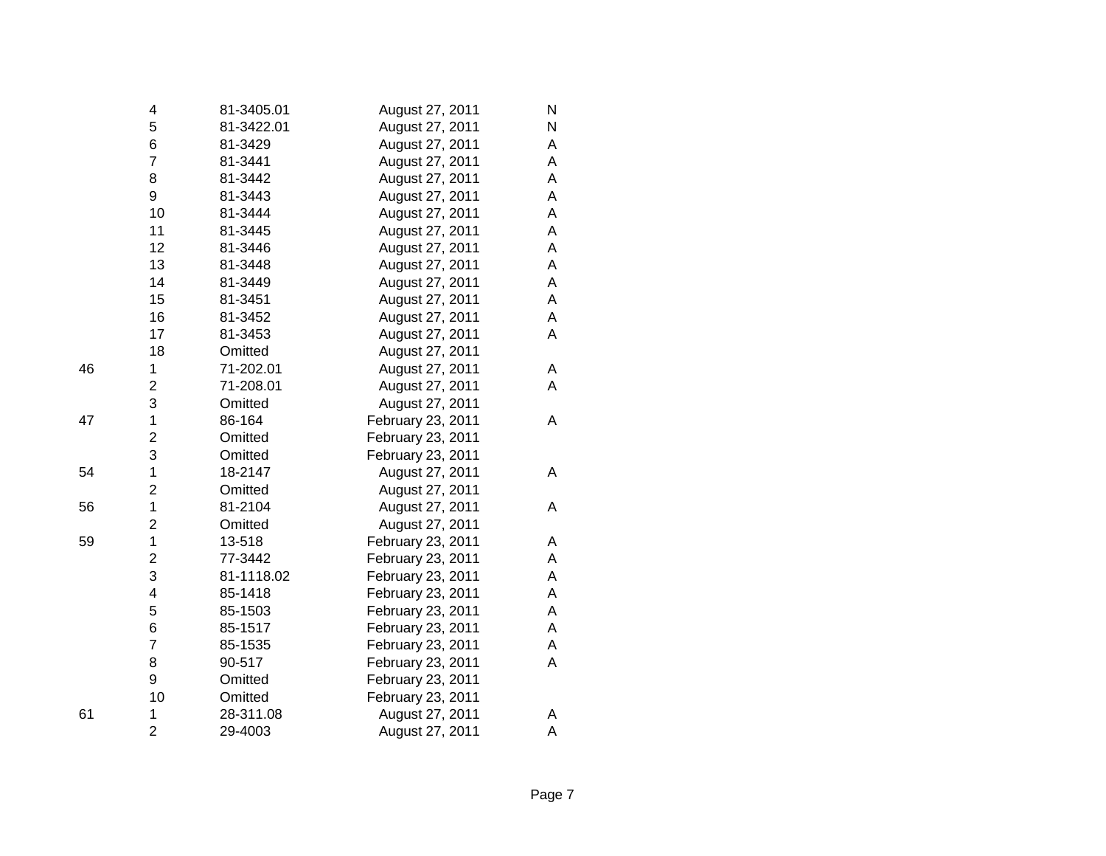|    | 4                       | 81-3405.01 | August 27, 2011   | N |
|----|-------------------------|------------|-------------------|---|
|    | 5                       | 81-3422.01 | August 27, 2011   | N |
|    | 6                       | 81-3429    | August 27, 2011   | A |
|    | $\overline{7}$          | 81-3441    | August 27, 2011   | A |
|    | 8                       | 81-3442    | August 27, 2011   | A |
|    | 9                       | 81-3443    | August 27, 2011   | A |
|    | 10                      | 81-3444    | August 27, 2011   | A |
|    | 11                      | 81-3445    | August 27, 2011   | A |
|    | 12                      | 81-3446    | August 27, 2011   | Α |
|    | 13                      | 81-3448    | August 27, 2011   | A |
|    | 14                      | 81-3449    | August 27, 2011   | A |
|    | 15                      | 81-3451    | August 27, 2011   | Α |
|    | 16                      | 81-3452    | August 27, 2011   | A |
|    | 17                      | 81-3453    | August 27, 2011   | A |
|    | 18                      | Omitted    | August 27, 2011   |   |
| 46 | 1                       | 71-202.01  | August 27, 2011   | A |
|    | $\overline{c}$          | 71-208.01  | August 27, 2011   | Α |
|    | 3                       | Omitted    | August 27, 2011   |   |
| 47 | $\mathbf 1$             | 86-164     | February 23, 2011 | Α |
|    | $\overline{\mathbf{c}}$ | Omitted    | February 23, 2011 |   |
|    | 3                       | Omitted    | February 23, 2011 |   |
| 54 | $\mathbf 1$             | 18-2147    | August 27, 2011   | A |
|    | $\overline{c}$          | Omitted    | August 27, 2011   |   |
| 56 | $\mathbf 1$             | 81-2104    | August 27, 2011   | Α |
|    | 2                       | Omitted    | August 27, 2011   |   |
| 59 | $\mathbf 1$             | 13-518     | February 23, 2011 | A |
|    | $\overline{c}$          | 77-3442    | February 23, 2011 | A |
|    | 3                       | 81-1118.02 | February 23, 2011 | A |
|    | 4                       | 85-1418    | February 23, 2011 | A |
|    | 5                       | 85-1503    | February 23, 2011 | A |
|    | 6                       | 85-1517    | February 23, 2011 | A |
|    | $\overline{7}$          | 85-1535    | February 23, 2011 | A |
|    | 8                       | 90-517     | February 23, 2011 | A |
|    | 9                       | Omitted    | February 23, 2011 |   |
|    | 10                      | Omitted    | February 23, 2011 |   |
| 61 | 1                       | 28-311.08  | August 27, 2011   | Α |
|    | $\overline{2}$          | 29-4003    | August 27, 2011   | A |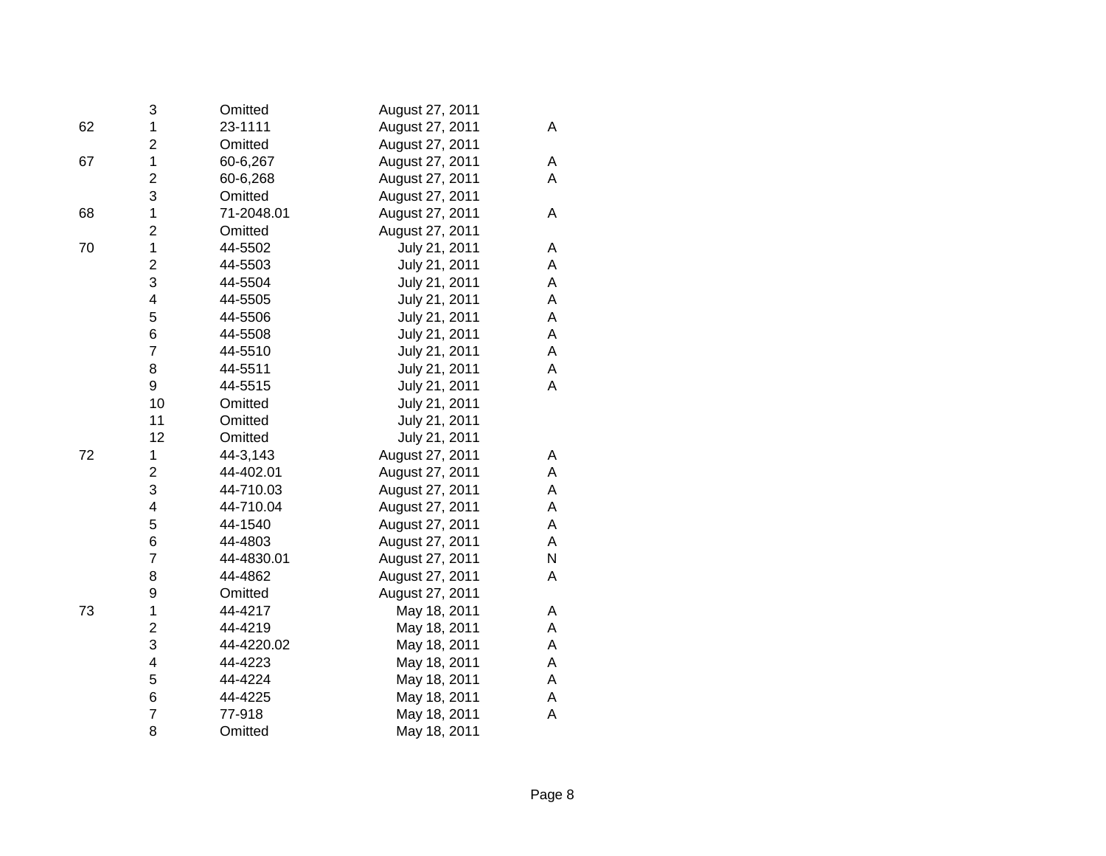|    | 3                       | Omitted    | August 27, 2011 |   |
|----|-------------------------|------------|-----------------|---|
| 62 | 1                       | 23-1111    | August 27, 2011 | Α |
|    | $\overline{c}$          | Omitted    | August 27, 2011 |   |
| 67 | 1                       | 60-6,267   | August 27, 2011 | A |
|    | $\overline{\mathbf{c}}$ | 60-6,268   | August 27, 2011 | A |
|    | 3                       | Omitted    | August 27, 2011 |   |
| 68 | $\mathbf 1$             | 71-2048.01 | August 27, 2011 | Α |
|    | $\overline{c}$          | Omitted    | August 27, 2011 |   |
| 70 | $\mathbf 1$             | 44-5502    | July 21, 2011   | A |
|    | $\overline{2}$          | 44-5503    | July 21, 2011   | A |
|    | 3                       | 44-5504    | July 21, 2011   | Α |
|    | 4                       | 44-5505    | July 21, 2011   | A |
|    | 5                       | 44-5506    | July 21, 2011   | A |
|    | 6                       | 44-5508    | July 21, 2011   | Α |
|    | $\overline{7}$          | 44-5510    | July 21, 2011   | A |
|    | 8                       | 44-5511    | July 21, 2011   | А |
|    | 9                       | 44-5515    | July 21, 2011   | A |
|    | 10                      | Omitted    | July 21, 2011   |   |
|    | 11                      | Omitted    | July 21, 2011   |   |
|    | 12                      | Omitted    | July 21, 2011   |   |
| 72 | 1                       | 44-3,143   | August 27, 2011 | Α |
|    | $\overline{c}$          | 44-402.01  | August 27, 2011 | Α |
|    | 3                       | 44-710.03  | August 27, 2011 | A |
|    | 4                       | 44-710.04  | August 27, 2011 | Α |
|    | 5                       | 44-1540    | August 27, 2011 | Α |
|    | 6                       | 44-4803    | August 27, 2011 | A |
|    | $\overline{7}$          | 44-4830.01 | August 27, 2011 | N |
|    | 8                       | 44-4862    | August 27, 2011 | A |
|    | 9                       | Omitted    | August 27, 2011 |   |
| 73 | 1                       | 44-4217    | May 18, 2011    | Α |
|    | 2                       | 44-4219    | May 18, 2011    | Α |
|    | 3                       | 44-4220.02 | May 18, 2011    | A |
|    | 4                       | 44-4223    | May 18, 2011    | Α |
|    | 5                       | 44-4224    | May 18, 2011    | A |
|    | 6                       | 44-4225    | May 18, 2011    | А |
|    | 7                       | 77-918     | May 18, 2011    | A |
|    | 8                       | Omitted    | May 18, 2011    |   |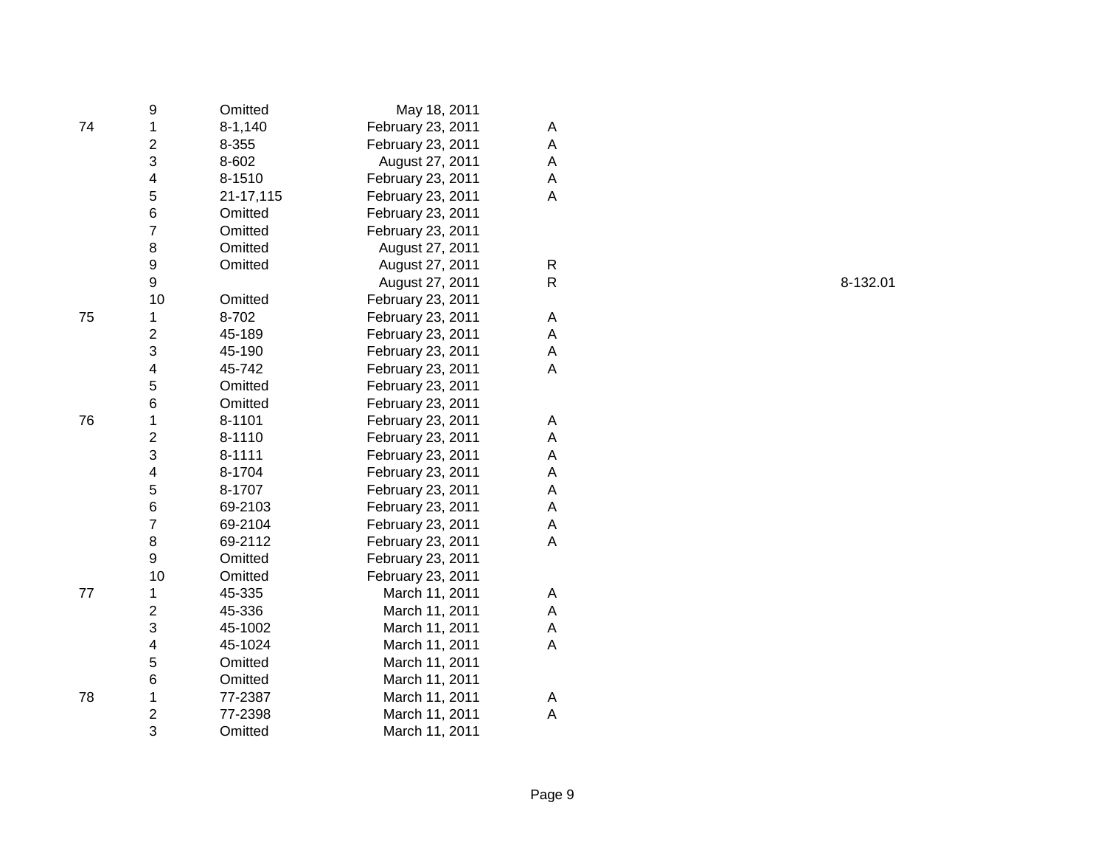|    | 9                       | Omitted     | May 18, 2011      |   |
|----|-------------------------|-------------|-------------------|---|
| 74 | $\mathbf 1$             | $8 - 1,140$ | February 23, 2011 | Α |
|    | $\overline{c}$          | 8-355       | February 23, 2011 | A |
|    | 3                       | 8-602       | August 27, 2011   | Α |
|    | 4                       | 8-1510      | February 23, 2011 | A |
|    | 5                       | 21-17,115   | February 23, 2011 | Α |
|    | 6                       | Omitted     | February 23, 2011 |   |
|    | $\overline{7}$          | Omitted     | February 23, 2011 |   |
|    | 8                       | Omitted     | August 27, 2011   |   |
|    | 9                       | Omitted     | August 27, 2011   | R |
|    | 9                       |             | August 27, 2011   | R |
|    | 10                      | Omitted     | February 23, 2011 |   |
| 75 | 1                       | 8-702       | February 23, 2011 | A |
|    | $\overline{c}$          | 45-189      | February 23, 2011 | A |
|    | 3                       | 45-190      | February 23, 2011 | A |
|    | 4                       | 45-742      | February 23, 2011 | A |
|    | 5                       | Omitted     | February 23, 2011 |   |
|    | 6                       | Omitted     | February 23, 2011 |   |
| 76 | 1                       | 8-1101      | February 23, 2011 | Α |
|    | $\overline{\mathbf{c}}$ | 8-1110      | February 23, 2011 | A |
|    | 3                       | 8-1111      | February 23, 2011 | Α |
|    | 4                       | 8-1704      | February 23, 2011 | A |
|    | 5                       | 8-1707      | February 23, 2011 | A |
|    | 6                       | 69-2103     | February 23, 2011 | A |
|    | $\overline{7}$          | 69-2104     | February 23, 2011 | A |
|    | 8                       | 69-2112     | February 23, 2011 | A |
|    | 9                       | Omitted     | February 23, 2011 |   |
|    | 10                      | Omitted     | February 23, 2011 |   |
| 77 | 1                       | 45-335      | March 11, 2011    | A |
|    | $\overline{c}$          | 45-336      | March 11, 2011    | A |
|    | 3                       | 45-1002     | March 11, 2011    | A |
|    | 4                       | 45-1024     | March 11, 2011    | Α |
|    | 5                       | Omitted     | March 11, 2011    |   |
|    | 6                       | Omitted     | March 11, 2011    |   |
| 78 | 1                       | 77-2387     | March 11, 2011    | Α |
|    | $\overline{c}$          | 77-2398     | March 11, 2011    | A |
|    | 3                       | Omitted     | March 11, 2011    |   |

8-132.01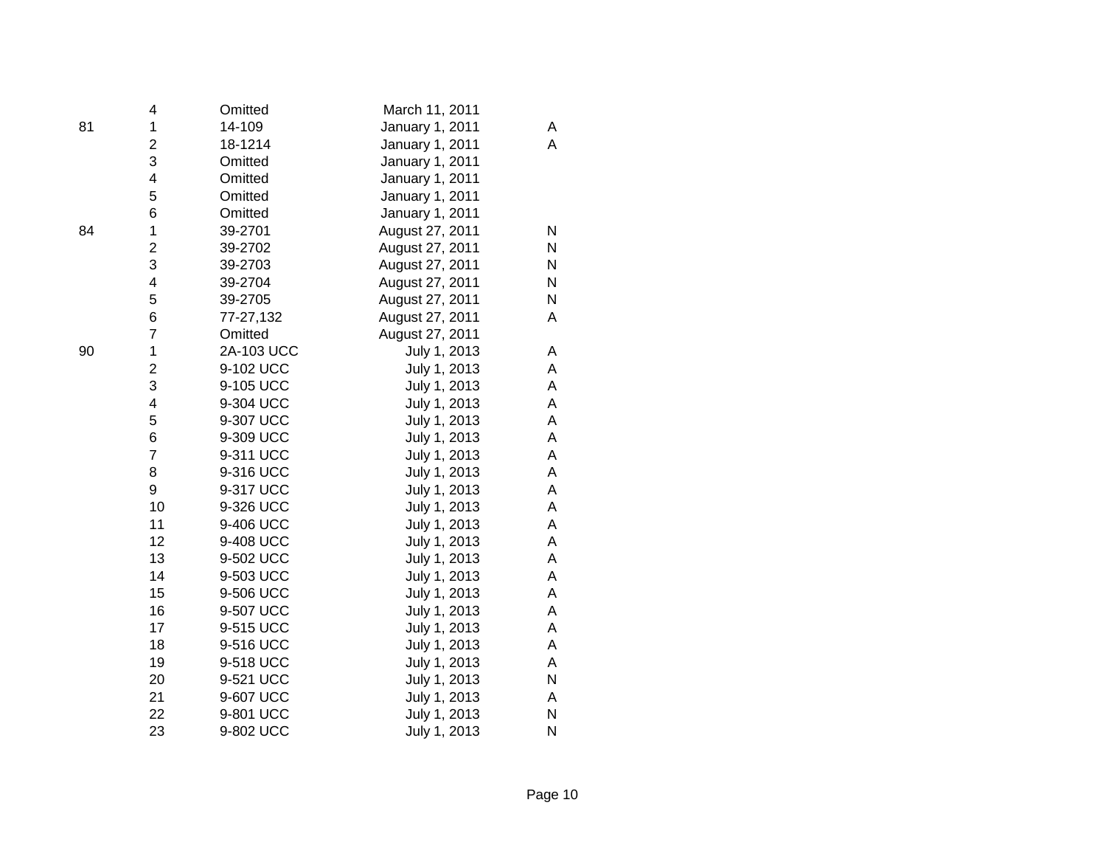|    | 4                       | Omitted    | March 11, 2011  |   |
|----|-------------------------|------------|-----------------|---|
| 81 | 1                       | 14-109     | January 1, 2011 | A |
|    | $\overline{\mathbf{c}}$ | 18-1214    | January 1, 2011 | A |
|    | 3                       | Omitted    | January 1, 2011 |   |
|    | 4                       | Omitted    | January 1, 2011 |   |
|    | 5                       | Omitted    | January 1, 2011 |   |
|    | 6                       | Omitted    | January 1, 2011 |   |
| 84 | $\mathbf 1$             | 39-2701    | August 27, 2011 | N |
|    | $\overline{c}$          | 39-2702    | August 27, 2011 | Ν |
|    | 3                       | 39-2703    | August 27, 2011 | N |
|    | $\overline{\mathbf{4}}$ | 39-2704    | August 27, 2011 | N |
|    | 5                       | 39-2705    | August 27, 2011 | N |
|    | 6                       | 77-27,132  | August 27, 2011 | A |
|    | $\overline{7}$          | Omitted    | August 27, 2011 |   |
| 90 | 1                       | 2A-103 UCC | July 1, 2013    | Α |
|    | $\overline{2}$          | 9-102 UCC  | July 1, 2013    | Α |
|    | 3                       | 9-105 UCC  | July 1, 2013    | А |
|    | $\overline{\mathbf{4}}$ | 9-304 UCC  | July 1, 2013    | Α |
|    | 5                       | 9-307 UCC  | July 1, 2013    | A |
|    | 6                       | 9-309 UCC  | July 1, 2013    | Α |
|    | $\overline{7}$          | 9-311 UCC  | July 1, 2013    | Α |
|    | 8                       | 9-316 UCC  | July 1, 2013    | Α |
|    | 9                       | 9-317 UCC  | July 1, 2013    | Α |
|    | 10                      | 9-326 UCC  | July 1, 2013    | Α |
|    | 11                      | 9-406 UCC  | July 1, 2013    | Α |
|    | 12                      | 9-408 UCC  | July 1, 2013    | Α |
|    | 13                      | 9-502 UCC  | July 1, 2013    | Α |
|    | 14                      | 9-503 UCC  | July 1, 2013    | Α |
|    | 15                      | 9-506 UCC  | July 1, 2013    | Α |
|    | 16                      | 9-507 UCC  | July 1, 2013    | Α |
|    | 17                      | 9-515 UCC  | July 1, 2013    | Α |
|    | 18                      | 9-516 UCC  | July 1, 2013    | Α |
|    | 19                      | 9-518 UCC  | July 1, 2013    | Α |
|    | 20                      | 9-521 UCC  | July 1, 2013    | N |
|    | 21                      | 9-607 UCC  | July 1, 2013    | Α |
|    | 22                      | 9-801 UCC  | July 1, 2013    | N |
|    | 23                      | 9-802 UCC  | July 1, 2013    | N |

|  | ٠. | ۰<br>e e |              |
|--|----|----------|--------------|
|  | ć  |          | I<br>I<br>۰. |
|  |    |          |              |
|  |    |          |              |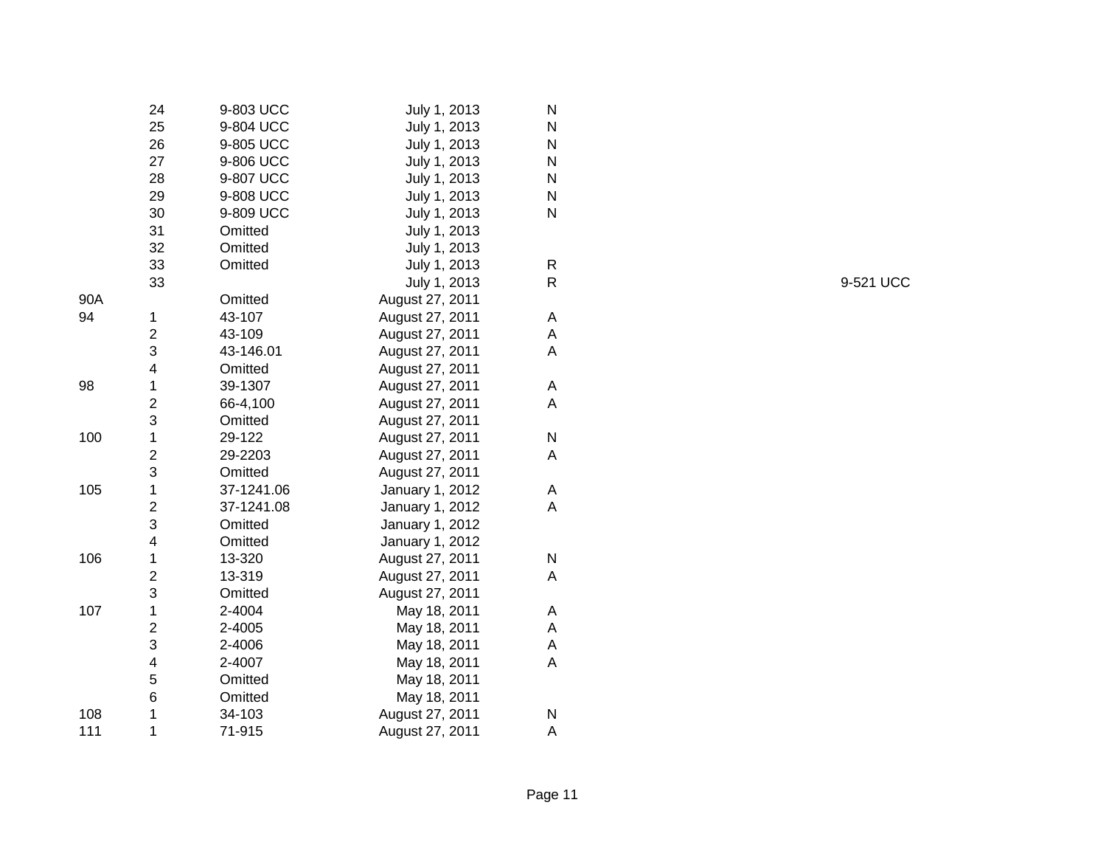|     | 24                      | 9-803 UCC  | July 1, 2013    | N |
|-----|-------------------------|------------|-----------------|---|
|     | 25                      | 9-804 UCC  | July 1, 2013    | N |
|     | 26                      | 9-805 UCC  | July 1, 2013    | N |
|     | 27                      | 9-806 UCC  | July 1, 2013    | N |
|     | 28                      | 9-807 UCC  | July 1, 2013    | N |
|     | 29                      | 9-808 UCC  | July 1, 2013    | N |
|     | 30                      | 9-809 UCC  | July 1, 2013    | N |
|     | 31                      | Omitted    | July 1, 2013    |   |
|     | 32                      | Omitted    | July 1, 2013    |   |
|     | 33                      | Omitted    | July 1, 2013    | R |
|     | 33                      |            | July 1, 2013    | R |
| 90A |                         | Omitted    | August 27, 2011 |   |
| 94  | 1                       | 43-107     | August 27, 2011 | A |
|     | $\overline{2}$          | 43-109     | August 27, 2011 | A |
|     | 3                       | 43-146.01  | August 27, 2011 | A |
|     | 4                       | Omitted    | August 27, 2011 |   |
| 98  | $\mathbf 1$             | 39-1307    | August 27, 2011 | A |
|     | $\overline{\mathbf{c}}$ | 66-4,100   | August 27, 2011 | A |
|     | 3                       | Omitted    | August 27, 2011 |   |
| 100 | $\mathbf 1$             | 29-122     | August 27, 2011 | Ν |
|     | $\overline{2}$          | 29-2203    | August 27, 2011 | A |
|     | 3                       | Omitted    | August 27, 2011 |   |
| 105 | $\mathbf 1$             | 37-1241.06 | January 1, 2012 | A |
|     | $\overline{c}$          | 37-1241.08 | January 1, 2012 | A |
|     | 3                       | Omitted    | January 1, 2012 |   |
|     | 4                       | Omitted    | January 1, 2012 |   |
| 106 | 1                       | 13-320     | August 27, 2011 | Ν |
|     | $\overline{2}$          | 13-319     | August 27, 2011 | A |
|     | 3                       | Omitted    | August 27, 2011 |   |
| 107 | $\mathbf 1$             | 2-4004     | May 18, 2011    | A |
|     | $\overline{c}$          | 2-4005     | May 18, 2011    | A |
|     | 3                       | 2-4006     | May 18, 2011    | A |
|     | 4                       | 2-4007     | May 18, 2011    | A |
|     | 5                       | Omitted    | May 18, 2011    |   |
|     | 6                       | Omitted    | May 18, 2011    |   |
| 108 | 1                       | 34-103     | August 27, 2011 | Ν |
| 111 | 1                       | 71-915     | August 27, 2011 | A |

9-521 UCC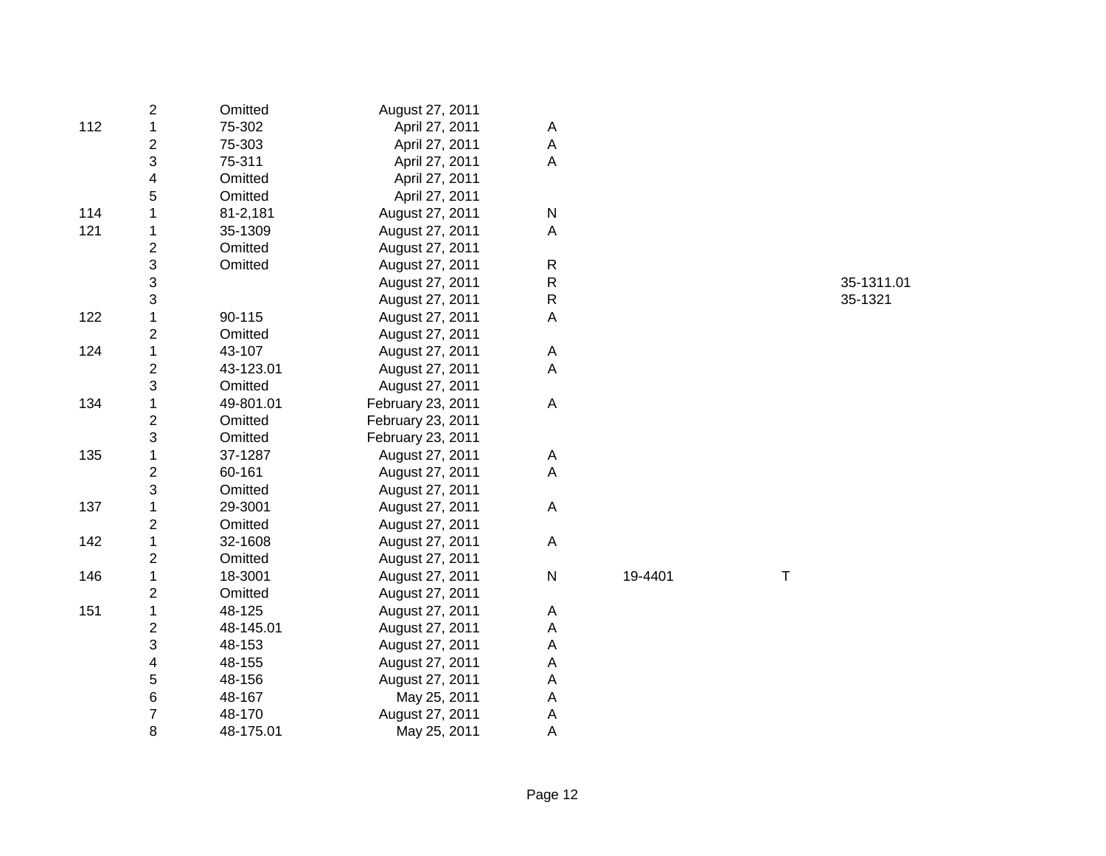|     | 2                       | Omitted   | August 27, 2011   |                         |         |   |            |
|-----|-------------------------|-----------|-------------------|-------------------------|---------|---|------------|
| 112 | 1                       | 75-302    | April 27, 2011    | A                       |         |   |            |
|     | $\overline{\mathbf{c}}$ | 75-303    | April 27, 2011    | $\mathsf A$             |         |   |            |
|     | 3                       | 75-311    | April 27, 2011    | $\overline{\mathsf{A}}$ |         |   |            |
|     | 4                       | Omitted   | April 27, 2011    |                         |         |   |            |
|     | 5                       | Omitted   | April 27, 2011    |                         |         |   |            |
| 114 | $\mathbf{1}$            | 81-2,181  | August 27, 2011   | ${\sf N}$               |         |   |            |
| 121 | 1                       | 35-1309   | August 27, 2011   | $\mathsf A$             |         |   |            |
|     | $\overline{\mathbf{c}}$ | Omitted   | August 27, 2011   |                         |         |   |            |
|     | 3                       | Omitted   | August 27, 2011   | $\mathsf R$             |         |   |            |
|     | 3                       |           | August 27, 2011   | ${\sf R}$               |         |   | 35-1311.01 |
|     | 3                       |           | August 27, 2011   | ${\sf R}$               |         |   | 35-1321    |
| 122 | $\mathbf{1}$            | 90-115    | August 27, 2011   | A                       |         |   |            |
|     | $\overline{\mathbf{c}}$ | Omitted   | August 27, 2011   |                         |         |   |            |
| 124 | 1                       | 43-107    | August 27, 2011   | A                       |         |   |            |
|     | $\overline{\mathbf{c}}$ | 43-123.01 | August 27, 2011   | $\mathsf A$             |         |   |            |
|     | 3                       | Omitted   | August 27, 2011   |                         |         |   |            |
| 134 | 1                       | 49-801.01 | February 23, 2011 | $\mathsf A$             |         |   |            |
|     | $\overline{\mathbf{c}}$ | Omitted   | February 23, 2011 |                         |         |   |            |
|     | 3                       | Omitted   | February 23, 2011 |                         |         |   |            |
| 135 | 1                       | 37-1287   | August 27, 2011   | A                       |         |   |            |
|     | 2                       | 60-161    | August 27, 2011   | A                       |         |   |            |
|     | 3                       | Omitted   | August 27, 2011   |                         |         |   |            |
| 137 | 1                       | 29-3001   | August 27, 2011   | $\mathsf A$             |         |   |            |
|     | $\overline{\mathbf{c}}$ | Omitted   | August 27, 2011   |                         |         |   |            |
| 142 | 1                       | 32-1608   | August 27, 2011   | $\mathsf A$             |         |   |            |
|     | $\overline{\mathbf{c}}$ | Omitted   | August 27, 2011   |                         |         |   |            |
| 146 | 1                       | 18-3001   | August 27, 2011   | ${\sf N}$               | 19-4401 | Τ |            |
|     | $\overline{\mathbf{c}}$ | Omitted   | August 27, 2011   |                         |         |   |            |
| 151 | 1                       | 48-125    | August 27, 2011   | A                       |         |   |            |
|     | $\overline{\mathbf{c}}$ | 48-145.01 | August 27, 2011   | A                       |         |   |            |
|     | 3                       | 48-153    | August 27, 2011   | A                       |         |   |            |
|     | 4                       | 48-155    | August 27, 2011   | A                       |         |   |            |
|     | 5                       | 48-156    | August 27, 2011   | A                       |         |   |            |
|     | $\,6$                   | 48-167    | May 25, 2011      | A                       |         |   |            |
|     | $\overline{7}$          | 48-170    | August 27, 2011   | A                       |         |   |            |
|     | 8                       | 48-175.01 | May 25, 2011      | A                       |         |   |            |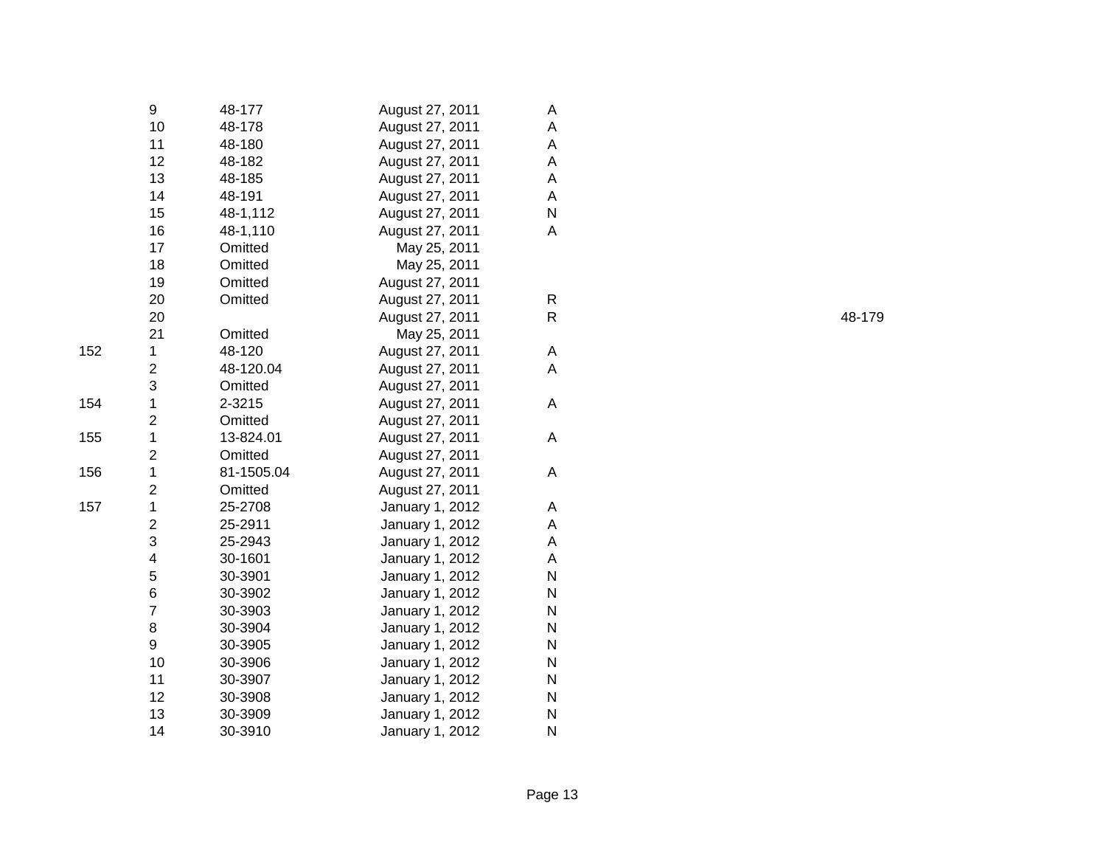|     | 9                       | 48-177     | August 27, 2011 | A  |
|-----|-------------------------|------------|-----------------|----|
|     | 10                      | 48-178     | August 27, 2011 | A  |
|     | 11                      | 48-180     | August 27, 2011 | A  |
|     | 12                      | 48-182     | August 27, 2011 | A  |
|     | 13                      | 48-185     | August 27, 2011 | A  |
|     | 14                      | 48-191     | August 27, 2011 | A  |
|     | 15                      | 48-1,112   | August 27, 2011 | N  |
|     | 16                      | 48-1,110   | August 27, 2011 | A  |
|     | 17                      | Omitted    | May 25, 2011    |    |
|     | 18                      | Omitted    | May 25, 2011    |    |
|     | 19                      | Omitted    | August 27, 2011 |    |
|     | 20                      | Omitted    | August 27, 2011 | R  |
|     | 20                      |            | August 27, 2011 | R. |
|     | 21                      | Omitted    | May 25, 2011    |    |
| 152 | $\mathbf 1$             | 48-120     | August 27, 2011 | Α  |
|     | $\overline{c}$          | 48-120.04  | August 27, 2011 | A  |
|     | 3                       | Omitted    | August 27, 2011 |    |
| 154 | $\mathbf{1}$            | 2-3215     | August 27, 2011 | A  |
|     | $\overline{\mathbf{c}}$ | Omitted    | August 27, 2011 |    |
| 155 | $\mathbf 1$             | 13-824.01  | August 27, 2011 | A  |
|     | $\overline{c}$          | Omitted    | August 27, 2011 |    |
| 156 | $\mathbf 1$             | 81-1505.04 | August 27, 2011 | A  |
|     | $\overline{2}$          | Omitted    | August 27, 2011 |    |
| 157 | 1                       | 25-2708    | January 1, 2012 | Α  |
|     | 2                       | 25-2911    | January 1, 2012 | Α  |
|     | 3                       | 25-2943    | January 1, 2012 | A  |
|     | 4                       | 30-1601    | January 1, 2012 | A  |
|     | 5                       | 30-3901    | January 1, 2012 | N  |
|     | 6                       | 30-3902    | January 1, 2012 | N  |
|     | $\overline{7}$          | 30-3903    | January 1, 2012 | N  |
|     | 8                       | 30-3904    | January 1, 2012 | N  |
|     | 9                       | 30-3905    | January 1, 2012 | N  |
|     | 10                      | 30-3906    | January 1, 2012 | N  |
|     | 11                      | 30-3907    | January 1, 2012 | N  |
|     | 12                      | 30-3908    | January 1, 2012 | N  |
|     | 13                      | 30-3909    | January 1, 2012 | N  |
|     | 14                      | 30-3910    | January 1, 2012 | N  |
|     |                         |            |                 |    |

R 48-179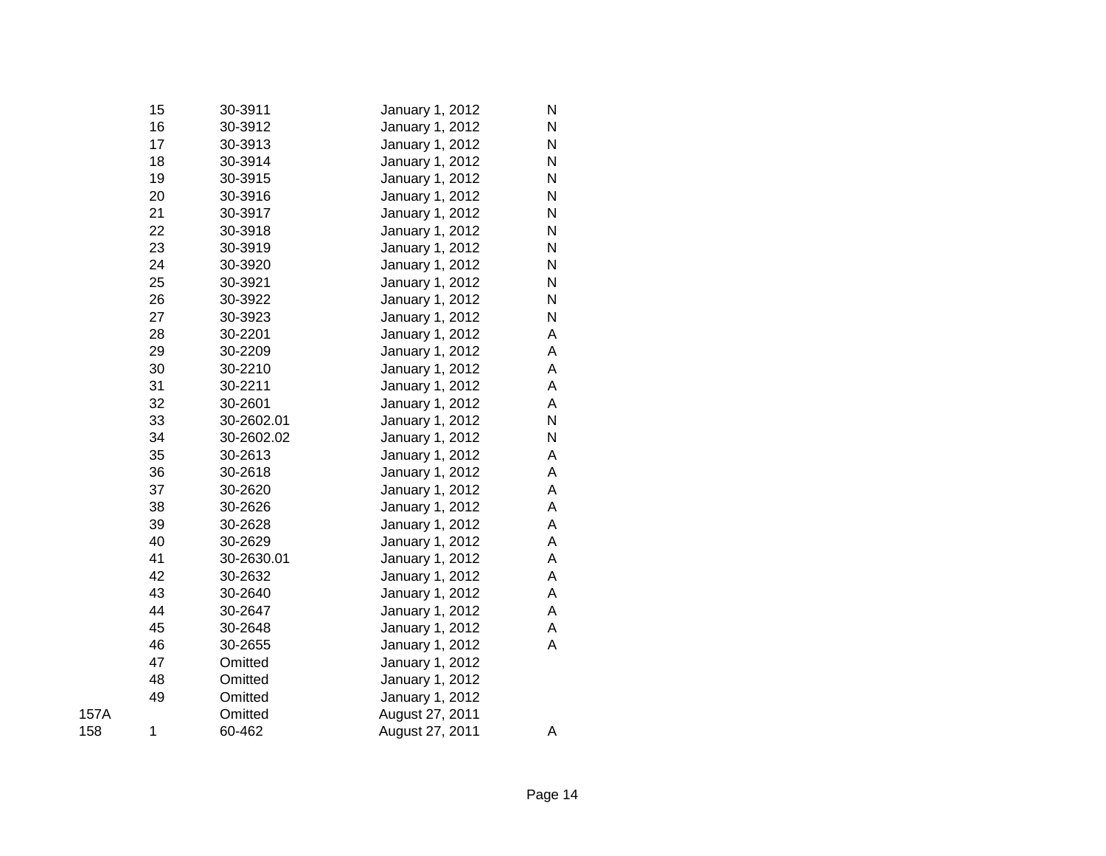|      | 15 | 30-3911    | January 1, 2012 | N |
|------|----|------------|-----------------|---|
|      | 16 | 30-3912    | January 1, 2012 | N |
|      | 17 | 30-3913    | January 1, 2012 | N |
|      | 18 | 30-3914    | January 1, 2012 | N |
|      | 19 | 30-3915    | January 1, 2012 | N |
|      | 20 | 30-3916    | January 1, 2012 | N |
|      | 21 | 30-3917    | January 1, 2012 | N |
|      | 22 | 30-3918    | January 1, 2012 | N |
|      | 23 | 30-3919    | January 1, 2012 | N |
|      | 24 | 30-3920    | January 1, 2012 | N |
|      | 25 | 30-3921    | January 1, 2012 | N |
|      | 26 | 30-3922    | January 1, 2012 | N |
|      | 27 | 30-3923    | January 1, 2012 | N |
|      | 28 | 30-2201    | January 1, 2012 | Α |
|      | 29 | 30-2209    | January 1, 2012 | Α |
|      | 30 | 30-2210    | January 1, 2012 | Α |
|      | 31 | 30-2211    | January 1, 2012 | Α |
|      | 32 | 30-2601    | January 1, 2012 | Α |
|      | 33 | 30-2602.01 | January 1, 2012 | N |
|      | 34 | 30-2602.02 | January 1, 2012 | N |
|      | 35 | 30-2613    | January 1, 2012 | Α |
|      | 36 | 30-2618    | January 1, 2012 | Α |
|      | 37 | 30-2620    | January 1, 2012 | Α |
|      | 38 | 30-2626    | January 1, 2012 | Α |
|      | 39 | 30-2628    | January 1, 2012 | Α |
|      | 40 | 30-2629    | January 1, 2012 | Α |
|      | 41 | 30-2630.01 | January 1, 2012 | Α |
|      | 42 | 30-2632    | January 1, 2012 | Α |
|      | 43 | 30-2640    | January 1, 2012 | A |
|      | 44 | 30-2647    | January 1, 2012 | Α |
|      | 45 | 30-2648    | January 1, 2012 | Α |
|      | 46 | 30-2655    | January 1, 2012 | Α |
|      | 47 | Omitted    | January 1, 2012 |   |
|      | 48 | Omitted    | January 1, 2012 |   |
|      | 49 | Omitted    | January 1, 2012 |   |
| 157A |    | Omitted    | August 27, 2011 |   |
| 158  | 1  | 60-462     | August 27, 2011 | Α |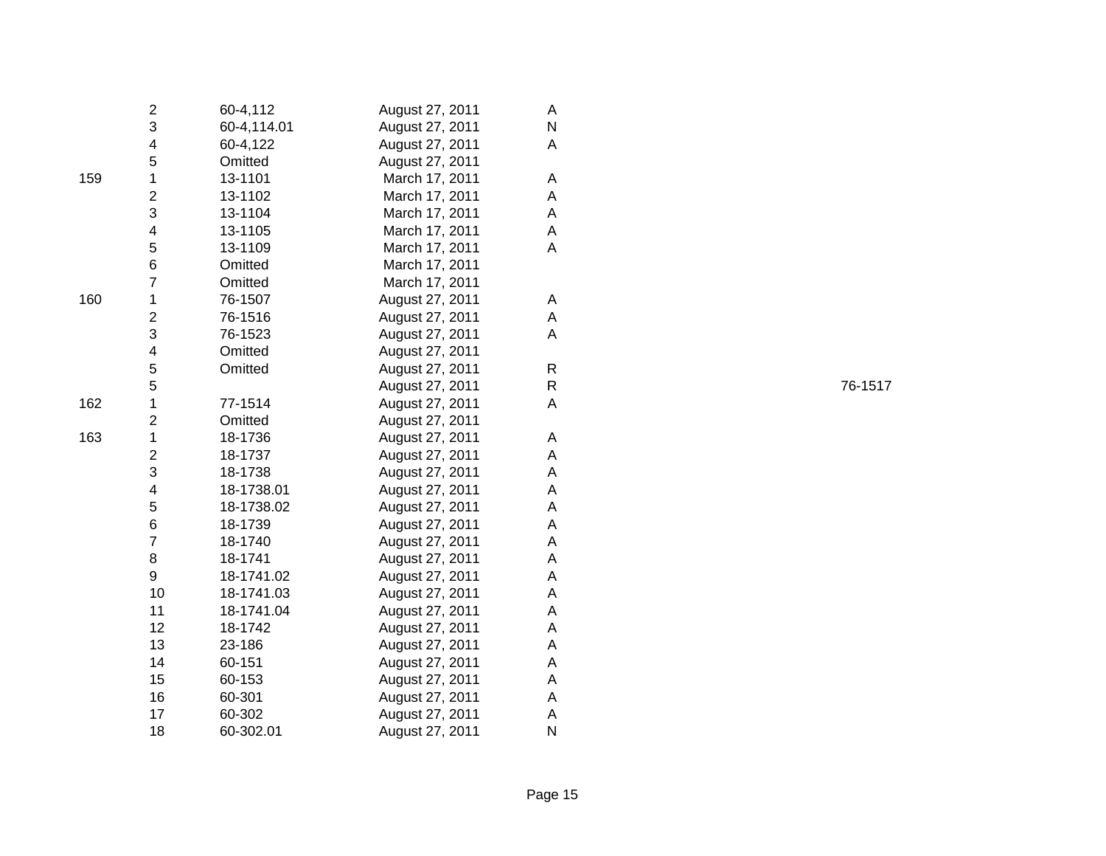|     | 2                        | 60-4,112    | August 27, 2011 | A            |
|-----|--------------------------|-------------|-----------------|--------------|
|     | 3                        | 60-4,114.01 | August 27, 2011 | N            |
|     | 4                        | 60-4,122    | August 27, 2011 | A            |
|     | 5                        | Omitted     | August 27, 2011 |              |
| 159 | 1                        | 13-1101     | March 17, 2011  | Α            |
|     | $\mathbf{2}$             | 13-1102     | March 17, 2011  | Α            |
|     | 3                        | 13-1104     | March 17, 2011  | A            |
|     | 4                        | 13-1105     | March 17, 2011  | A            |
|     | 5                        | 13-1109     | March 17, 2011  | A            |
|     | 6                        | Omitted     | March 17, 2011  |              |
|     | $\overline{7}$           | Omitted     | March 17, 2011  |              |
| 160 | $\mathbf 1$              | 76-1507     | August 27, 2011 | Α            |
|     | $\overline{\mathbf{c}}$  | 76-1516     | August 27, 2011 | Α            |
|     | 3                        | 76-1523     | August 27, 2011 | Α            |
|     | $\overline{\mathcal{A}}$ | Omitted     | August 27, 2011 |              |
|     | 5                        | Omitted     | August 27, 2011 | R            |
|     | 5                        |             | August 27, 2011 | $\mathsf{R}$ |
| 162 | 1                        | 77-1514     | August 27, 2011 | Α            |
|     | $\overline{2}$           | Omitted     | August 27, 2011 |              |
| 163 | 1                        | 18-1736     | August 27, 2011 | A            |
|     | $\overline{\mathbf{c}}$  | 18-1737     | August 27, 2011 | A            |
|     | 3                        | 18-1738     | August 27, 2011 | A            |
|     | $\overline{\mathcal{A}}$ | 18-1738.01  | August 27, 2011 | A            |
|     | 5                        | 18-1738.02  | August 27, 2011 | A            |
|     | 6                        | 18-1739     | August 27, 2011 | A            |
|     | $\overline{7}$           | 18-1740     | August 27, 2011 | A            |
|     | 8                        | 18-1741     | August 27, 2011 | A            |
|     | 9                        | 18-1741.02  | August 27, 2011 | A            |
|     | 10                       | 18-1741.03  | August 27, 2011 | Α            |
|     | 11                       | 18-1741.04  | August 27, 2011 | A            |
|     | 12                       | 18-1742     | August 27, 2011 | Α            |
|     | 13                       | 23-186      | August 27, 2011 | A            |
|     | 14                       | 60-151      | August 27, 2011 | A            |
|     | 15                       | 60-153      | August 27, 2011 | Α            |
|     | 16                       | 60-301      | August 27, 2011 | Α            |
|     | 17                       | 60-302      | August 27, 2011 | Α            |
|     | 18                       | 60-302.01   | August 27, 2011 | N            |

76-1517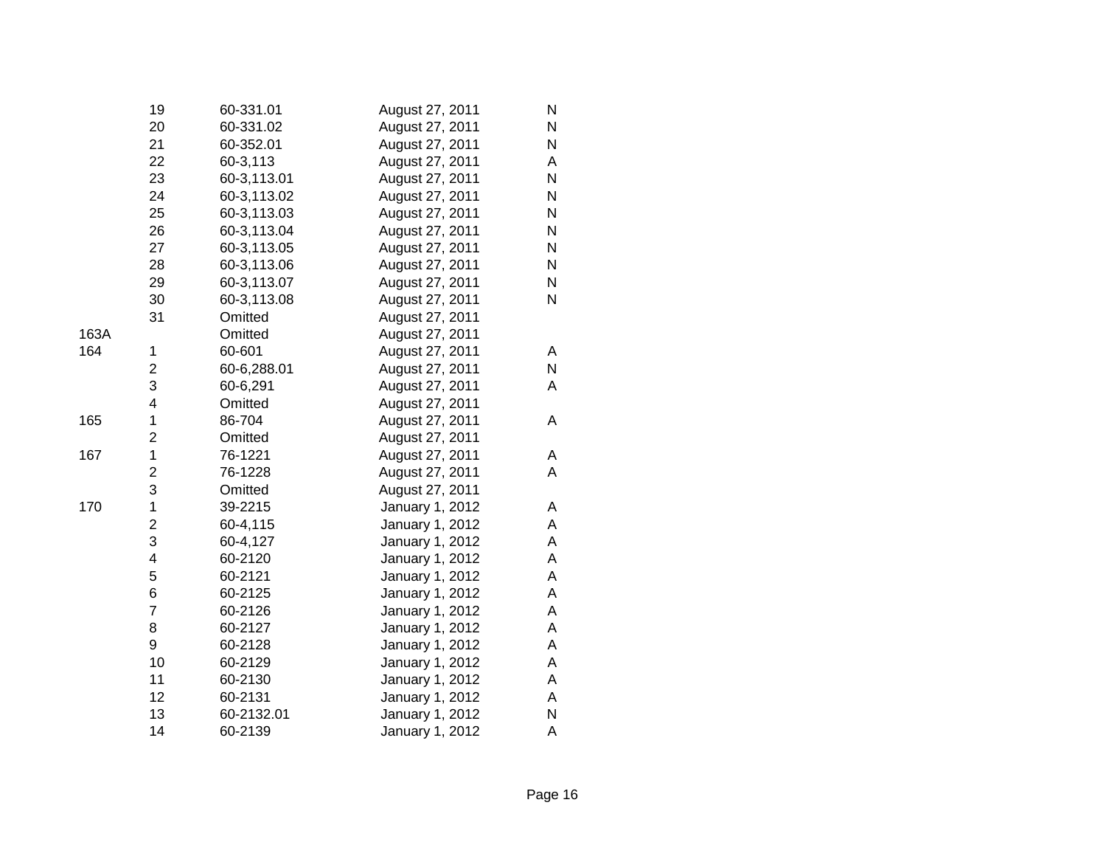|      | 19                      | 60-331.01   | August 27, 2011 | N         |
|------|-------------------------|-------------|-----------------|-----------|
|      | 20                      | 60-331.02   | August 27, 2011 | N         |
|      | 21                      | 60-352.01   | August 27, 2011 | N         |
|      | 22                      | 60-3,113    | August 27, 2011 | А         |
|      | 23                      | 60-3,113.01 | August 27, 2011 | N         |
|      | 24                      | 60-3,113.02 | August 27, 2011 | ${\sf N}$ |
|      | 25                      | 60-3,113.03 | August 27, 2011 | N         |
|      | 26                      | 60-3,113.04 | August 27, 2011 | N         |
|      | 27                      | 60-3,113.05 | August 27, 2011 | N         |
|      | 28                      | 60-3,113.06 | August 27, 2011 | N         |
|      | 29                      | 60-3,113.07 | August 27, 2011 | N         |
|      | 30                      | 60-3,113.08 | August 27, 2011 | N         |
|      | 31                      | Omitted     | August 27, 2011 |           |
| 163A |                         | Omitted     | August 27, 2011 |           |
| 164  | 1                       | 60-601      | August 27, 2011 | Α         |
|      | $\overline{\mathbf{c}}$ | 60-6,288.01 | August 27, 2011 | N         |
|      | 3                       | 60-6,291    | August 27, 2011 | Α         |
|      | $\overline{\mathbf{4}}$ | Omitted     | August 27, 2011 |           |
| 165  | $\mathbf 1$             | 86-704      | August 27, 2011 | Α         |
|      | $\overline{\mathbf{c}}$ | Omitted     | August 27, 2011 |           |
| 167  | $\mathbf 1$             | 76-1221     | August 27, 2011 | Α         |
|      | $\overline{c}$          | 76-1228     | August 27, 2011 | A         |
|      | 3                       | Omitted     | August 27, 2011 |           |
| 170  | 1                       | 39-2215     | January 1, 2012 | Α         |
|      | 2                       | 60-4,115    | January 1, 2012 | Α         |
|      | 3                       | 60-4,127    | January 1, 2012 | A         |
|      | 4                       | 60-2120     | January 1, 2012 | A         |
|      | 5                       | 60-2121     | January 1, 2012 | Α         |
|      | 6                       | 60-2125     | January 1, 2012 | A         |
|      | $\overline{7}$          | 60-2126     | January 1, 2012 | А         |
|      | 8                       | 60-2127     | January 1, 2012 | А         |
|      | 9                       | 60-2128     | January 1, 2012 | Α         |
|      | 10                      | 60-2129     | January 1, 2012 | Α         |
|      | 11                      | 60-2130     | January 1, 2012 | A         |
|      | 12                      | 60-2131     | January 1, 2012 | А         |
|      | 13                      | 60-2132.01  | January 1, 2012 | N         |
|      | 14                      | 60-2139     | January 1, 2012 | A         |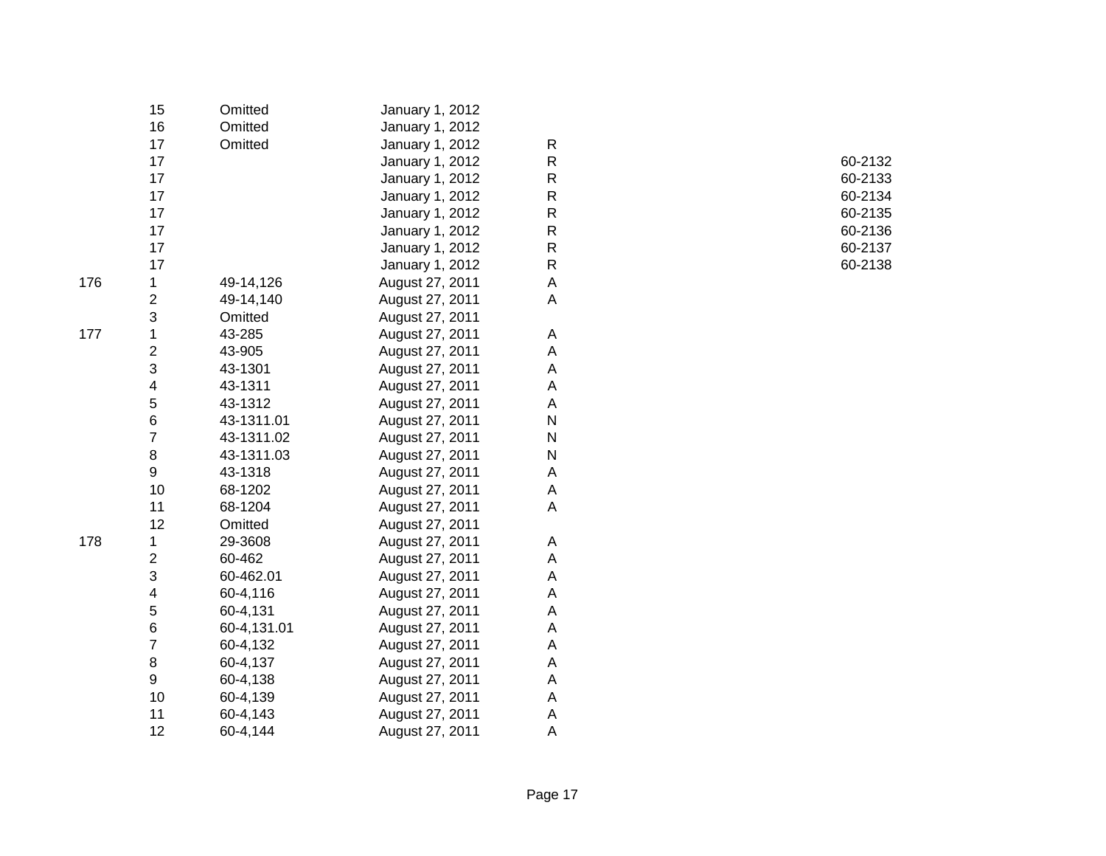|     | 15                      | Omitted     | January 1, 2012 |                           |         |
|-----|-------------------------|-------------|-----------------|---------------------------|---------|
|     | 16                      | Omitted     | January 1, 2012 |                           |         |
|     | 17                      | Omitted     | January 1, 2012 | $\mathsf{R}$              |         |
|     | 17                      |             | January 1, 2012 | R                         | 60-2132 |
|     | 17                      |             | January 1, 2012 | R                         | 60-2133 |
|     | 17                      |             | January 1, 2012 | R                         | 60-2134 |
|     | 17                      |             | January 1, 2012 | R                         | 60-2135 |
|     | 17                      |             | January 1, 2012 | R                         | 60-2136 |
|     | 17                      |             | January 1, 2012 | R                         | 60-2137 |
|     | 17                      |             | January 1, 2012 | ${\sf R}$                 | 60-2138 |
| 176 | 1                       | 49-14,126   | August 27, 2011 | A                         |         |
|     | 2                       | 49-14,140   | August 27, 2011 | $\mathsf A$               |         |
|     | 3                       | Omitted     | August 27, 2011 |                           |         |
| 177 | 1                       | 43-285      | August 27, 2011 | A                         |         |
|     | $\overline{\mathbf{c}}$ | 43-905      | August 27, 2011 | A                         |         |
|     | 3                       | 43-1301     | August 27, 2011 | Α                         |         |
|     | 4                       | 43-1311     | August 27, 2011 | A                         |         |
|     | 5                       | 43-1312     | August 27, 2011 | A                         |         |
|     | 6                       | 43-1311.01  | August 27, 2011 | N                         |         |
|     | 7                       | 43-1311.02  | August 27, 2011 | N                         |         |
|     | 8                       | 43-1311.03  | August 27, 2011 | $\mathsf{N}$              |         |
|     | 9                       | 43-1318     | August 27, 2011 | $\boldsymbol{\mathsf{A}}$ |         |
|     | 10                      | 68-1202     | August 27, 2011 | A                         |         |
|     | 11                      | 68-1204     | August 27, 2011 | $\mathsf A$               |         |
|     | 12                      | Omitted     | August 27, 2011 |                           |         |
| 178 | 1                       | 29-3608     | August 27, 2011 | A                         |         |
|     | 2                       | 60-462      | August 27, 2011 | $\boldsymbol{\mathsf{A}}$ |         |
|     | 3                       | 60-462.01   | August 27, 2011 | A                         |         |
|     | 4                       | 60-4,116    | August 27, 2011 | Α                         |         |
|     | 5                       | 60-4,131    | August 27, 2011 | Α                         |         |
|     | 6                       | 60-4,131.01 | August 27, 2011 | Α                         |         |
|     | $\overline{\mathbf{7}}$ | 60-4,132    | August 27, 2011 | Α                         |         |
|     | 8                       | 60-4,137    | August 27, 2011 | Α                         |         |
|     | 9                       | 60-4,138    | August 27, 2011 | Α                         |         |
|     | $10$                    | 60-4,139    | August 27, 2011 | Α                         |         |
|     | 11                      | 60-4,143    | August 27, 2011 | Α                         |         |
|     | 12                      | 60-4,144    | August 27, 2011 | A                         |         |
|     |                         |             |                 |                           |         |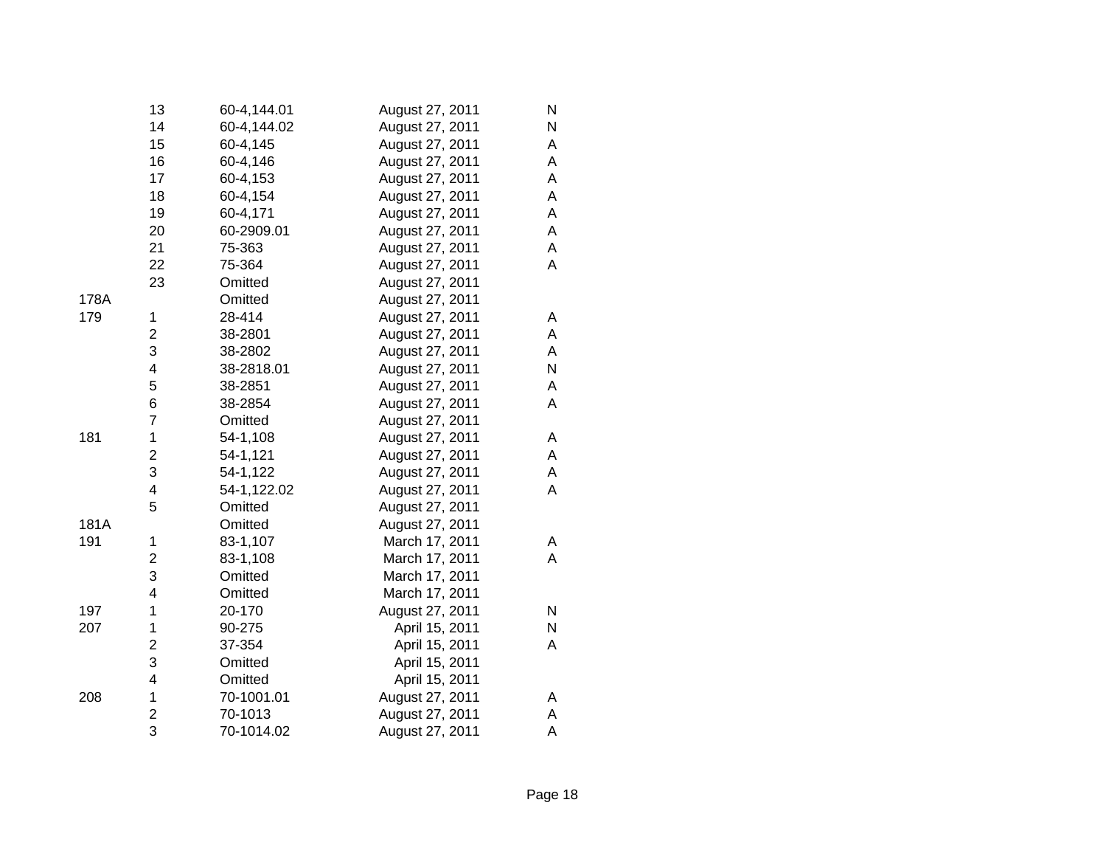|      | 13                      | 60-4,144.01 | August 27, 2011 | N         |
|------|-------------------------|-------------|-----------------|-----------|
|      | 14                      | 60-4,144.02 | August 27, 2011 | ${\sf N}$ |
|      | 15                      | 60-4,145    | August 27, 2011 | А         |
|      | 16                      | 60-4,146    | August 27, 2011 | A         |
|      | 17                      | 60-4,153    | August 27, 2011 | A         |
|      | 18                      | 60-4,154    | August 27, 2011 | A         |
|      | 19                      | 60-4,171    | August 27, 2011 | A         |
|      | 20                      | 60-2909.01  | August 27, 2011 | A         |
|      | 21                      | 75-363      | August 27, 2011 | Α         |
|      | 22                      | 75-364      | August 27, 2011 | Α         |
|      | 23                      | Omitted     | August 27, 2011 |           |
| 178A |                         | Omitted     | August 27, 2011 |           |
| 179  | $\mathbf 1$             | 28-414      | August 27, 2011 | Α         |
|      | $\overline{\mathbf{c}}$ | 38-2801     | August 27, 2011 | A         |
|      | 3                       | 38-2802     | August 27, 2011 | A         |
|      | $\overline{\mathbf{4}}$ | 38-2818.01  | August 27, 2011 | N         |
|      | 5                       | 38-2851     | August 27, 2011 | Α         |
|      | 6                       | 38-2854     | August 27, 2011 | A         |
|      | $\overline{7}$          | Omitted     | August 27, 2011 |           |
| 181  | $\mathbf 1$             | 54-1,108    | August 27, 2011 | Α         |
|      | $\overline{c}$          | 54-1,121    | August 27, 2011 | A         |
|      | 3                       | 54-1,122    | August 27, 2011 | А         |
|      | 4                       | 54-1,122.02 | August 27, 2011 | A         |
|      | 5                       | Omitted     | August 27, 2011 |           |
| 181A |                         | Omitted     | August 27, 2011 |           |
| 191  | 1                       | 83-1,107    | March 17, 2011  | Α         |
|      | $\overline{\mathbf{c}}$ | 83-1,108    | March 17, 2011  | A         |
|      | 3                       | Omitted     | March 17, 2011  |           |
|      | 4                       | Omitted     | March 17, 2011  |           |
| 197  | 1                       | 20-170      | August 27, 2011 | N         |
| 207  | 1                       | 90-275      | April 15, 2011  | N         |
|      | $\overline{\mathbf{c}}$ | 37-354      | April 15, 2011  | A         |
|      | 3                       | Omitted     | April 15, 2011  |           |
|      | 4                       | Omitted     | April 15, 2011  |           |
| 208  | 1                       | 70-1001.01  | August 27, 2011 | Α         |
|      | $\overline{\mathbf{c}}$ | 70-1013     | August 27, 2011 | Α         |
|      | 3                       | 70-1014.02  | August 27, 2011 | A         |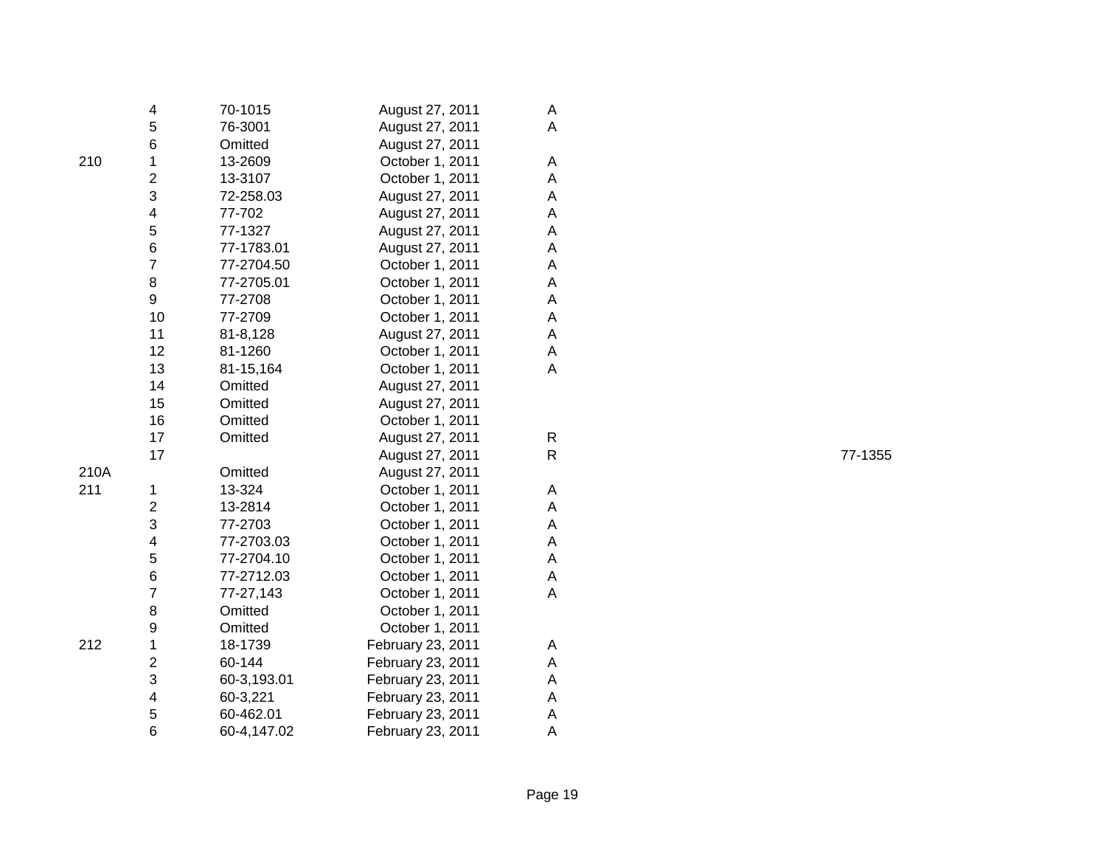|      | 4                       | 70-1015     | August 27, 2011   | A |
|------|-------------------------|-------------|-------------------|---|
|      | 5                       | 76-3001     | August 27, 2011   | A |
|      | 6                       | Omitted     | August 27, 2011   |   |
| 210  | 1                       | 13-2609     | October 1, 2011   | A |
|      | $\overline{\mathbf{c}}$ | 13-3107     | October 1, 2011   | A |
|      | 3                       | 72-258.03   | August 27, 2011   | A |
|      | $\overline{\mathbf{4}}$ | 77-702      | August 27, 2011   | A |
|      | 5                       | 77-1327     | August 27, 2011   | A |
|      | 6                       | 77-1783.01  | August 27, 2011   | A |
|      | $\overline{7}$          | 77-2704.50  | October 1, 2011   | A |
|      | 8                       | 77-2705.01  | October 1, 2011   | A |
|      | 9                       | 77-2708     | October 1, 2011   | A |
|      | 10                      | 77-2709     | October 1, 2011   | A |
|      | 11                      | 81-8,128    | August 27, 2011   | A |
|      | 12                      | 81-1260     | October 1, 2011   | A |
|      | 13                      | 81-15,164   | October 1, 2011   | A |
|      | 14                      | Omitted     | August 27, 2011   |   |
|      | 15                      | Omitted     | August 27, 2011   |   |
|      | 16                      | Omitted     | October 1, 2011   |   |
|      | 17                      | Omitted     | August 27, 2011   | R |
|      | 17                      |             | August 27, 2011   | R |
| 210A |                         | Omitted     | August 27, 2011   |   |
| 211  | 1                       | 13-324      | October 1, 2011   | A |
|      | $\overline{2}$          | 13-2814     | October 1, 2011   | Α |
|      | 3                       | 77-2703     | October 1, 2011   | A |
|      | 4                       | 77-2703.03  | October 1, 2011   | Α |
|      | 5                       | 77-2704.10  | October 1, 2011   | A |
|      | 6                       | 77-2712.03  | October 1, 2011   | A |
|      | 7                       | 77-27,143   | October 1, 2011   | A |
|      | 8                       | Omitted     | October 1, 2011   |   |
|      | 9                       | Omitted     | October 1, 2011   |   |
| 212  | 1                       | 18-1739     | February 23, 2011 | A |
|      | $\overline{c}$          | 60-144      | February 23, 2011 | A |
|      | 3                       | 60-3,193.01 | February 23, 2011 | A |
|      | $\overline{\mathbf{4}}$ | 60-3,221    | February 23, 2011 | A |
|      | 5                       | 60-462.01   | February 23, 2011 | A |
|      | 6                       | 60-4,147.02 | February 23, 2011 | A |

77-1355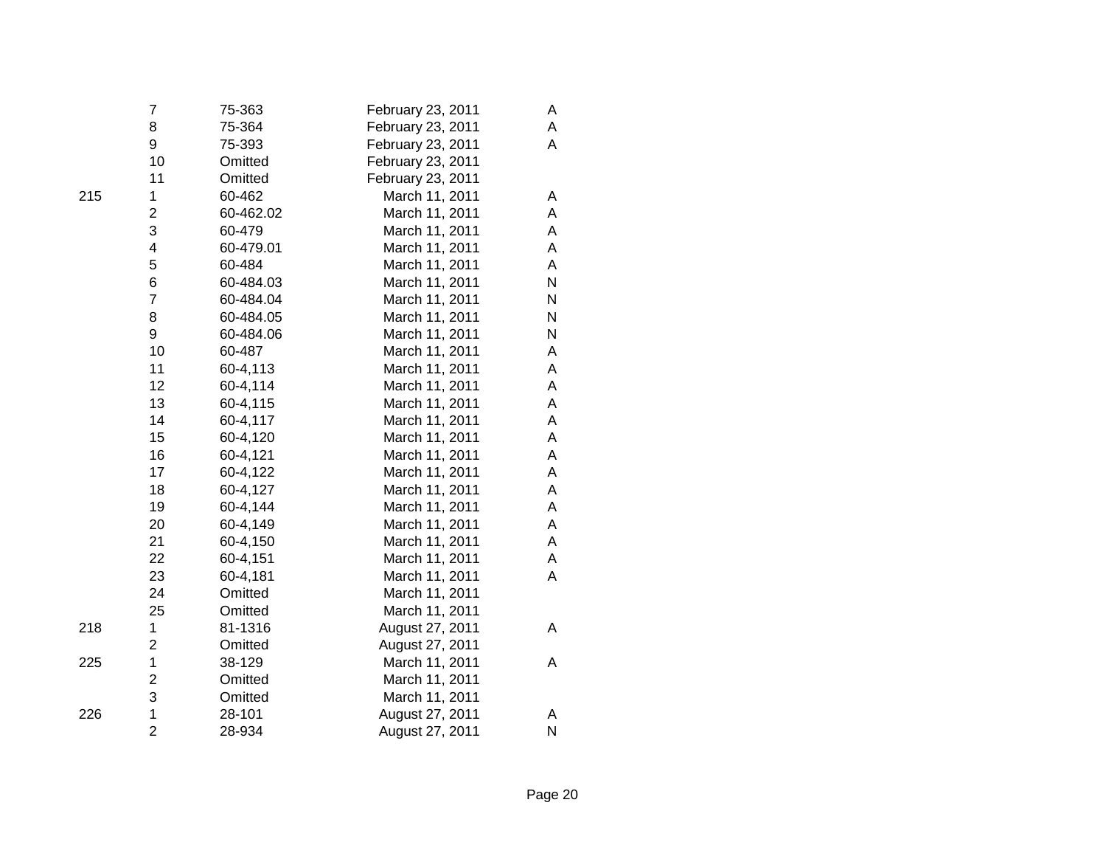|     | 7                       | 75-363    | February 23, 2011 | Α |
|-----|-------------------------|-----------|-------------------|---|
|     | 8                       | 75-364    | February 23, 2011 | A |
|     | 9                       | 75-393    | February 23, 2011 | A |
|     | 10                      | Omitted   | February 23, 2011 |   |
|     | 11                      | Omitted   | February 23, 2011 |   |
| 215 | 1                       | 60-462    | March 11, 2011    | A |
|     | $\overline{\mathbf{c}}$ | 60-462.02 | March 11, 2011    | A |
|     | 3                       | 60-479    | March 11, 2011    | A |
|     | 4                       | 60-479.01 | March 11, 2011    | Α |
|     | 5                       | 60-484    | March 11, 2011    | A |
|     | 6                       | 60-484.03 | March 11, 2011    | N |
|     | $\overline{7}$          | 60-484.04 | March 11, 2011    | N |
|     | 8                       | 60-484.05 | March 11, 2011    | N |
|     | 9                       | 60-484.06 | March 11, 2011    | N |
|     | 10                      | 60-487    | March 11, 2011    | Α |
|     | 11                      | 60-4,113  | March 11, 2011    | Α |
|     | 12                      | 60-4,114  | March 11, 2011    | Α |
|     | 13                      | 60-4,115  | March 11, 2011    | Α |
|     | 14                      | 60-4,117  | March 11, 2011    | A |
|     | 15                      | 60-4,120  | March 11, 2011    | Α |
|     | 16                      | 60-4,121  | March 11, 2011    | Α |
|     | 17                      | 60-4,122  | March 11, 2011    | A |
|     | 18                      | 60-4,127  | March 11, 2011    | Α |
|     | 19                      | 60-4,144  | March 11, 2011    | Α |
|     | 20                      | 60-4,149  | March 11, 2011    | A |
|     | 21                      | 60-4,150  | March 11, 2011    | A |
|     | 22                      | 60-4,151  | March 11, 2011    | A |
|     | 23                      | 60-4,181  | March 11, 2011    | A |
|     | 24                      | Omitted   | March 11, 2011    |   |
|     | 25                      | Omitted   | March 11, 2011    |   |
| 218 | 1                       | 81-1316   | August 27, 2011   | A |
|     | $\overline{2}$          | Omitted   | August 27, 2011   |   |
| 225 | $\mathbf 1$             | 38-129    | March 11, 2011    | A |
|     | $\overline{\mathbf{c}}$ | Omitted   | March 11, 2011    |   |
|     | 3                       | Omitted   | March 11, 2011    |   |
| 226 | $\mathbf 1$             | 28-101    | August 27, 2011   | Α |
|     | $\overline{2}$          | 28-934    | August 27, 2011   | N |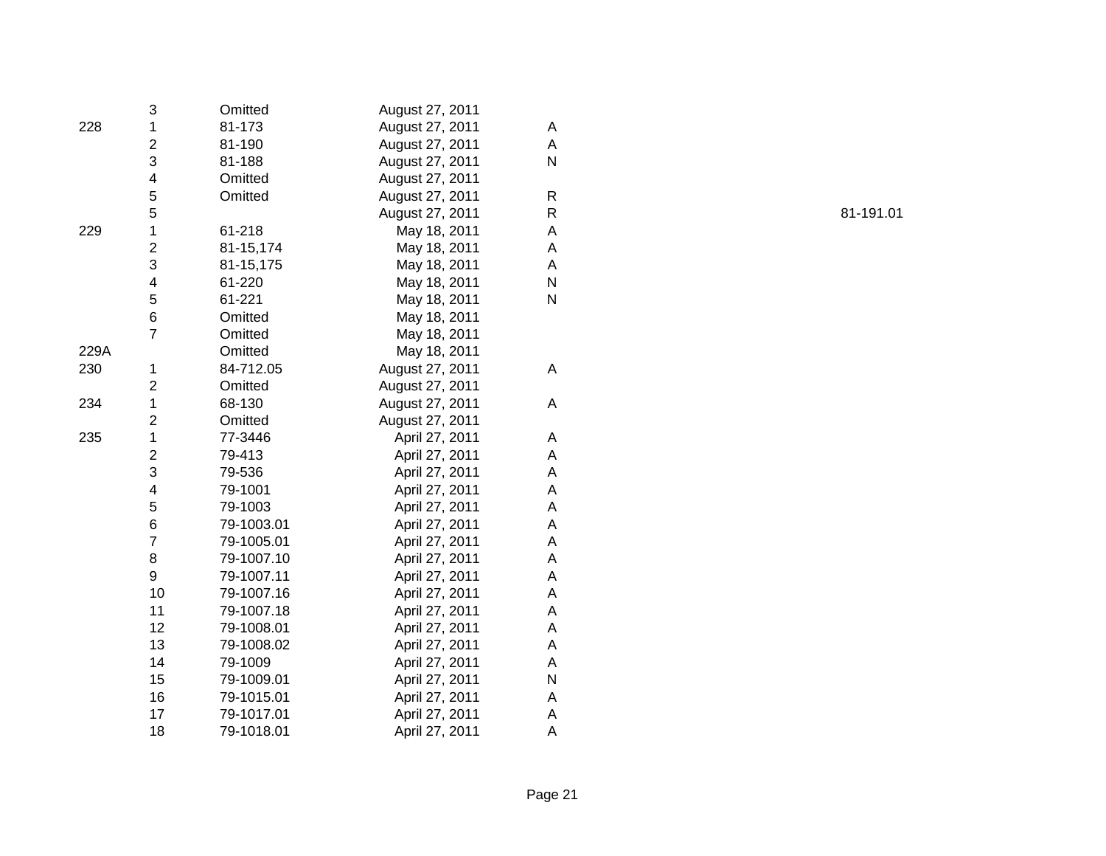|      | 3                       | Omitted    | August 27, 2011 |   |
|------|-------------------------|------------|-----------------|---|
| 228  | 1                       | 81-173     | August 27, 2011 | A |
|      | 2                       | 81-190     | August 27, 2011 | A |
|      | 3                       | 81-188     | August 27, 2011 | N |
|      | 4                       | Omitted    | August 27, 2011 |   |
|      | 5                       | Omitted    | August 27, 2011 | R |
|      | 5                       |            | August 27, 2011 | R |
| 229  | 1                       | 61-218     | May 18, 2011    | A |
|      | $\overline{\mathbf{c}}$ | 81-15,174  | May 18, 2011    | Α |
|      | 3                       | 81-15,175  | May 18, 2011    | Α |
|      | 4                       | 61-220     | May 18, 2011    | N |
|      | 5                       | 61-221     | May 18, 2011    | N |
|      | 6                       | Omitted    | May 18, 2011    |   |
|      | $\overline{7}$          | Omitted    | May 18, 2011    |   |
| 229A |                         | Omitted    | May 18, 2011    |   |
| 230  | 1                       | 84-712.05  | August 27, 2011 | A |
|      | 2                       | Omitted    | August 27, 2011 |   |
| 234  | 1                       | 68-130     | August 27, 2011 | Α |
|      | $\overline{\mathbf{c}}$ | Omitted    | August 27, 2011 |   |
| 235  | $\mathbf 1$             | 77-3446    | April 27, 2011  | Α |
|      | $\overline{\mathbf{c}}$ | 79-413     | April 27, 2011  | A |
|      | 3                       | 79-536     | April 27, 2011  | А |
|      | 4                       | 79-1001    | April 27, 2011  | Α |
|      | 5                       | 79-1003    | April 27, 2011  | А |
|      | 6                       | 79-1003.01 | April 27, 2011  | Α |
|      | $\overline{7}$          | 79-1005.01 | April 27, 2011  | A |
|      | 8                       | 79-1007.10 | April 27, 2011  | A |
|      | 9                       | 79-1007.11 | April 27, 2011  | Α |
|      | 10                      | 79-1007.16 | April 27, 2011  | A |
|      | 11                      | 79-1007.18 | April 27, 2011  | Α |
|      | 12                      | 79-1008.01 | April 27, 2011  | A |
|      | 13                      | 79-1008.02 | April 27, 2011  | Α |
|      | 14                      | 79-1009    | April 27, 2011  | Α |
|      | 15                      | 79-1009.01 | April 27, 2011  | N |
|      | 16                      | 79-1015.01 | April 27, 2011  | A |
|      | 17                      | 79-1017.01 | April 27, 2011  | A |
|      | 18                      | 79-1018.01 | April 27, 2011  | Α |

81-191.01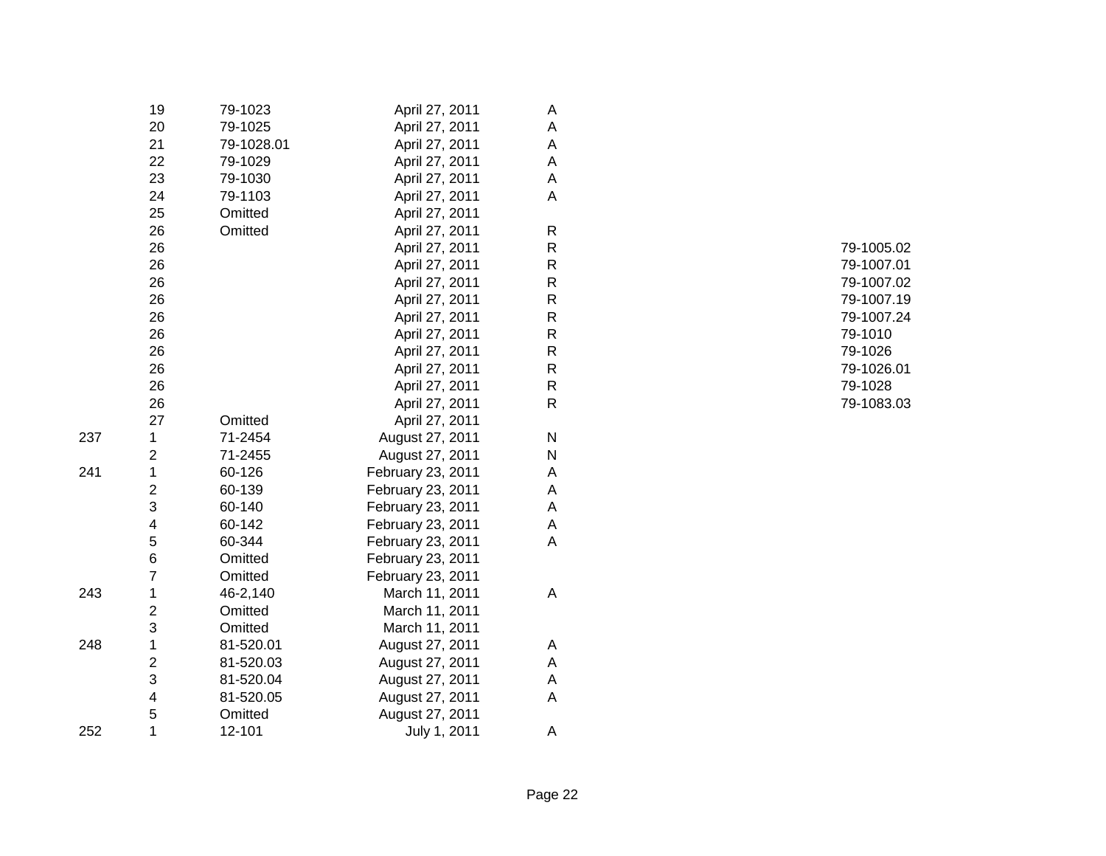|     | 19                      | 79-1023    | April 27, 2011    | A |
|-----|-------------------------|------------|-------------------|---|
|     | 20                      | 79-1025    | April 27, 2011    | A |
|     | 21                      | 79-1028.01 | April 27, 2011    | A |
|     | 22                      | 79-1029    | April 27, 2011    | A |
|     | 23                      | 79-1030    | April 27, 2011    | A |
|     | 24                      | 79-1103    | April 27, 2011    | A |
|     | 25                      | Omitted    | April 27, 2011    |   |
|     | 26                      | Omitted    | April 27, 2011    | R |
|     | 26                      |            | April 27, 2011    | R |
|     | 26                      |            | April 27, 2011    | R |
|     | 26                      |            | April 27, 2011    | R |
|     | 26                      |            | April 27, 2011    | R |
|     | 26                      |            | April 27, 2011    | R |
|     | 26                      |            | April 27, 2011    | R |
|     | 26                      |            | April 27, 2011    | R |
|     | 26                      |            | April 27, 2011    | R |
|     | 26                      |            | April 27, 2011    | R |
|     | 26                      |            | April 27, 2011    | R |
|     | 27                      | Omitted    | April 27, 2011    |   |
| 237 | 1                       | 71-2454    | August 27, 2011   | N |
|     | 2                       | 71-2455    | August 27, 2011   | N |
| 241 | 1                       | 60-126     | February 23, 2011 | A |
|     | 2                       | 60-139     | February 23, 2011 | A |
|     | 3                       | 60-140     | February 23, 2011 | A |
|     | 4                       | 60-142     | February 23, 2011 | A |
|     | 5                       | 60-344     | February 23, 2011 | Α |
|     | 6                       | Omitted    | February 23, 2011 |   |
|     | 7                       | Omitted    | February 23, 2011 |   |
| 243 | 1                       | 46-2,140   | March 11, 2011    | A |
|     | 2                       | Omitted    | March 11, 2011    |   |
|     | 3                       | Omitted    | March 11, 2011    |   |
| 248 | 1                       | 81-520.01  | August 27, 2011   | A |
|     | $\overline{\mathbf{c}}$ | 81-520.03  | August 27, 2011   | A |
|     | 3                       | 81-520.04  | August 27, 2011   | A |
|     | $\overline{\mathbf{4}}$ | 81-520.05  | August 27, 2011   | Α |
|     | 5                       | Omitted    | August 27, 2011   |   |
| 252 | 1                       | 12-101     | July 1, 2011      | Α |

 79-1005.02 79-1007.01 79-1007.02 79-1007.19 79-1007.24 79-1010 79-1026 79-1026.01 79-1028 79-1083.03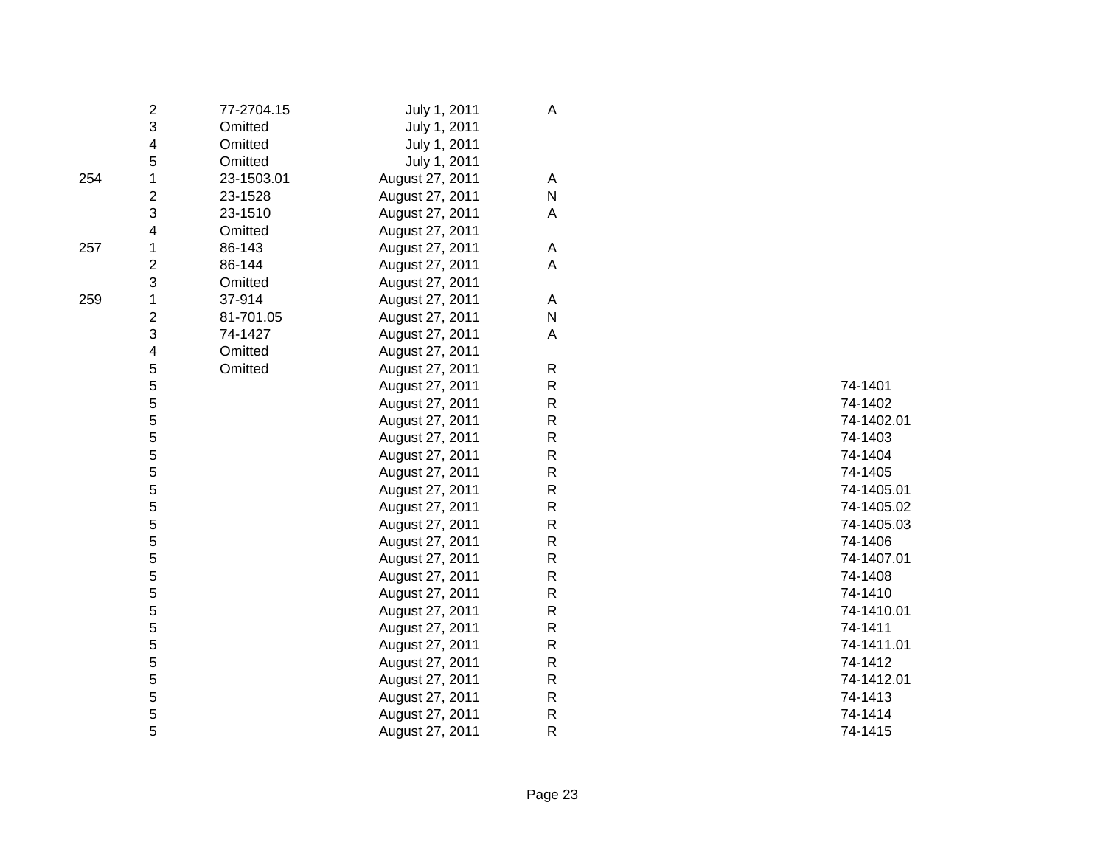|     | 2                       | 77-2704.15 | July 1, 2011    | Α            |            |
|-----|-------------------------|------------|-----------------|--------------|------------|
|     | 3                       | Omitted    | July 1, 2011    |              |            |
|     | 4                       | Omitted    | July 1, 2011    |              |            |
|     | 5                       | Omitted    | July 1, 2011    |              |            |
| 254 |                         | 23-1503.01 | August 27, 2011 | A            |            |
|     | 2                       | 23-1528    | August 27, 2011 | ${\sf N}$    |            |
|     | 3                       | 23-1510    | August 27, 2011 | A            |            |
|     | 4                       | Omitted    | August 27, 2011 |              |            |
| 257 | 1                       | 86-143     | August 27, 2011 | A            |            |
|     | $\overline{\mathbf{c}}$ | 86-144     | August 27, 2011 | A            |            |
|     | 3                       | Omitted    | August 27, 2011 |              |            |
| 259 | 1                       | 37-914     | August 27, 2011 | A            |            |
|     | $\overline{c}$          | 81-701.05  | August 27, 2011 | ${\sf N}$    |            |
|     | 3                       | 74-1427    | August 27, 2011 | A            |            |
|     | 4                       | Omitted    | August 27, 2011 |              |            |
|     | 5                       | Omitted    | August 27, 2011 | ${\sf R}$    |            |
|     | 5                       |            | August 27, 2011 | ${\sf R}$    | 74-1401    |
|     | 5                       |            | August 27, 2011 | ${\sf R}$    | 74-1402    |
|     | 5                       |            | August 27, 2011 | R            | 74-1402.01 |
|     | 5                       |            | August 27, 2011 | R            | 74-1403    |
|     | 5                       |            | August 27, 2011 | R            | 74-1404    |
|     | 5                       |            | August 27, 2011 | ${\sf R}$    | 74-1405    |
|     | 5                       |            | August 27, 2011 | R            | 74-1405.01 |
|     | 5                       |            | August 27, 2011 | R            | 74-1405.02 |
|     | 5                       |            | August 27, 2011 | $\mathsf{R}$ | 74-1405.03 |
|     | 5                       |            | August 27, 2011 | $\mathsf{R}$ | 74-1406    |
|     | 5                       |            | August 27, 2011 | ${\sf R}$    | 74-1407.01 |
|     | 5                       |            | August 27, 2011 | R            | 74-1408    |
|     | 5                       |            | August 27, 2011 | R            | 74-1410    |
|     | 5                       |            | August 27, 2011 | $\mathsf{R}$ | 74-1410.01 |
|     | 5                       |            | August 27, 2011 | R            | 74-1411    |
|     | 5                       |            | August 27, 2011 | ${\sf R}$    | 74-1411.01 |
|     | 5                       |            | August 27, 2011 | R            | 74-1412    |
|     | 5                       |            | August 27, 2011 | R            | 74-1412.01 |
|     | 5                       |            | August 27, 2011 | ${\sf R}$    | 74-1413    |
|     | 5                       |            | August 27, 2011 | ${\sf R}$    | 74-1414    |
|     | 5                       |            | August 27, 2011 | R            | 74-1415    |
|     |                         |            |                 |              |            |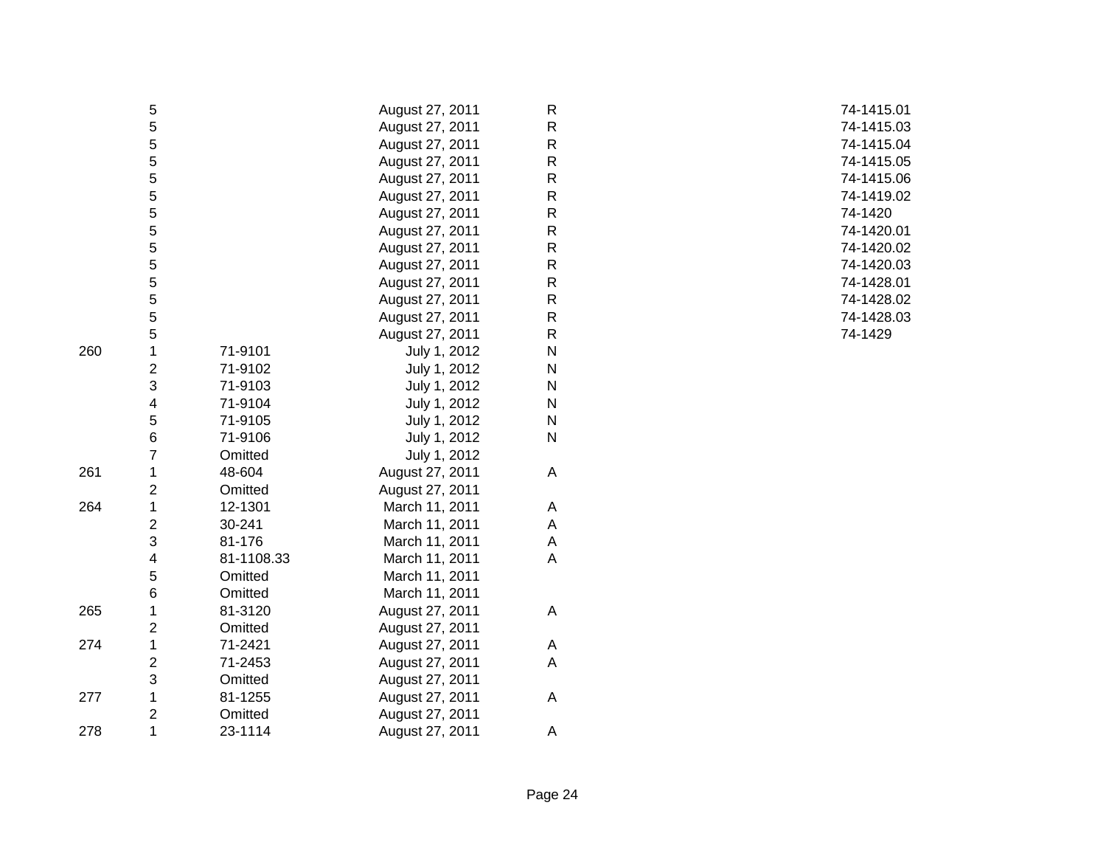|     | 5              |            | August 27, 2011 | R            |  |
|-----|----------------|------------|-----------------|--------------|--|
|     | 5              |            | August 27, 2011 | $\mathsf R$  |  |
|     | 5              |            | August 27, 2011 | $\mathsf R$  |  |
|     | 5              |            | August 27, 2011 | $\mathsf R$  |  |
|     | 5              |            | August 27, 2011 | $\mathsf R$  |  |
|     | 5              |            | August 27, 2011 | R            |  |
|     | 5              |            | August 27, 2011 | R            |  |
|     | 5              |            | August 27, 2011 | R            |  |
|     | 5              |            | August 27, 2011 | R            |  |
|     | 5              |            | August 27, 2011 | $\mathsf{R}$ |  |
|     | 5              |            | August 27, 2011 | R            |  |
|     | 5              |            | August 27, 2011 | $\mathsf R$  |  |
|     | 5              |            | August 27, 2011 | R            |  |
|     | 5              |            | August 27, 2011 | R            |  |
| 260 | 1              | 71-9101    | July 1, 2012    | N            |  |
|     | $\overline{2}$ | 71-9102    | July 1, 2012    | N            |  |
|     | 3              | 71-9103    | July 1, 2012    | N            |  |
|     | 4              | 71-9104    | July 1, 2012    | N            |  |
|     | 5              | 71-9105    | July 1, 2012    | N            |  |
|     | 6              | 71-9106    | July 1, 2012    | N            |  |
|     | $\overline{7}$ | Omitted    | July 1, 2012    |              |  |
| 261 | 1              | 48-604     | August 27, 2011 | Α            |  |
|     | $\overline{2}$ | Omitted    | August 27, 2011 |              |  |
| 264 | 1              | 12-1301    | March 11, 2011  | A            |  |
|     | $\overline{2}$ | 30-241     | March 11, 2011  | Α            |  |
|     | 3              | 81-176     | March 11, 2011  | А            |  |
|     | 4              | 81-1108.33 | March 11, 2011  | А            |  |
|     | 5              | Omitted    | March 11, 2011  |              |  |
|     | 6              | Omitted    | March 11, 2011  |              |  |
| 265 | 1              | 81-3120    | August 27, 2011 | А            |  |
|     | $\overline{2}$ | Omitted    | August 27, 2011 |              |  |
| 274 | 1              | 71-2421    | August 27, 2011 | A            |  |
|     | $\overline{c}$ | 71-2453    | August 27, 2011 | A            |  |
|     | 3              | Omitted    | August 27, 2011 |              |  |
| 277 | $\mathbf 1$    | 81-1255    | August 27, 2011 | A            |  |
|     | $\overline{2}$ | Omitted    | August 27, 2011 |              |  |
| 278 | 1              | 23-1114    | August 27, 2011 | Α            |  |

 74-1415.01 74-1415.03 74-1415.04 74-1415.05 74-1415.06 74-1419.02 R 74-1420 74-1420.01 74-1420.02 74-1420.03 74-1428.01 74-1428.02 74-1428.03 74-1429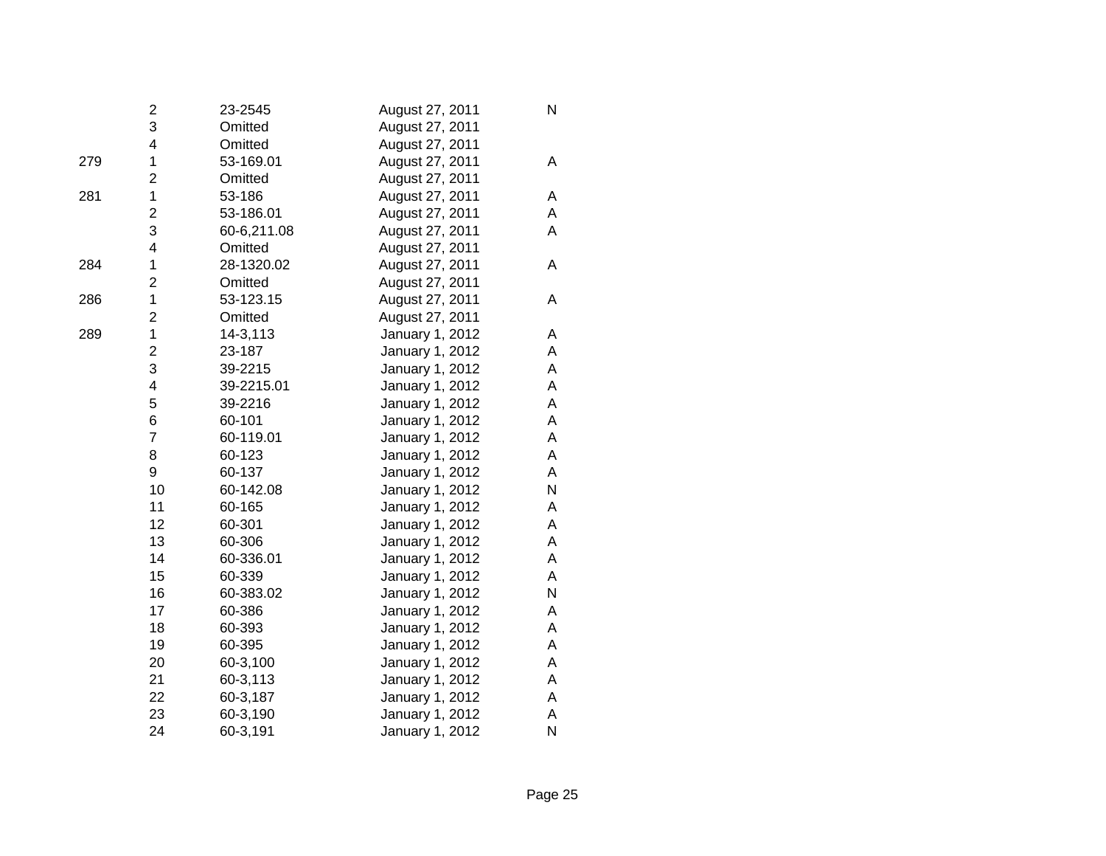|     | 2                       | 23-2545     | August 27, 2011 | N |
|-----|-------------------------|-------------|-----------------|---|
|     | 3                       | Omitted     | August 27, 2011 |   |
|     | 4                       | Omitted     | August 27, 2011 |   |
| 279 | 1                       | 53-169.01   | August 27, 2011 | A |
|     | $\overline{c}$          | Omitted     | August 27, 2011 |   |
| 281 | $\mathbf 1$             | 53-186      | August 27, 2011 | A |
|     | $\overline{\mathbf{c}}$ | 53-186.01   | August 27, 2011 | A |
|     | 3                       | 60-6,211.08 | August 27, 2011 | A |
|     | 4                       | Omitted     | August 27, 2011 |   |
| 284 | $\mathbf 1$             | 28-1320.02  | August 27, 2011 | A |
|     | $\overline{c}$          | Omitted     | August 27, 2011 |   |
| 286 | 1                       | 53-123.15   | August 27, 2011 | A |
|     | $\overline{2}$          | Omitted     | August 27, 2011 |   |
| 289 | $\mathbf{1}$            | 14-3,113    | January 1, 2012 | Α |
|     | $\overline{2}$          | 23-187      | January 1, 2012 | A |
|     | 3                       | 39-2215     | January 1, 2012 | A |
|     | 4                       | 39-2215.01  | January 1, 2012 | A |
|     | 5                       | 39-2216     | January 1, 2012 | A |
|     | 6                       | 60-101      | January 1, 2012 | A |
|     | $\overline{7}$          | 60-119.01   | January 1, 2012 | A |
|     | 8                       | 60-123      | January 1, 2012 | Α |
|     | 9                       | 60-137      | January 1, 2012 | A |
|     | 10                      | 60-142.08   | January 1, 2012 | N |
|     | 11                      | 60-165      | January 1, 2012 | A |
|     | 12                      | 60-301      | January 1, 2012 | A |
|     | 13                      | 60-306      | January 1, 2012 | A |
|     | 14                      | 60-336.01   | January 1, 2012 | A |
|     | 15                      | 60-339      | January 1, 2012 | A |
|     | 16                      | 60-383.02   | January 1, 2012 | N |
|     | 17                      | 60-386      | January 1, 2012 | A |
|     | 18                      | 60-393      | January 1, 2012 | A |
|     | 19                      | 60-395      | January 1, 2012 | A |
|     | 20                      | 60-3,100    | January 1, 2012 | A |
|     | 21                      | 60-3,113    | January 1, 2012 | A |
|     | 22                      | 60-3,187    | January 1, 2012 | A |
|     | 23                      | 60-3,190    | January 1, 2012 | Α |
|     | 24                      | 60-3,191    | January 1, 2012 | N |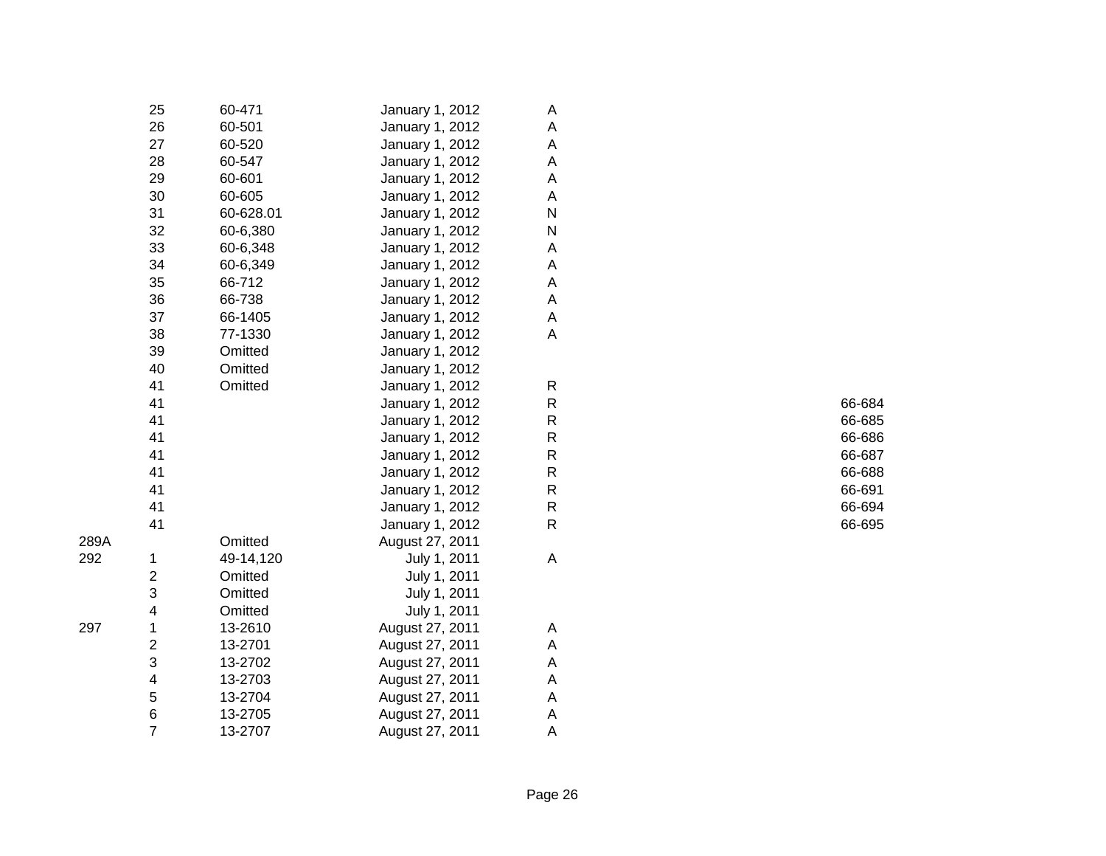|      | 25                      | 60-471    | January 1, 2012 | Α                         |        |
|------|-------------------------|-----------|-----------------|---------------------------|--------|
|      | 26                      | 60-501    | January 1, 2012 | A                         |        |
|      | 27                      | 60-520    | January 1, 2012 | A                         |        |
|      | 28                      | 60-547    | January 1, 2012 | A                         |        |
|      | 29                      | 60-601    | January 1, 2012 | A                         |        |
|      | 30                      | 60-605    | January 1, 2012 | A                         |        |
|      | 31                      | 60-628.01 | January 1, 2012 | ${\sf N}$                 |        |
|      | 32                      | 60-6,380  | January 1, 2012 | ${\sf N}$                 |        |
|      | 33                      | 60-6,348  | January 1, 2012 | A                         |        |
|      | 34                      | 60-6,349  | January 1, 2012 | A                         |        |
|      | 35                      | 66-712    | January 1, 2012 | A                         |        |
|      | 36                      | 66-738    | January 1, 2012 | $\mathsf A$               |        |
|      | 37                      | 66-1405   | January 1, 2012 | A                         |        |
|      | 38                      | 77-1330   | January 1, 2012 | A                         |        |
|      | 39                      | Omitted   | January 1, 2012 |                           |        |
|      | 40                      | Omitted   | January 1, 2012 |                           |        |
|      | 41                      | Omitted   | January 1, 2012 | $\mathsf{R}$              |        |
|      | 41                      |           | January 1, 2012 | ${\sf R}$                 | 66-684 |
|      | 41                      |           | January 1, 2012 | ${\sf R}$                 | 66-685 |
|      | 41                      |           | January 1, 2012 | ${\sf R}$                 | 66-686 |
|      | 41                      |           | January 1, 2012 | ${\sf R}$                 | 66-687 |
|      | 41                      |           | January 1, 2012 | ${\sf R}$                 | 66-688 |
|      | 41                      |           | January 1, 2012 | ${\sf R}$                 | 66-691 |
|      | 41                      |           | January 1, 2012 | ${\sf R}$                 | 66-694 |
|      | 41                      |           | January 1, 2012 | $\mathsf{R}$              | 66-695 |
| 289A |                         | Omitted   | August 27, 2011 |                           |        |
| 292  | 1                       | 49-14,120 | July 1, 2011    | A                         |        |
|      | $\overline{\mathbf{c}}$ | Omitted   | July 1, 2011    |                           |        |
|      | 3                       | Omitted   | July 1, 2011    |                           |        |
|      | 4                       | Omitted   | July 1, 2011    |                           |        |
| 297  | 1                       | 13-2610   | August 27, 2011 | A                         |        |
|      | $\boldsymbol{2}$        | 13-2701   | August 27, 2011 | A                         |        |
|      | 3                       | 13-2702   | August 27, 2011 | A                         |        |
|      | 4                       | 13-2703   | August 27, 2011 | $\boldsymbol{\mathsf{A}}$ |        |
|      | 5                       | 13-2704   | August 27, 2011 | A                         |        |
|      | 6                       | 13-2705   | August 27, 2011 | A                         |        |
|      | $\overline{7}$          | 13-2707   | August 27, 2011 | A                         |        |
|      |                         |           |                 |                           |        |

| R | 66-684               |
|---|----------------------|
| R | 66-685               |
| R | 66-686               |
| R | 66-687               |
| R | 66-688               |
| R | 66-691               |
| R | 66-694               |
| - | $\sim$ $\sim$ $\sim$ |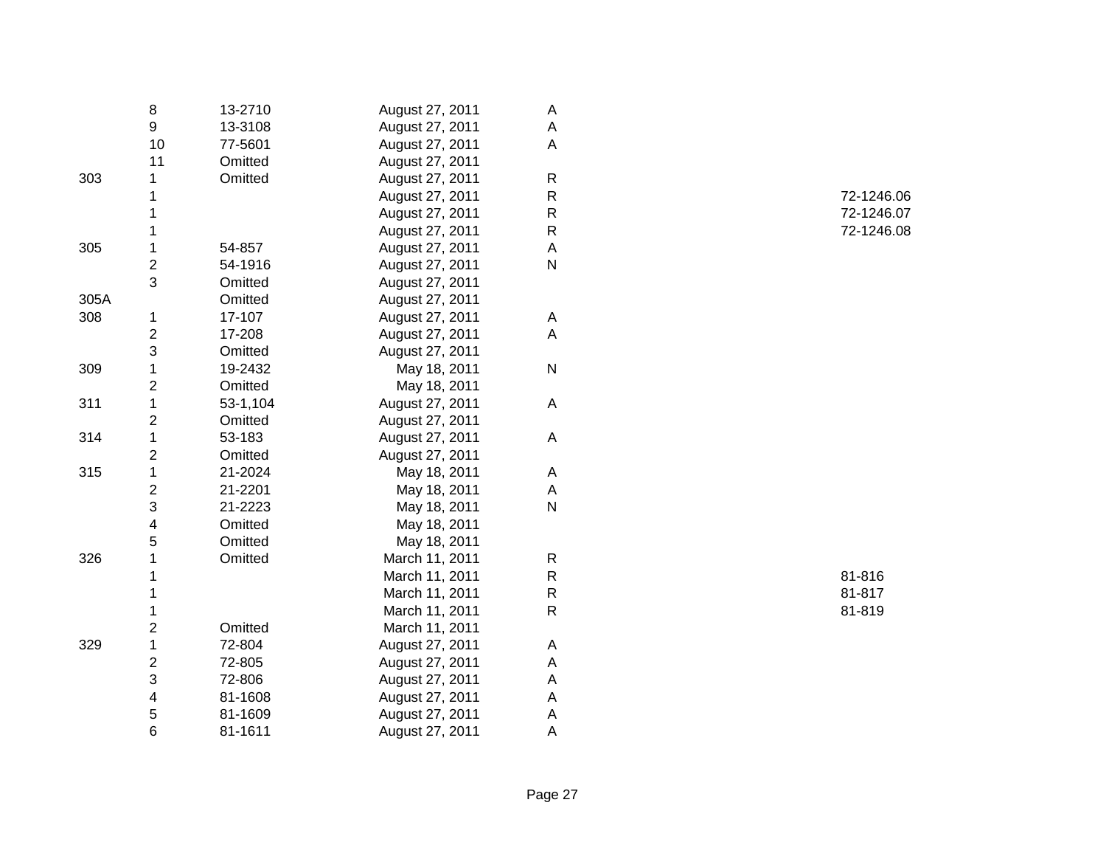|      | 8                       | 13-2710  | August 27, 2011 | A            |        |
|------|-------------------------|----------|-----------------|--------------|--------|
|      | 9                       | 13-3108  | August 27, 2011 | Α            |        |
|      | 10                      | 77-5601  | August 27, 2011 | A            |        |
|      | 11                      | Omitted  | August 27, 2011 |              |        |
| 303  | 1                       | Omitted  | August 27, 2011 | ${\sf R}$    |        |
|      |                         |          | August 27, 2011 | R            | 72-124 |
|      |                         |          | August 27, 2011 | R            | 72-124 |
|      |                         |          | August 27, 2011 | R            | 72-124 |
| 305  |                         | 54-857   | August 27, 2011 | A            |        |
|      | $\boldsymbol{2}$        | 54-1916  | August 27, 2011 | $\mathsf{N}$ |        |
|      | 3                       | Omitted  | August 27, 2011 |              |        |
| 305A |                         | Omitted  | August 27, 2011 |              |        |
| 308  | 1                       | 17-107   | August 27, 2011 | A            |        |
|      | $\boldsymbol{2}$        | 17-208   | August 27, 2011 | A            |        |
|      | 3                       | Omitted  | August 27, 2011 |              |        |
| 309  | 1                       | 19-2432  | May 18, 2011    | ${\sf N}$    |        |
|      | $\overline{\mathbf{c}}$ | Omitted  | May 18, 2011    |              |        |
| 311  | 1                       | 53-1,104 | August 27, 2011 | A            |        |
|      | $\overline{\mathbf{c}}$ | Omitted  | August 27, 2011 |              |        |
| 314  | 1                       | 53-183   | August 27, 2011 | A            |        |
|      | $\overline{2}$          | Omitted  | August 27, 2011 |              |        |
| 315  | 1                       | 21-2024  | May 18, 2011    | Α            |        |
|      | $\overline{2}$          | 21-2201  | May 18, 2011    | Α            |        |
|      | 3                       | 21-2223  | May 18, 2011    | ${\sf N}$    |        |
|      | 4                       | Omitted  | May 18, 2011    |              |        |
|      | 5                       | Omitted  | May 18, 2011    |              |        |
| 326  |                         | Omitted  | March 11, 2011  | R            |        |
|      |                         |          | March 11, 2011  | R            | 81-816 |
|      |                         |          | March 11, 2011  | R            | 81-817 |
|      |                         |          | March 11, 2011  | R            | 81-819 |
|      | 2                       | Omitted  | March 11, 2011  |              |        |
| 329  | 1                       | 72-804   | August 27, 2011 | Α            |        |
|      | 2                       | 72-805   | August 27, 2011 | А            |        |
|      | 3                       | 72-806   | August 27, 2011 | A            |        |
|      | 4                       | 81-1608  | August 27, 2011 | A            |        |
|      | 5                       | 81-1609  | August 27, 2011 | A            |        |
|      | 6                       | 81-1611  | August 27, 2011 | A            |        |

 72-1246.06 72-1246.07 72-1246.08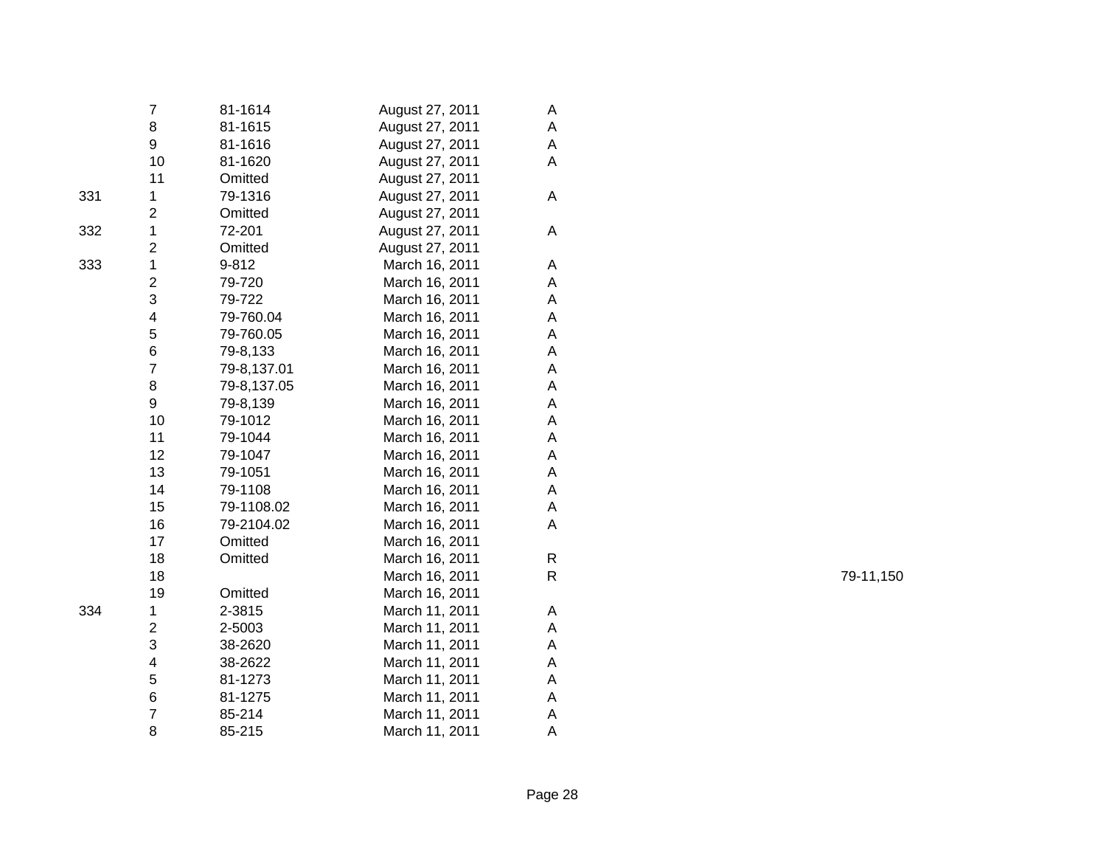|     | 7                       | 81-1614     | August 27, 2011 | Α |
|-----|-------------------------|-------------|-----------------|---|
|     | 8                       | 81-1615     | August 27, 2011 | A |
|     | 9                       | 81-1616     | August 27, 2011 | A |
|     | 10                      | 81-1620     | August 27, 2011 | Α |
|     | 11                      | Omitted     | August 27, 2011 |   |
| 331 | $\mathbf 1$             | 79-1316     | August 27, 2011 | A |
|     | $\overline{\mathbf{c}}$ | Omitted     | August 27, 2011 |   |
| 332 | $\mathbf{1}$            | 72-201      | August 27, 2011 | A |
|     | $\overline{\mathbf{c}}$ | Omitted     | August 27, 2011 |   |
| 333 | $\mathbf 1$             | 9-812       | March 16, 2011  | A |
|     | $\overline{2}$          | 79-720      | March 16, 2011  | A |
|     | 3                       | 79-722      | March 16, 2011  | A |
|     | $\overline{\mathbf{4}}$ | 79-760.04   | March 16, 2011  | A |
|     | 5                       | 79-760.05   | March 16, 2011  | A |
|     | 6                       | 79-8,133    | March 16, 2011  | A |
|     | $\overline{7}$          | 79-8,137.01 | March 16, 2011  | A |
|     | 8                       | 79-8,137.05 | March 16, 2011  | A |
|     | 9                       | 79-8,139    | March 16, 2011  | A |
|     | 10                      | 79-1012     | March 16, 2011  | A |
|     | 11                      | 79-1044     | March 16, 2011  | A |
|     | 12                      | 79-1047     | March 16, 2011  | A |
|     | 13                      | 79-1051     | March 16, 2011  | A |
|     | 14                      | 79-1108     | March 16, 2011  | A |
|     | 15                      | 79-1108.02  | March 16, 2011  | A |
|     | 16                      | 79-2104.02  | March 16, 2011  | A |
|     | 17                      | Omitted     | March 16, 2011  |   |
|     | 18                      | Omitted     | March 16, 2011  | R |
|     | 18                      |             | March 16, 2011  | R |
|     | 19                      | Omitted     | March 16, 2011  |   |
| 334 | 1                       | 2-3815      | March 11, 2011  | A |
|     | $\overline{c}$          | 2-5003      | March 11, 2011  | A |
|     | 3                       | 38-2620     | March 11, 2011  | A |
|     | 4                       | 38-2622     | March 11, 2011  | A |
|     | 5                       | 81-1273     | March 11, 2011  | A |
|     | 6                       | 81-1275     | March 11, 2011  | A |
|     | $\overline{7}$          | 85-214      | March 11, 2011  | Α |
|     | 8                       | 85-215      | March 11, 2011  | Α |

79-11,150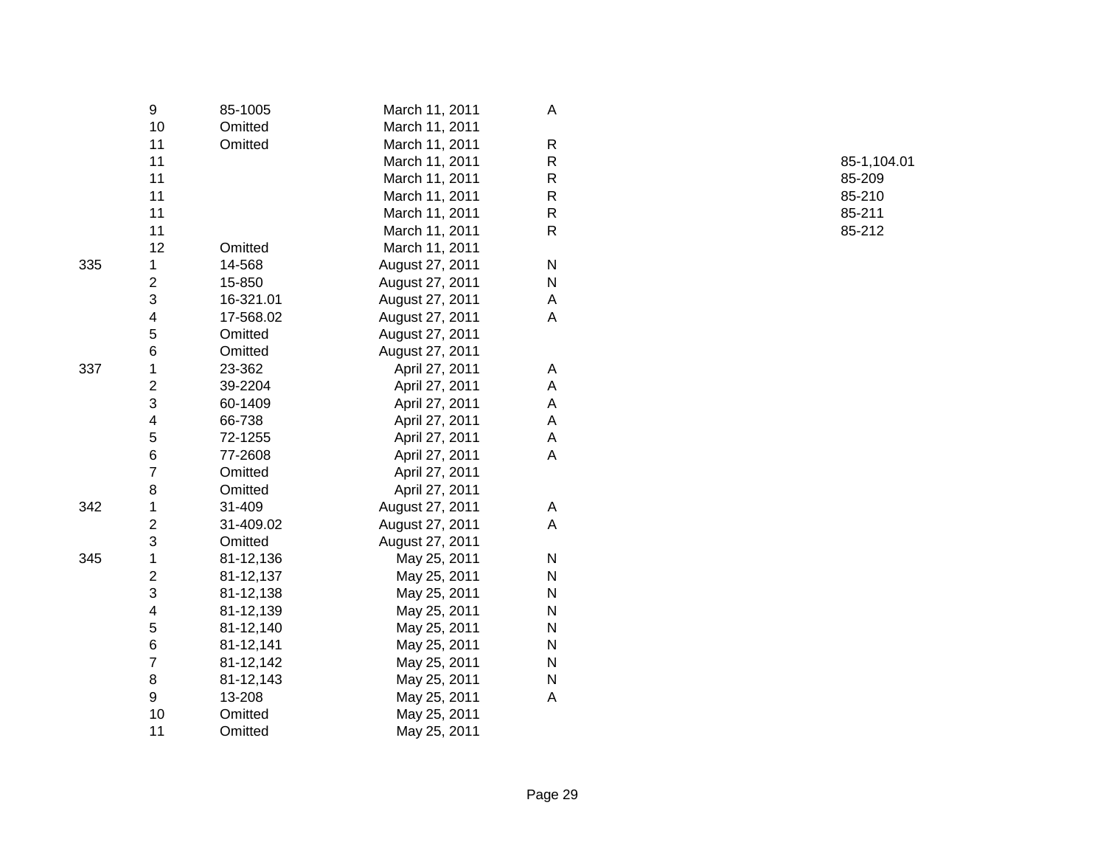|     | 9                       | 85-1005   | March 11, 2011  | Α            |             |
|-----|-------------------------|-----------|-----------------|--------------|-------------|
|     | 10                      | Omitted   | March 11, 2011  |              |             |
|     | 11                      | Omitted   | March 11, 2011  | R            |             |
|     | 11                      |           | March 11, 2011  | ${\sf R}$    | $85 - 1,10$ |
|     | 11                      |           | March 11, 2011  | ${\sf R}$    | 85-209      |
|     | 11                      |           | March 11, 2011  | R            | 85-210      |
|     | 11                      |           | March 11, 2011  | ${\sf R}$    | 85-211      |
|     | 11                      |           | March 11, 2011  | ${\sf R}$    | 85-212      |
|     | 12                      | Omitted   | March 11, 2011  |              |             |
| 335 | 1                       | 14-568    | August 27, 2011 | N            |             |
|     | 2                       | 15-850    | August 27, 2011 | ${\sf N}$    |             |
|     | 3                       | 16-321.01 | August 27, 2011 | Α            |             |
|     | 4                       | 17-568.02 | August 27, 2011 | Α            |             |
|     | 5                       | Omitted   | August 27, 2011 |              |             |
|     | 6                       | Omitted   | August 27, 2011 |              |             |
| 337 | 1                       | 23-362    | April 27, 2011  | A            |             |
|     | $\overline{\mathbf{c}}$ | 39-2204   | April 27, 2011  | Α            |             |
|     | 3                       | 60-1409   | April 27, 2011  | Α            |             |
|     | 4                       | 66-738    | April 27, 2011  | Α            |             |
|     | 5                       | 72-1255   | April 27, 2011  | Α            |             |
|     | 6                       | 77-2608   | April 27, 2011  | A            |             |
|     | 7                       | Omitted   | April 27, 2011  |              |             |
|     | 8                       | Omitted   | April 27, 2011  |              |             |
| 342 | 1                       | 31-409    | August 27, 2011 | A            |             |
|     | 2                       | 31-409.02 | August 27, 2011 | Α            |             |
|     | 3                       | Omitted   | August 27, 2011 |              |             |
| 345 | 1                       | 81-12,136 | May 25, 2011    | N            |             |
|     | $\overline{\mathbf{c}}$ | 81-12,137 | May 25, 2011    | $\mathsf{N}$ |             |
|     | 3                       | 81-12,138 | May 25, 2011    | N            |             |
|     | 4                       | 81-12,139 | May 25, 2011    | $\mathsf{N}$ |             |
|     | 5                       | 81-12,140 | May 25, 2011    | N            |             |
|     | 6                       | 81-12,141 | May 25, 2011    | N            |             |
|     | 7                       | 81-12,142 | May 25, 2011    | N            |             |
|     | 8                       | 81-12,143 | May 25, 2011    | $\mathsf{N}$ |             |
|     | 9                       | 13-208    | May 25, 2011    | Α            |             |
|     | 10                      | Omitted   | May 25, 2011    |              |             |
|     | 11                      | Omitted   | May 25, 2011    |              |             |
|     |                         |           |                 |              |             |

 85-1,104.01 R 85-209 R 85-210 R 85-211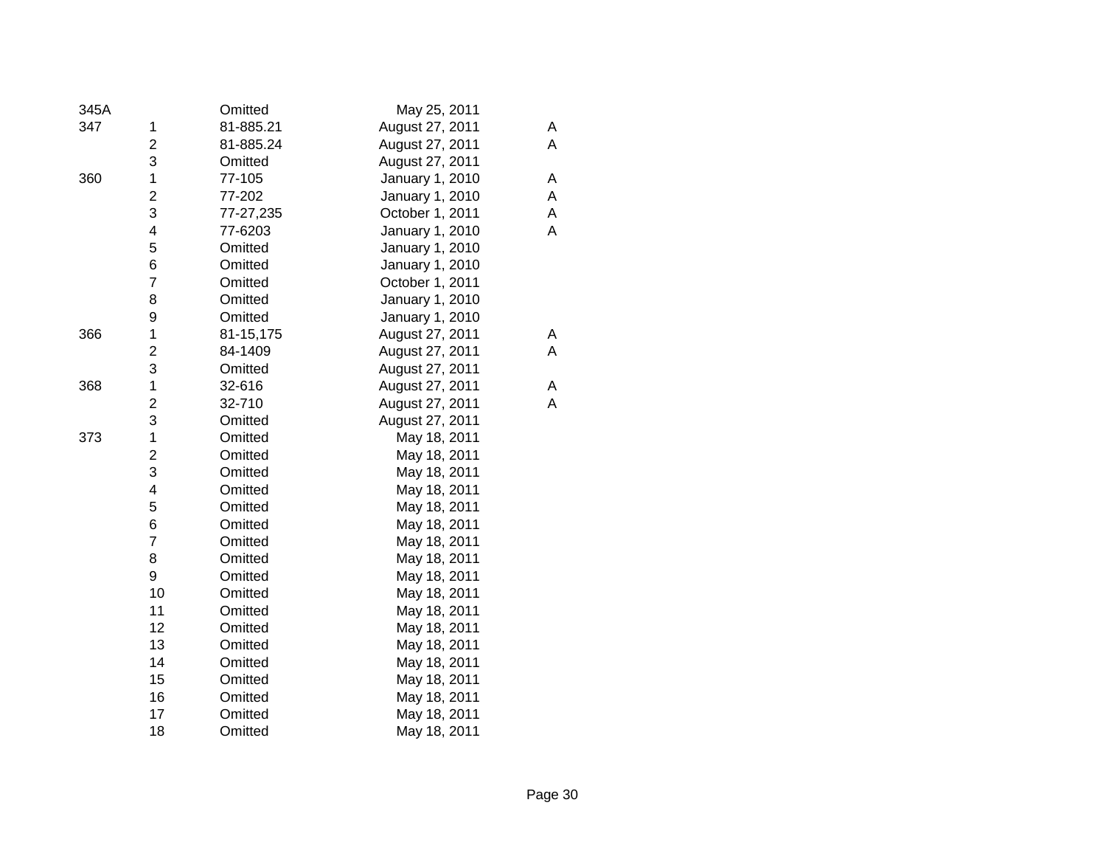| 345A |                         | Omitted   | May 25, 2011    |   |
|------|-------------------------|-----------|-----------------|---|
| 347  | 1                       | 81-885.21 | August 27, 2011 | Α |
|      | $\overline{\mathbf{c}}$ | 81-885.24 | August 27, 2011 | Α |
|      | 3                       | Omitted   | August 27, 2011 |   |
| 360  | $\mathbf 1$             | 77-105    | January 1, 2010 | A |
|      | $\overline{c}$          | 77-202    | January 1, 2010 | Α |
|      | 3                       | 77-27,235 | October 1, 2011 | Α |
|      | $\overline{\mathbf{4}}$ | 77-6203   | January 1, 2010 | Α |
|      | 5                       | Omitted   | January 1, 2010 |   |
|      | 6                       | Omitted   | January 1, 2010 |   |
|      | $\overline{7}$          | Omitted   | October 1, 2011 |   |
|      | 8                       | Omitted   | January 1, 2010 |   |
|      | 9                       | Omitted   | January 1, 2010 |   |
| 366  | $\mathbf 1$             | 81-15,175 | August 27, 2011 | A |
|      | $\overline{c}$          | 84-1409   | August 27, 2011 | A |
|      | 3                       | Omitted   | August 27, 2011 |   |
| 368  | $\mathbf 1$             | 32-616    | August 27, 2011 | Α |
|      | $\overline{c}$          | 32-710    | August 27, 2011 | A |
|      | 3                       | Omitted   | August 27, 2011 |   |
| 373  | $\mathbf 1$             | Omitted   | May 18, 2011    |   |
|      | $\overline{c}$          | Omitted   | May 18, 2011    |   |
|      | 3                       | Omitted   | May 18, 2011    |   |
|      | $\overline{\mathbf{4}}$ | Omitted   | May 18, 2011    |   |
|      | 5                       | Omitted   | May 18, 2011    |   |
|      | 6                       | Omitted   | May 18, 2011    |   |
|      | $\overline{7}$          | Omitted   | May 18, 2011    |   |
|      | 8                       | Omitted   | May 18, 2011    |   |
|      | 9                       | Omitted   | May 18, 2011    |   |
|      | 10                      | Omitted   | May 18, 2011    |   |
|      | 11                      | Omitted   | May 18, 2011    |   |
|      | 12                      | Omitted   | May 18, 2011    |   |
|      | 13                      | Omitted   | May 18, 2011    |   |
|      | 14                      | Omitted   | May 18, 2011    |   |
|      | 15                      | Omitted   | May 18, 2011    |   |
|      | 16                      | Omitted   | May 18, 2011    |   |
|      | 17                      | Omitted   | May 18, 2011    |   |
|      | 18                      | Omitted   | May 18, 2011    |   |
|      |                         |           |                 |   |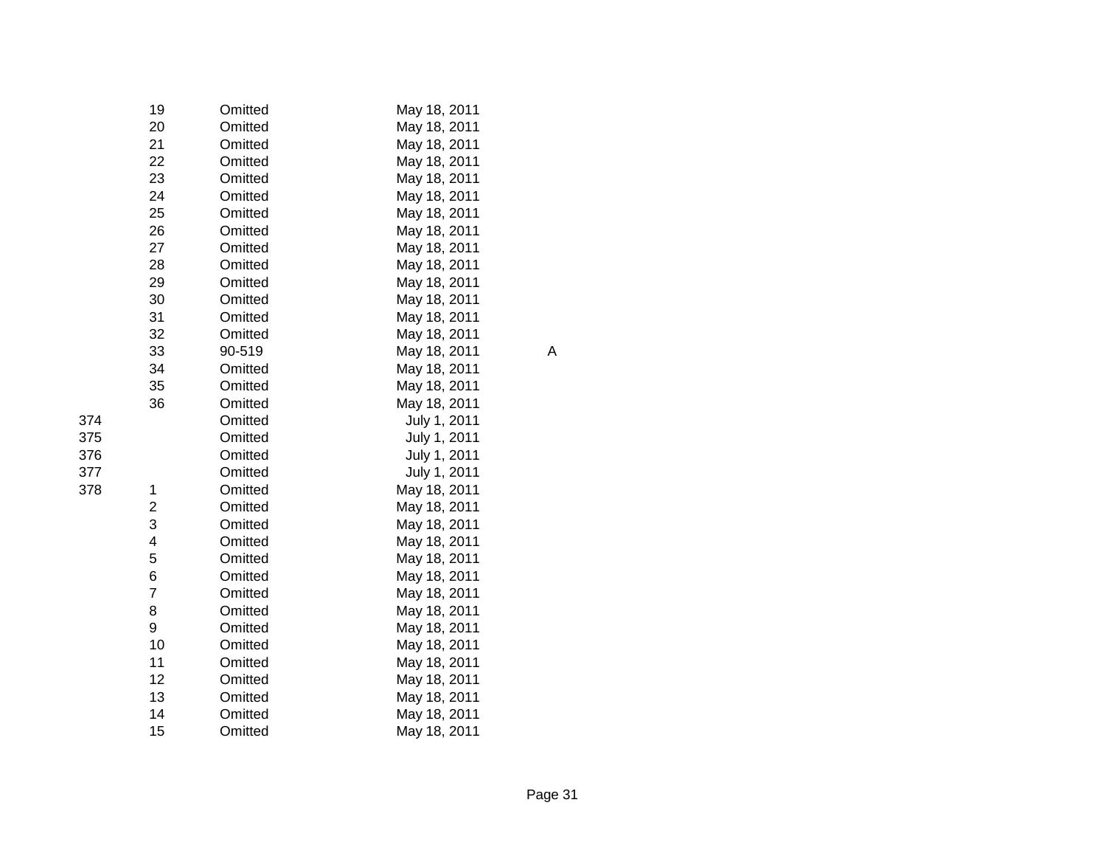|     | 19 | Omitted | May 18, 2011 |   |
|-----|----|---------|--------------|---|
|     | 20 | Omitted | May 18, 2011 |   |
|     | 21 | Omitted | May 18, 2011 |   |
|     | 22 | Omitted | May 18, 2011 |   |
|     | 23 | Omitted | May 18, 2011 |   |
|     | 24 | Omitted | May 18, 2011 |   |
|     | 25 | Omitted | May 18, 2011 |   |
|     | 26 | Omitted | May 18, 2011 |   |
|     | 27 | Omitted | May 18, 2011 |   |
|     | 28 | Omitted | May 18, 2011 |   |
|     | 29 | Omitted | May 18, 2011 |   |
|     | 30 | Omitted | May 18, 2011 |   |
|     | 31 | Omitted | May 18, 2011 |   |
|     | 32 | Omitted | May 18, 2011 |   |
|     | 33 | 90-519  | May 18, 2011 | A |
|     | 34 | Omitted | May 18, 2011 |   |
|     | 35 | Omitted | May 18, 2011 |   |
|     | 36 | Omitted | May 18, 2011 |   |
| 374 |    | Omitted | July 1, 2011 |   |
| 375 |    | Omitted | July 1, 2011 |   |
| 376 |    | Omitted | July 1, 2011 |   |
| 377 |    | Omitted | July 1, 2011 |   |
| 378 | 1  | Omitted | May 18, 2011 |   |
|     | 2  | Omitted | May 18, 2011 |   |
|     | 3  | Omitted | May 18, 2011 |   |
|     | 4  | Omitted | May 18, 2011 |   |
|     | 5  | Omitted | May 18, 2011 |   |
|     | 6  | Omitted | May 18, 2011 |   |
|     | 7  | Omitted | May 18, 2011 |   |
|     | 8  | Omitted | May 18, 2011 |   |
|     | 9  | Omitted | May 18, 2011 |   |
|     | 10 | Omitted | May 18, 2011 |   |
|     | 11 | Omitted | May 18, 2011 |   |
|     | 12 | Omitted | May 18, 2011 |   |
|     | 13 | Omitted | May 18, 2011 |   |
|     | 14 | Omitted | May 18, 2011 |   |
|     | 15 | Omitted | May 18, 2011 |   |

| 374 |  |
|-----|--|
| 375 |  |
| 376 |  |
| 377 |  |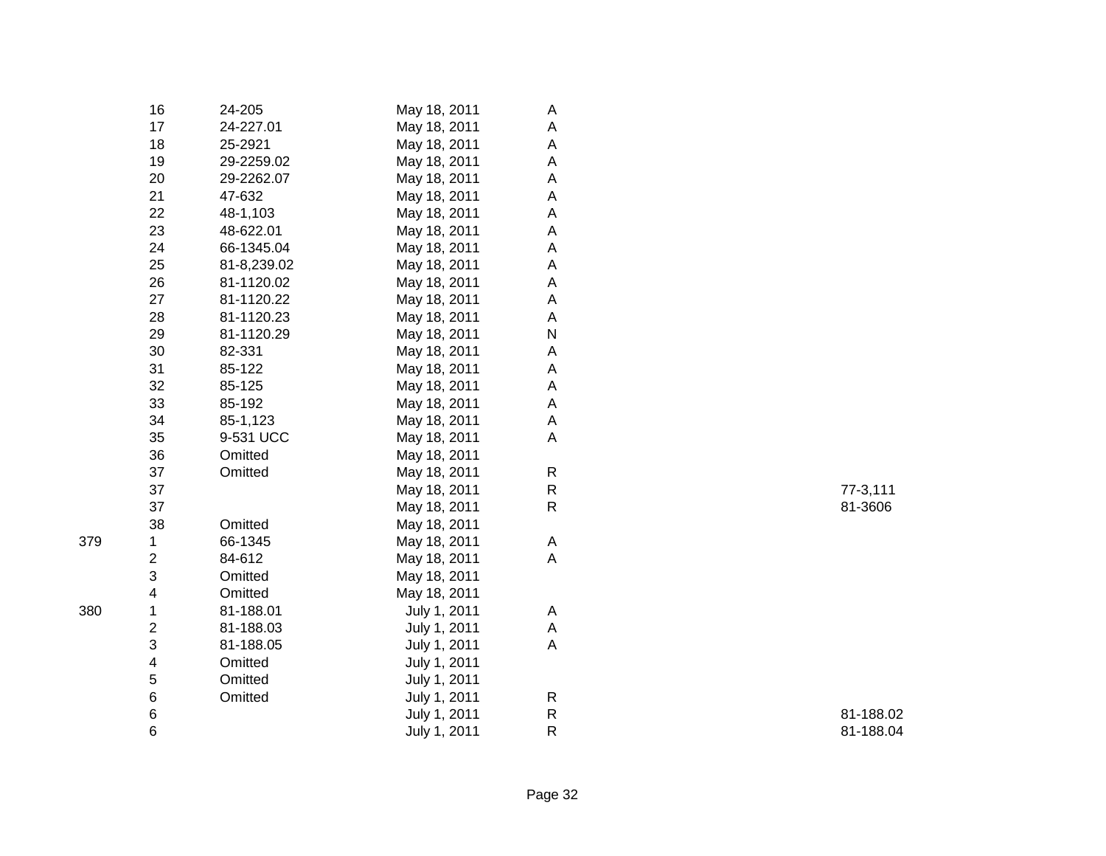|     | 16                      | 24-205      | May 18, 2011 | A            |           |
|-----|-------------------------|-------------|--------------|--------------|-----------|
|     | 17                      | 24-227.01   | May 18, 2011 | Α            |           |
|     | 18                      | 25-2921     | May 18, 2011 | А            |           |
|     | 19                      | 29-2259.02  | May 18, 2011 | Α            |           |
|     | 20                      | 29-2262.07  | May 18, 2011 | Α            |           |
|     | 21                      | 47-632      | May 18, 2011 | Α            |           |
|     | 22                      | 48-1,103    | May 18, 2011 | Α            |           |
|     | 23                      | 48-622.01   | May 18, 2011 | Α            |           |
|     | 24                      | 66-1345.04  | May 18, 2011 | Α            |           |
|     | 25                      | 81-8,239.02 | May 18, 2011 | Α            |           |
|     | 26                      | 81-1120.02  | May 18, 2011 | А            |           |
|     | 27                      | 81-1120.22  | May 18, 2011 | Α            |           |
|     | 28                      | 81-1120.23  | May 18, 2011 | A            |           |
|     | 29                      | 81-1120.29  | May 18, 2011 | N            |           |
|     | 30                      | 82-331      | May 18, 2011 | Α            |           |
|     | 31                      | 85-122      | May 18, 2011 | Α            |           |
|     | 32                      | 85-125      | May 18, 2011 | Α            |           |
|     | 33                      | 85-192      | May 18, 2011 | Α            |           |
|     | 34                      | 85-1,123    | May 18, 2011 | A            |           |
|     | 35                      | 9-531 UCC   | May 18, 2011 | A            |           |
|     | 36                      | Omitted     | May 18, 2011 |              |           |
|     | 37                      | Omitted     | May 18, 2011 | ${\sf R}$    |           |
|     | 37                      |             | May 18, 2011 | $\mathsf{R}$ | 77-3,111  |
|     | 37                      |             | May 18, 2011 | $\mathsf{R}$ | 81-3606   |
|     | 38                      | Omitted     | May 18, 2011 |              |           |
| 379 | 1                       | 66-1345     | May 18, 2011 | A            |           |
|     | $\overline{\mathbf{c}}$ | 84-612      | May 18, 2011 | A            |           |
|     | 3                       | Omitted     | May 18, 2011 |              |           |
|     | 4                       | Omitted     | May 18, 2011 |              |           |
| 380 | 1                       | 81-188.01   | July 1, 2011 | A            |           |
|     | $\overline{\mathbf{c}}$ | 81-188.03   | July 1, 2011 | A            |           |
|     | 3                       | 81-188.05   | July 1, 2011 | A            |           |
|     | 4                       | Omitted     | July 1, 2011 |              |           |
|     | 5                       | Omitted     | July 1, 2011 |              |           |
|     | $\,6$                   | Omitted     | July 1, 2011 | $\mathsf{R}$ |           |
|     | $\,6$                   |             | July 1, 2011 | ${\sf R}$    | 81-188.02 |
|     | 6                       |             | July 1, 2011 | ${\sf R}$    | 81-188.04 |
|     |                         |             |              |              |           |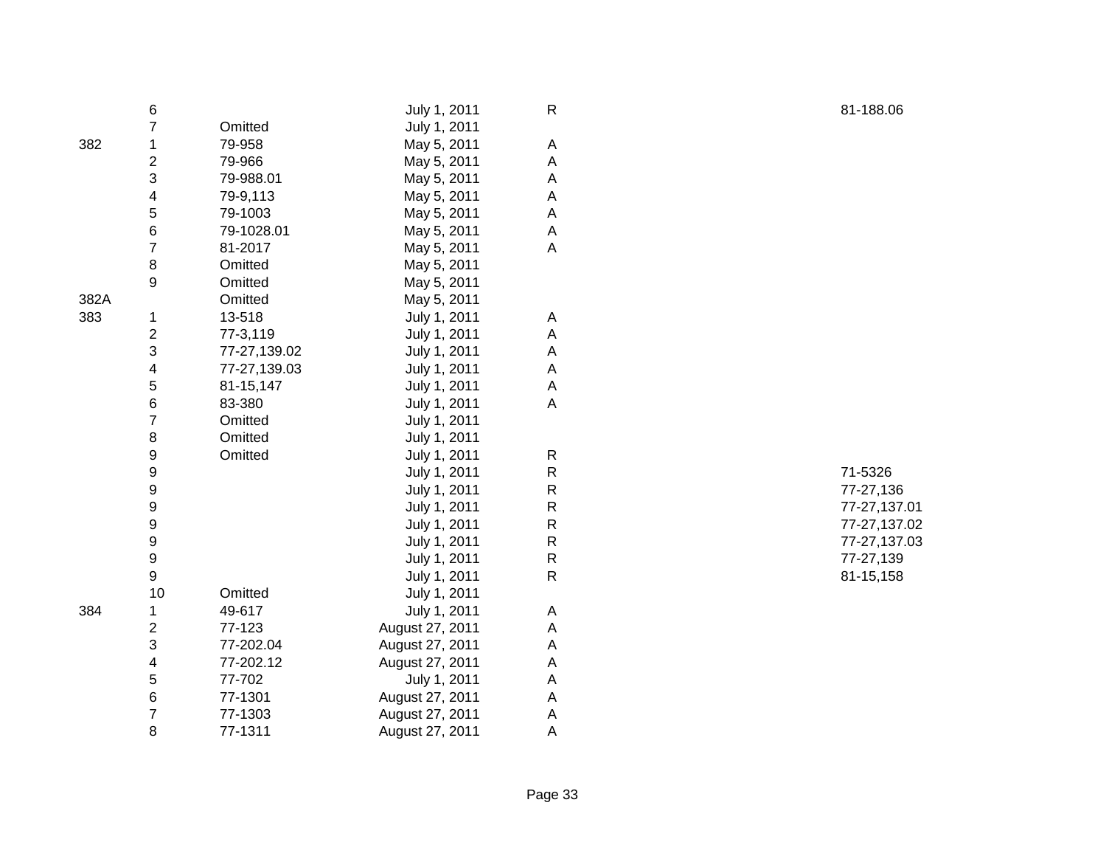|      | 6                       |              | July 1, 2011    | R           |
|------|-------------------------|--------------|-----------------|-------------|
|      | $\overline{7}$          | Omitted      | July 1, 2011    |             |
| 382  | 1                       | 79-958       | May 5, 2011     | Α           |
|      | $\overline{\mathbf{c}}$ | 79-966       | May 5, 2011     | A           |
|      | 3                       | 79-988.01    | May 5, 2011     | A           |
|      | 4                       | 79-9,113     | May 5, 2011     | A           |
|      | 5                       | 79-1003      | May 5, 2011     | A           |
|      | 6                       | 79-1028.01   | May 5, 2011     | A           |
|      | $\overline{7}$          | 81-2017      | May 5, 2011     | A           |
|      | 8                       | Omitted      | May 5, 2011     |             |
|      | 9                       | Omitted      | May 5, 2011     |             |
| 382A |                         | Omitted      | May 5, 2011     |             |
| 383  | 1                       | 13-518       | July 1, 2011    | Α           |
|      | 2                       | 77-3,119     | July 1, 2011    | Α           |
|      | 3                       | 77-27,139.02 | July 1, 2011    | A           |
|      | 4                       | 77-27,139.03 | July 1, 2011    | Α           |
|      | 5                       | 81-15,147    | July 1, 2011    | А           |
|      | 6                       | 83-380       | July 1, 2011    | Α           |
|      | $\overline{7}$          | Omitted      | July 1, 2011    |             |
|      | 8                       | Omitted      | July 1, 2011    |             |
|      | 9                       | Omitted      | July 1, 2011    | R           |
|      | 9                       |              | July 1, 2011    | R           |
|      | 9                       |              | July 1, 2011    | R           |
|      | 9                       |              | July 1, 2011    | R           |
|      | 9                       |              | July 1, 2011    | R           |
|      | 9                       |              | July 1, 2011    | $\mathsf R$ |
|      | 9                       |              | July 1, 2011    | R           |
|      | 9                       |              | July 1, 2011    | $\mathsf R$ |
|      | 10                      | Omitted      | July 1, 2011    |             |
|      | 1                       | 49-617       | July 1, 2011    | Α           |
|      | 2                       | 77-123       | August 27, 2011 | A           |
|      | 3                       | 77-202.04    | August 27, 2011 | A           |
|      | 4                       | 77-202.12    | August 27, 2011 | A           |
| 384  | 5                       | 77-702       | July 1, 2011    | A           |
|      | 6                       | 77-1301      | August 27, 2011 | A           |
|      | $\overline{7}$          | 77-1303      | August 27, 2011 | А           |
|      | 8                       | 77-1311      | August 27, 2011 | A           |

 71-5326 77-27,136 77-27,137.01 77-27,137.02 77-27,137.03 77-27,139 81-15,158

81-188.06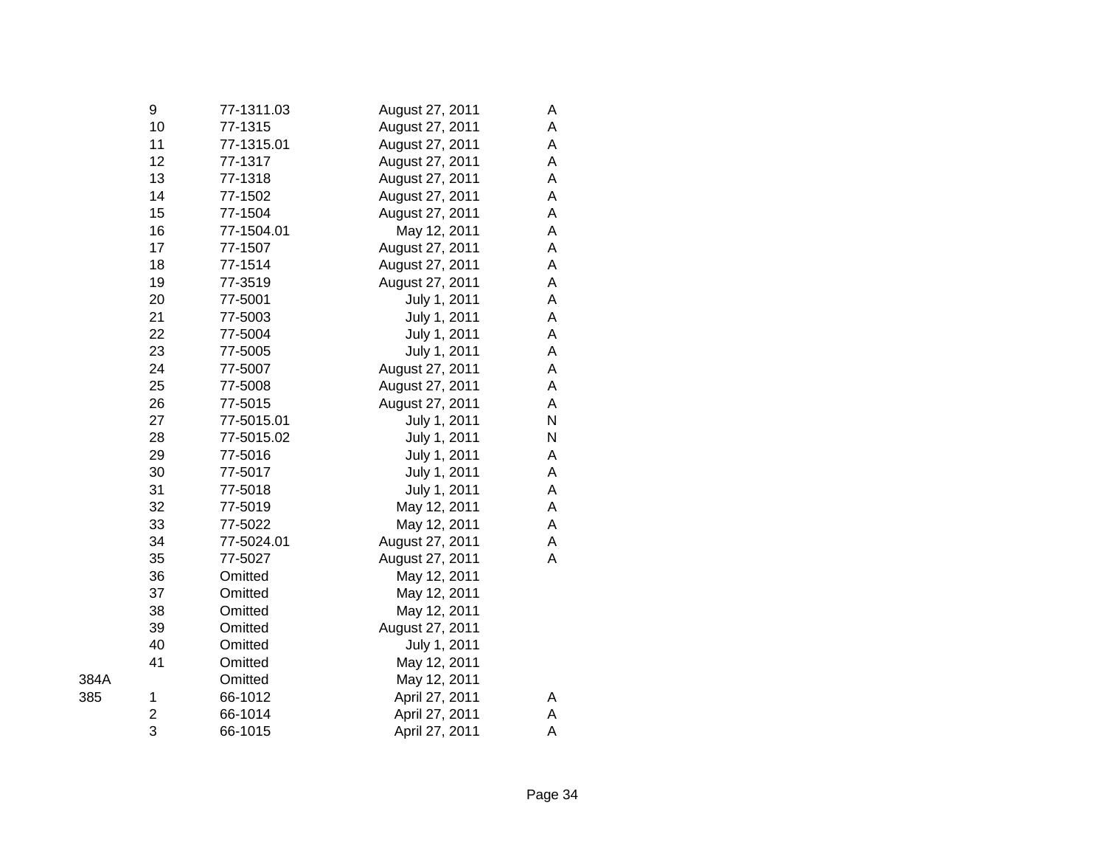|      | 9  | 77-1311.03 | August 27, 2011 | Α |
|------|----|------------|-----------------|---|
|      | 10 | 77-1315    | August 27, 2011 | A |
|      | 11 | 77-1315.01 | August 27, 2011 | A |
|      | 12 | 77-1317    | August 27, 2011 | A |
|      | 13 | 77-1318    | August 27, 2011 | A |
|      | 14 | 77-1502    | August 27, 2011 | A |
|      | 15 | 77-1504    | August 27, 2011 | A |
|      | 16 | 77-1504.01 | May 12, 2011    | A |
|      | 17 | 77-1507    | August 27, 2011 | A |
|      | 18 | 77-1514    | August 27, 2011 | A |
|      | 19 | 77-3519    | August 27, 2011 | A |
|      | 20 | 77-5001    | July 1, 2011    | A |
|      | 21 | 77-5003    | July 1, 2011    | A |
|      | 22 | 77-5004    | July 1, 2011    | A |
|      | 23 | 77-5005    | July 1, 2011    | A |
|      | 24 | 77-5007    | August 27, 2011 | A |
|      | 25 | 77-5008    | August 27, 2011 | A |
|      | 26 | 77-5015    | August 27, 2011 | A |
|      | 27 | 77-5015.01 | July 1, 2011    | N |
|      | 28 | 77-5015.02 | July 1, 2011    | N |
|      | 29 | 77-5016    | July 1, 2011    | Α |
|      | 30 | 77-5017    | July 1, 2011    | A |
|      | 31 | 77-5018    | July 1, 2011    | A |
|      | 32 | 77-5019    | May 12, 2011    | A |
|      | 33 | 77-5022    | May 12, 2011    | A |
|      | 34 | 77-5024.01 | August 27, 2011 | A |
|      | 35 | 77-5027    | August 27, 2011 | A |
|      | 36 | Omitted    | May 12, 2011    |   |
|      | 37 | Omitted    | May 12, 2011    |   |
|      | 38 | Omitted    | May 12, 2011    |   |
|      | 39 | Omitted    | August 27, 2011 |   |
|      | 40 | Omitted    | July 1, 2011    |   |
|      | 41 | Omitted    | May 12, 2011    |   |
| 384A |    | Omitted    | May 12, 2011    |   |
| 385  | 1  | 66-1012    | April 27, 2011  | A |
|      | 2  | 66-1014    | April 27, 2011  | A |
|      | 3  | 66-1015    | April 27, 2011  | А |
|      |    |            |                 |   |

| × | ۰. |  |
|---|----|--|
|   |    |  |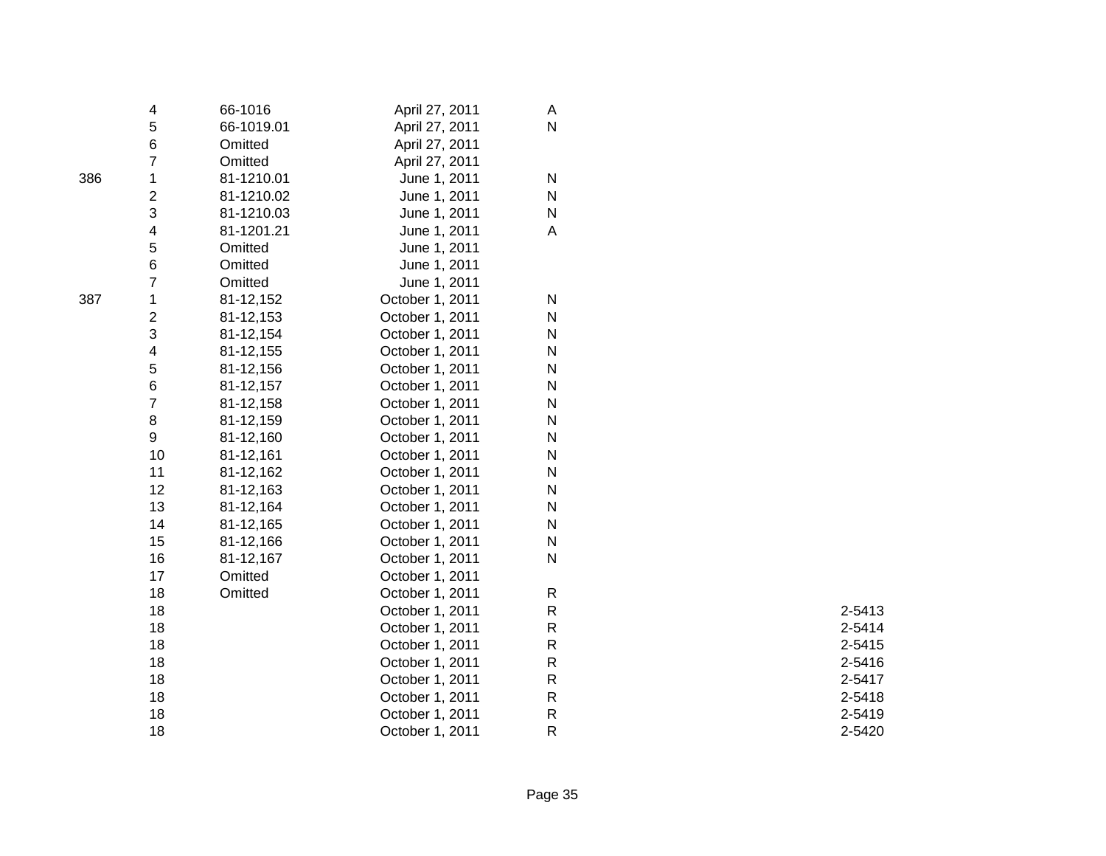|     | 4                       | 66-1016    | April 27, 2011  | A                       |        |
|-----|-------------------------|------------|-----------------|-------------------------|--------|
|     | 5                       | 66-1019.01 | April 27, 2011  | $\overline{\mathsf{N}}$ |        |
|     | 6                       | Omitted    | April 27, 2011  |                         |        |
|     | $\overline{7}$          | Omitted    | April 27, 2011  |                         |        |
| 386 | 1                       | 81-1210.01 | June 1, 2011    | $\mathsf{N}$            |        |
|     | $\overline{\mathbf{c}}$ | 81-1210.02 | June 1, 2011    | $\mathsf{N}$            |        |
|     | 3                       | 81-1210.03 | June 1, 2011    | $\mathsf{N}$            |        |
|     | 4                       | 81-1201.21 | June 1, 2011    | A                       |        |
|     | 5                       | Omitted    | June 1, 2011    |                         |        |
|     | 6                       | Omitted    | June 1, 2011    |                         |        |
|     | $\overline{7}$          | Omitted    | June 1, 2011    |                         |        |
| 387 | 1                       | 81-12,152  | October 1, 2011 | $\mathsf{N}$            |        |
|     | $\overline{\mathbf{c}}$ | 81-12,153  | October 1, 2011 | N                       |        |
|     | 3                       | 81-12,154  | October 1, 2011 | $\mathsf{N}$            |        |
|     | 4                       | 81-12,155  | October 1, 2011 | N                       |        |
|     | 5                       | 81-12,156  | October 1, 2011 | N                       |        |
|     | 6                       | 81-12,157  | October 1, 2011 | $\mathsf{N}$            |        |
|     | $\overline{7}$          | 81-12,158  | October 1, 2011 | N                       |        |
|     | 8                       | 81-12,159  | October 1, 2011 | N                       |        |
|     | 9                       | 81-12,160  | October 1, 2011 | $\mathsf{N}$            |        |
|     | 10                      | 81-12,161  | October 1, 2011 | N                       |        |
|     | 11                      | 81-12,162  | October 1, 2011 | N                       |        |
|     | 12                      | 81-12,163  | October 1, 2011 | $\mathsf{N}$            |        |
|     | 13                      | 81-12,164  | October 1, 2011 | N                       |        |
|     | 14                      | 81-12,165  | October 1, 2011 | N                       |        |
|     | 15                      | 81-12,166  | October 1, 2011 | $\mathsf{N}$            |        |
|     | 16                      | 81-12,167  | October 1, 2011 | N                       |        |
|     | 17                      | Omitted    | October 1, 2011 |                         |        |
|     | 18                      | Omitted    | October 1, 2011 | R                       |        |
|     | 18                      |            | October 1, 2011 | ${\sf R}$               | 2-5413 |
|     | 18                      |            | October 1, 2011 | ${\sf R}$               | 2-5414 |
|     | 18                      |            | October 1, 2011 | ${\sf R}$               | 2-5415 |
|     | 18                      |            | October 1, 2011 | ${\sf R}$               | 2-5416 |
|     | 18                      |            | October 1, 2011 | R                       | 2-5417 |
|     | 18                      |            | October 1, 2011 | ${\sf R}$               | 2-5418 |
|     | 18                      |            | October 1, 2011 | ${\sf R}$               | 2-5419 |
|     | 18                      |            | October 1, 2011 | ${\sf R}$               | 2-5420 |
|     |                         |            |                 |                         |        |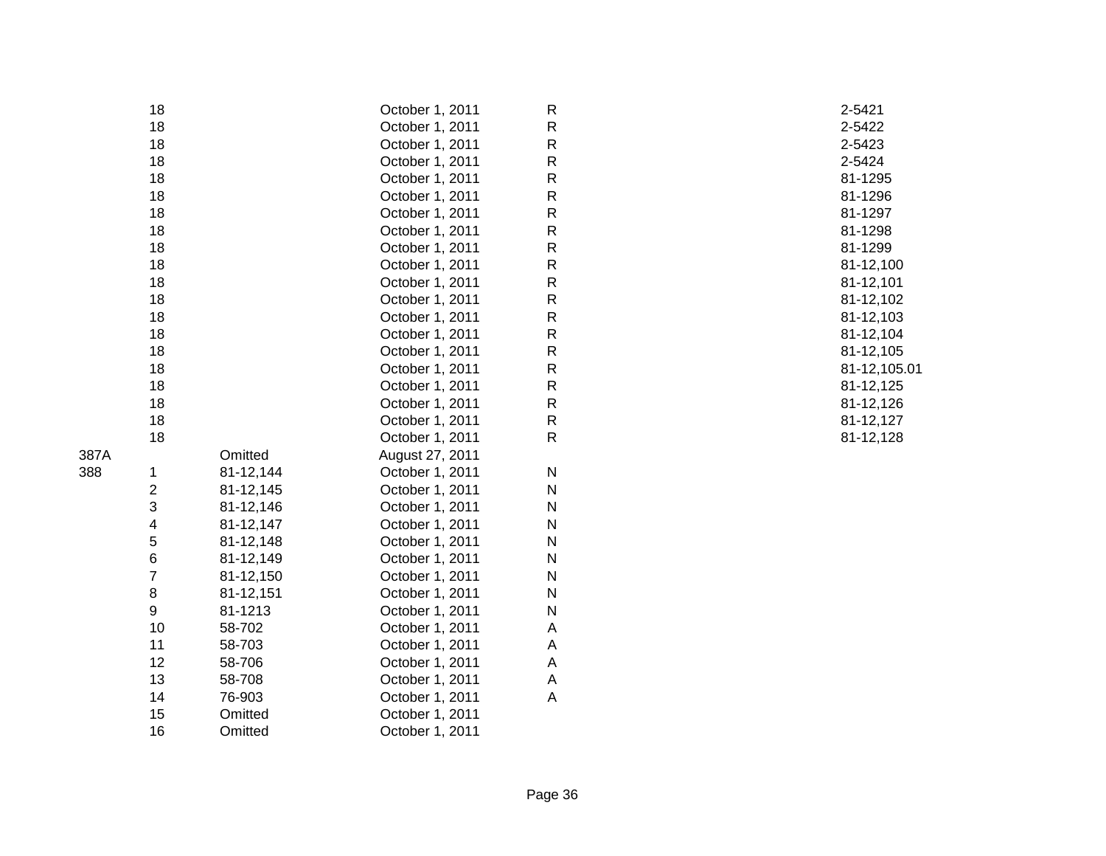|                |                                                                                                          |                        |                                                                                                                                                                                                                                                                                                                                 | 2-5421                                                                                                                                                                                                   |
|----------------|----------------------------------------------------------------------------------------------------------|------------------------|---------------------------------------------------------------------------------------------------------------------------------------------------------------------------------------------------------------------------------------------------------------------------------------------------------------------------------|----------------------------------------------------------------------------------------------------------------------------------------------------------------------------------------------------------|
|                |                                                                                                          |                        |                                                                                                                                                                                                                                                                                                                                 | 2-5422                                                                                                                                                                                                   |
|                |                                                                                                          |                        |                                                                                                                                                                                                                                                                                                                                 | 2-5423                                                                                                                                                                                                   |
|                |                                                                                                          |                        |                                                                                                                                                                                                                                                                                                                                 | 2-5424                                                                                                                                                                                                   |
|                |                                                                                                          |                        |                                                                                                                                                                                                                                                                                                                                 | 81-1295                                                                                                                                                                                                  |
|                |                                                                                                          |                        |                                                                                                                                                                                                                                                                                                                                 | 81-1296                                                                                                                                                                                                  |
|                |                                                                                                          |                        |                                                                                                                                                                                                                                                                                                                                 | 81-1297                                                                                                                                                                                                  |
|                |                                                                                                          |                        |                                                                                                                                                                                                                                                                                                                                 | 81-1298                                                                                                                                                                                                  |
|                |                                                                                                          |                        |                                                                                                                                                                                                                                                                                                                                 | 81-1299                                                                                                                                                                                                  |
| 18             |                                                                                                          | October 1, 2011        |                                                                                                                                                                                                                                                                                                                                 | 81-12,100                                                                                                                                                                                                |
|                |                                                                                                          |                        |                                                                                                                                                                                                                                                                                                                                 | 81-12,101                                                                                                                                                                                                |
|                |                                                                                                          |                        |                                                                                                                                                                                                                                                                                                                                 | 81-12,102                                                                                                                                                                                                |
| 18             |                                                                                                          |                        |                                                                                                                                                                                                                                                                                                                                 | 81-12,103                                                                                                                                                                                                |
| 18             |                                                                                                          |                        |                                                                                                                                                                                                                                                                                                                                 | 81-12,104                                                                                                                                                                                                |
| 18             |                                                                                                          |                        |                                                                                                                                                                                                                                                                                                                                 | 81-12,105                                                                                                                                                                                                |
| 18             |                                                                                                          |                        |                                                                                                                                                                                                                                                                                                                                 | 81-12,105.01                                                                                                                                                                                             |
| 18             |                                                                                                          |                        |                                                                                                                                                                                                                                                                                                                                 | 81-12,125                                                                                                                                                                                                |
| 18             |                                                                                                          | October 1, 2011        |                                                                                                                                                                                                                                                                                                                                 | 81-12,126                                                                                                                                                                                                |
| 18             |                                                                                                          | October 1, 2011        | ${\sf R}$                                                                                                                                                                                                                                                                                                                       | 81-12,127                                                                                                                                                                                                |
| 18             |                                                                                                          | October 1, 2011        | ${\sf R}$                                                                                                                                                                                                                                                                                                                       | 81-12,128                                                                                                                                                                                                |
|                | Omitted                                                                                                  |                        |                                                                                                                                                                                                                                                                                                                                 |                                                                                                                                                                                                          |
|                |                                                                                                          | October 1, 2011        | $\mathsf{N}$                                                                                                                                                                                                                                                                                                                    |                                                                                                                                                                                                          |
|                | 81-12,145                                                                                                | October 1, 2011        | ${\sf N}$                                                                                                                                                                                                                                                                                                                       |                                                                                                                                                                                                          |
|                |                                                                                                          | October 1, 2011        | $\mathsf{N}$                                                                                                                                                                                                                                                                                                                    |                                                                                                                                                                                                          |
| 4              | 81-12,147                                                                                                | October 1, 2011        | ${\sf N}$                                                                                                                                                                                                                                                                                                                       |                                                                                                                                                                                                          |
|                | 81-12,148                                                                                                | October 1, 2011        | ${\sf N}$                                                                                                                                                                                                                                                                                                                       |                                                                                                                                                                                                          |
| 6              | 81-12,149                                                                                                | October 1, 2011        | $\mathsf{N}$                                                                                                                                                                                                                                                                                                                    |                                                                                                                                                                                                          |
| $\overline{7}$ | 81-12,150                                                                                                | October 1, 2011        | ${\sf N}$                                                                                                                                                                                                                                                                                                                       |                                                                                                                                                                                                          |
| 8              | 81-12,151                                                                                                | October 1, 2011        | ${\sf N}$                                                                                                                                                                                                                                                                                                                       |                                                                                                                                                                                                          |
| 9              | 81-1213                                                                                                  | October 1, 2011        | ${\sf N}$                                                                                                                                                                                                                                                                                                                       |                                                                                                                                                                                                          |
| 10             | 58-702                                                                                                   | October 1, 2011        | А                                                                                                                                                                                                                                                                                                                               |                                                                                                                                                                                                          |
| 11             | 58-703                                                                                                   | October 1, 2011        | Α                                                                                                                                                                                                                                                                                                                               |                                                                                                                                                                                                          |
| 12             | 58-706                                                                                                   | October 1, 2011        | A                                                                                                                                                                                                                                                                                                                               |                                                                                                                                                                                                          |
| 13             | 58-708                                                                                                   | October 1, 2011        | Α                                                                                                                                                                                                                                                                                                                               |                                                                                                                                                                                                          |
| 14             | 76-903                                                                                                   | October 1, 2011        | Α                                                                                                                                                                                                                                                                                                                               |                                                                                                                                                                                                          |
| 15             | Omitted                                                                                                  | October 1, 2011        |                                                                                                                                                                                                                                                                                                                                 |                                                                                                                                                                                                          |
| 16             | Omitted                                                                                                  | October 1, 2011        |                                                                                                                                                                                                                                                                                                                                 |                                                                                                                                                                                                          |
|                | 18<br>18<br>18<br>18<br>18<br>18<br>18<br>18<br>18<br>18<br>18<br>1<br>$\overline{\mathbf{c}}$<br>3<br>5 | 81-12,144<br>81-12,146 | October 1, 2011<br>October 1, 2011<br>October 1, 2011<br>October 1, 2011<br>October 1, 2011<br>October 1, 2011<br>October 1, 2011<br>October 1, 2011<br>October 1, 2011<br>October 1, 2011<br>October 1, 2011<br>October 1, 2011<br>October 1, 2011<br>October 1, 2011<br>October 1, 2011<br>October 1, 2011<br>August 27, 2011 | $\mathsf R$<br>R<br>${\sf R}$<br>R<br>R<br>R<br>${\sf R}$<br>${\sf R}$<br>${\sf R}$<br>${\sf R}$<br>${\sf R}$<br>${\sf R}$<br>${\sf R}$<br>${\sf R}$<br>${\sf R}$<br>${\sf R}$<br>${\sf R}$<br>${\sf R}$ |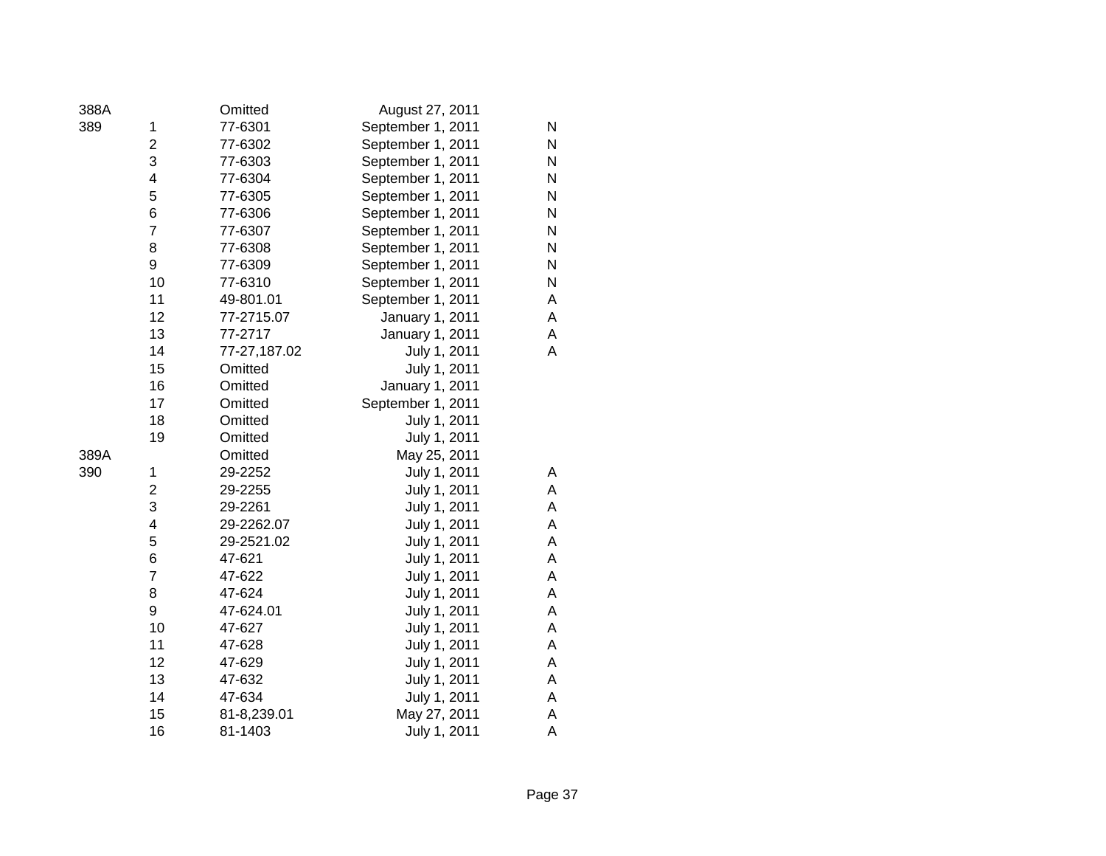| 388A |                | Omitted      | August 27, 2011   |   |
|------|----------------|--------------|-------------------|---|
| 389  | 1              | 77-6301      | September 1, 2011 | N |
|      | 2              | 77-6302      | September 1, 2011 | Ν |
|      | 3              | 77-6303      | September 1, 2011 | N |
|      | 4              | 77-6304      | September 1, 2011 | N |
|      | 5              | 77-6305      | September 1, 2011 | N |
|      | 6              | 77-6306      | September 1, 2011 | N |
|      | 7              | 77-6307      | September 1, 2011 | N |
|      | 8              | 77-6308      | September 1, 2011 | N |
|      | 9              | 77-6309      | September 1, 2011 | N |
|      | 10             | 77-6310      | September 1, 2011 | N |
|      | 11             | 49-801.01    | September 1, 2011 | А |
|      | 12             | 77-2715.07   | January 1, 2011   | A |
|      | 13             | 77-2717      | January 1, 2011   | Α |
|      | 14             | 77-27,187.02 | July 1, 2011      | Α |
|      | 15             | Omitted      | July 1, 2011      |   |
|      | 16             | Omitted      | January 1, 2011   |   |
|      | 17             | Omitted      | September 1, 2011 |   |
|      | 18             | Omitted      | July 1, 2011      |   |
|      | 19             | Omitted      | July 1, 2011      |   |
| 389A |                | Omitted      | May 25, 2011      |   |
| 390  | 1              | 29-2252      | July 1, 2011      | Α |
|      | $\overline{2}$ | 29-2255      | July 1, 2011      | Α |
|      | 3              | 29-2261      | July 1, 2011      | A |
|      | 4              | 29-2262.07   | July 1, 2011      | Α |
|      | 5              | 29-2521.02   | July 1, 2011      | A |
|      | 6              | 47-621       | July 1, 2011      | Α |
|      | 7              | 47-622       | July 1, 2011      | Α |
|      | 8              | 47-624       | July 1, 2011      | А |
|      | 9              | 47-624.01    | July 1, 2011      | Α |
|      | 10             | 47-627       | July 1, 2011      | Α |
|      | 11             | 47-628       | July 1, 2011      | А |
|      | 12             | 47-629       | July 1, 2011      | А |
|      | 13             | 47-632       | July 1, 2011      | Α |
|      | 14             | 47-634       | July 1, 2011      | Α |
|      | 15             | 81-8,239.01  | May 27, 2011      | Α |
|      | 16             | 81-1403      | July 1, 2011      | Α |
|      |                |              |                   |   |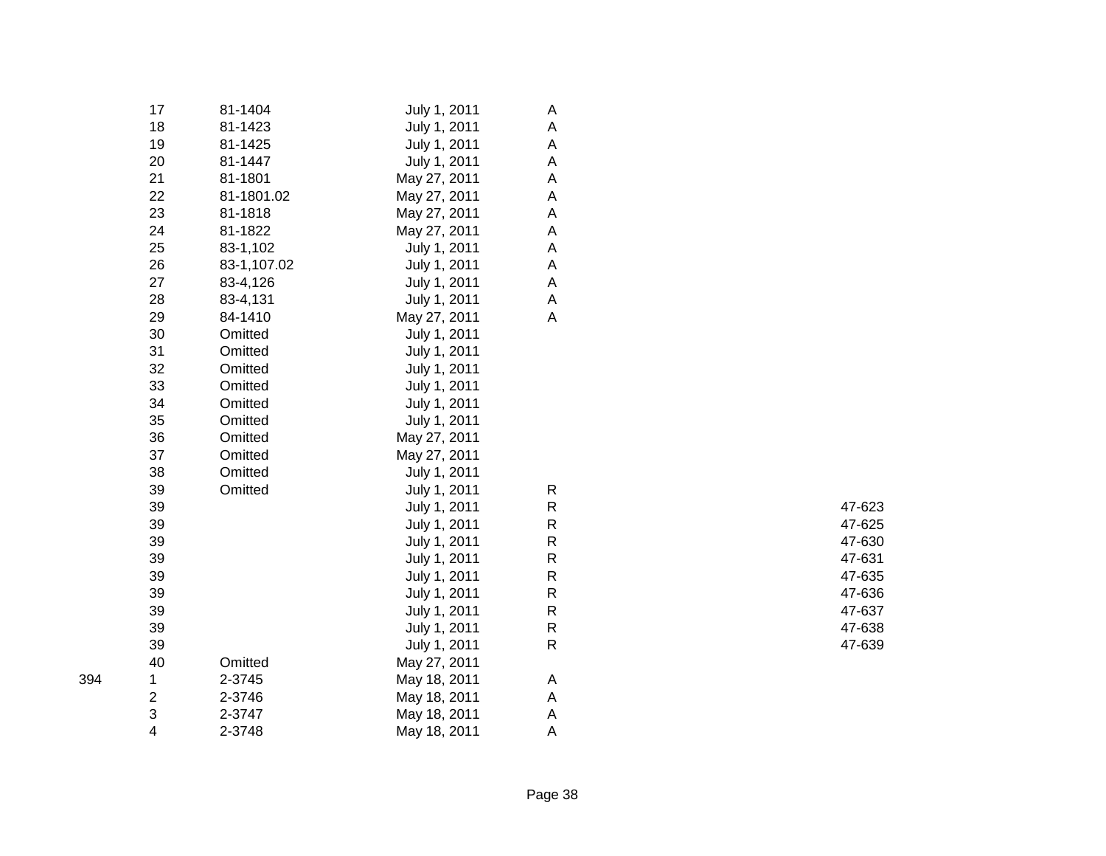|     | 17                      | 81-1404     | July 1, 2011 | A                         |        |
|-----|-------------------------|-------------|--------------|---------------------------|--------|
|     | 18                      | 81-1423     | July 1, 2011 | A                         |        |
|     | 19                      | 81-1425     | July 1, 2011 | A                         |        |
|     | 20                      | 81-1447     | July 1, 2011 | A                         |        |
|     | 21                      | 81-1801     | May 27, 2011 | A                         |        |
|     | 22                      | 81-1801.02  | May 27, 2011 | A                         |        |
|     | 23                      | 81-1818     | May 27, 2011 | A                         |        |
|     | 24                      | 81-1822     | May 27, 2011 | $\mathsf A$               |        |
|     | 25                      | 83-1,102    | July 1, 2011 | $\mathsf A$               |        |
|     | 26                      | 83-1,107.02 | July 1, 2011 | $\mathsf A$               |        |
|     | 27                      | 83-4,126    | July 1, 2011 | $\boldsymbol{\mathsf{A}}$ |        |
|     | 28                      | 83-4,131    | July 1, 2011 | $\mathsf A$               |        |
|     | 29                      | 84-1410     | May 27, 2011 | A                         |        |
|     | 30                      | Omitted     | July 1, 2011 |                           |        |
|     | 31                      | Omitted     | July 1, 2011 |                           |        |
|     | 32                      | Omitted     | July 1, 2011 |                           |        |
|     | 33                      | Omitted     | July 1, 2011 |                           |        |
|     | 34                      | Omitted     | July 1, 2011 |                           |        |
|     | 35                      | Omitted     | July 1, 2011 |                           |        |
|     | 36                      | Omitted     | May 27, 2011 |                           |        |
|     | 37                      | Omitted     | May 27, 2011 |                           |        |
|     | 38                      | Omitted     | July 1, 2011 |                           |        |
|     | 39                      | Omitted     | July 1, 2011 | ${\sf R}$                 |        |
|     | 39                      |             | July 1, 2011 | ${\sf R}$                 | 47-623 |
|     | 39                      |             | July 1, 2011 | $\mathsf R$               | 47-625 |
|     | 39                      |             | July 1, 2011 | ${\sf R}$                 | 47-630 |
|     | 39                      |             | July 1, 2011 | $\mathsf R$               | 47-631 |
|     | 39                      |             | July 1, 2011 | ${\sf R}$                 | 47-635 |
|     | 39                      |             | July 1, 2011 | $\mathsf R$               | 47-636 |
|     | 39                      |             | July 1, 2011 | ${\sf R}$                 | 47-637 |
|     | 39                      |             | July 1, 2011 | ${\sf R}$                 | 47-638 |
|     | 39                      |             | July 1, 2011 | ${\sf R}$                 | 47-639 |
|     | 40                      | Omitted     | May 27, 2011 |                           |        |
| 394 | 1                       | 2-3745      | May 18, 2011 | A                         |        |
|     | $\overline{\mathbf{c}}$ | 2-3746      | May 18, 2011 | A                         |        |
|     | 3                       | 2-3747      | May 18, 2011 | A                         |        |
|     | 4                       | 2-3748      | May 18, 2011 | A                         |        |
|     |                         |             |              |                           |        |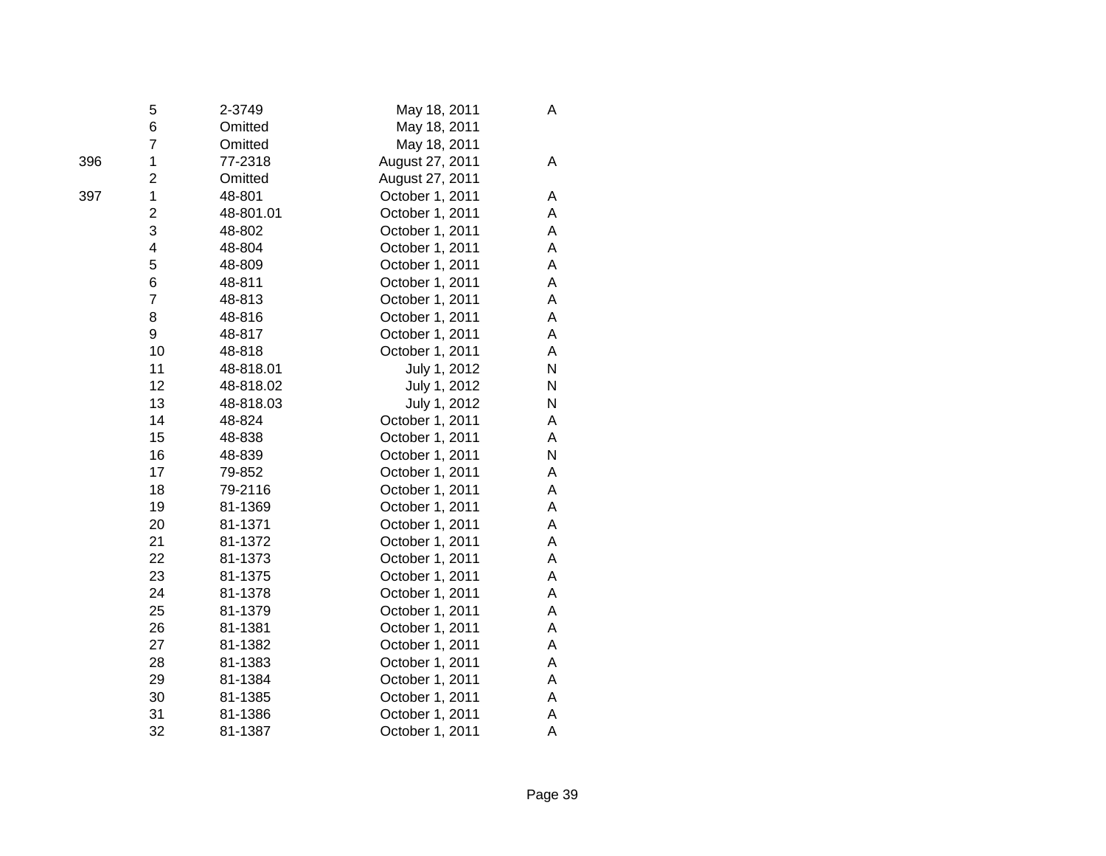|     | 5                       | 2-3749    | May 18, 2011    | Α |
|-----|-------------------------|-----------|-----------------|---|
|     | 6                       | Omitted   | May 18, 2011    |   |
|     | $\overline{7}$          | Omitted   | May 18, 2011    |   |
| 396 | 1                       | 77-2318   | August 27, 2011 | A |
|     | $\overline{2}$          | Omitted   | August 27, 2011 |   |
| 397 | $\mathbf 1$             | 48-801    | October 1, 2011 | A |
|     | $\overline{\mathbf{c}}$ | 48-801.01 | October 1, 2011 | A |
|     | 3                       | 48-802    | October 1, 2011 | A |
|     | $\overline{\mathbf{4}}$ | 48-804    | October 1, 2011 | Α |
|     | 5                       | 48-809    | October 1, 2011 | A |
|     | 6                       | 48-811    | October 1, 2011 | Α |
|     | $\overline{7}$          | 48-813    | October 1, 2011 | A |
|     | 8                       | 48-816    | October 1, 2011 | A |
|     | 9                       | 48-817    | October 1, 2011 | A |
|     | 10                      | 48-818    | October 1, 2011 | A |
|     | 11                      | 48-818.01 | July 1, 2012    | N |
|     | 12                      | 48-818.02 | July 1, 2012    | N |
|     | 13                      | 48-818.03 | July 1, 2012    | N |
|     | 14                      | 48-824    | October 1, 2011 | Α |
|     | 15                      | 48-838    | October 1, 2011 | A |
|     | 16                      | 48-839    | October 1, 2011 | N |
|     | 17                      | 79-852    | October 1, 2011 | Α |
|     | 18                      | 79-2116   | October 1, 2011 | A |
|     | 19                      | 81-1369   | October 1, 2011 | Α |
|     | 20                      | 81-1371   | October 1, 2011 | A |
|     | 21                      | 81-1372   | October 1, 2011 | A |
|     | 22                      | 81-1373   | October 1, 2011 | A |
|     | 23                      | 81-1375   | October 1, 2011 | A |
|     | 24                      | 81-1378   | October 1, 2011 | A |
|     | 25                      | 81-1379   | October 1, 2011 | A |
|     | 26                      | 81-1381   | October 1, 2011 | A |
|     | 27                      | 81-1382   | October 1, 2011 | A |
|     | 28                      | 81-1383   | October 1, 2011 | A |
|     | 29                      | 81-1384   | October 1, 2011 | A |
|     | 30                      | 81-1385   | October 1, 2011 | A |
|     | 31                      | 81-1386   | October 1, 2011 | A |
|     | 32                      | 81-1387   | October 1, 2011 | Α |
|     |                         |           |                 |   |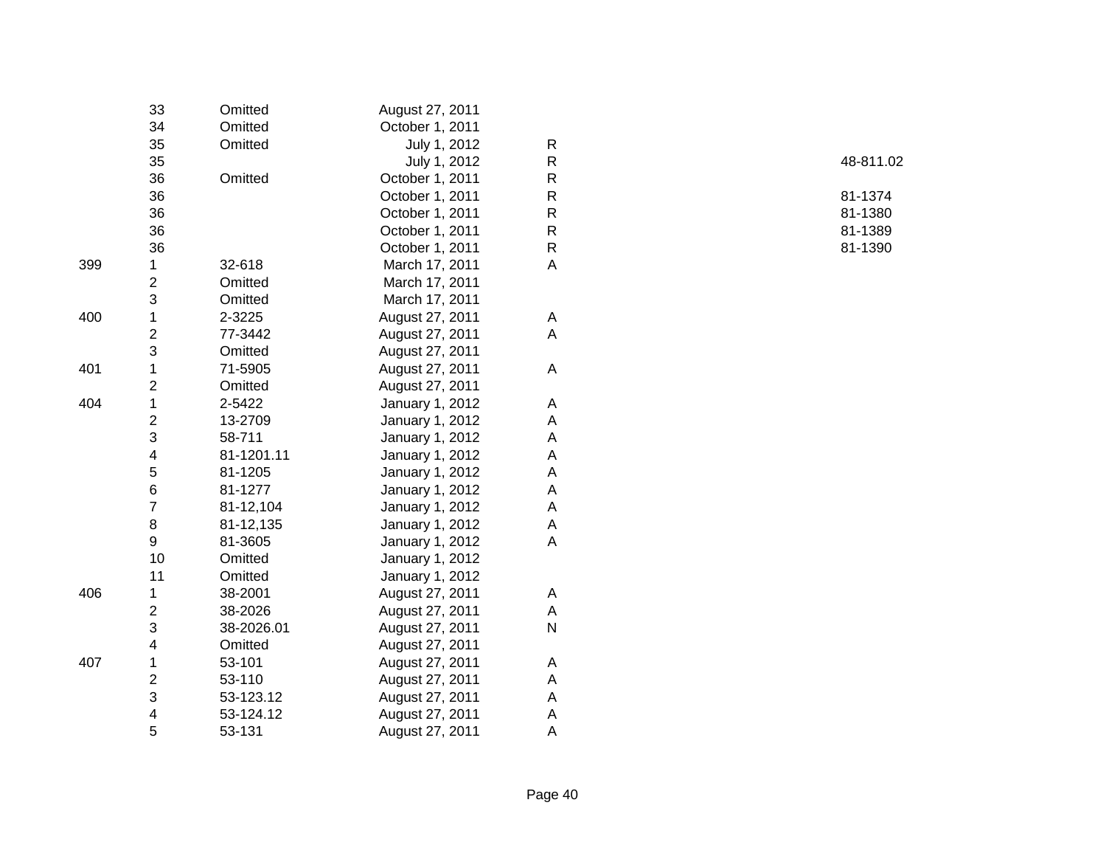|     | 33                      | Omitted    | August 27, 2011 |    |
|-----|-------------------------|------------|-----------------|----|
|     | 34                      | Omitted    | October 1, 2011 |    |
|     | 35                      | Omitted    | July 1, 2012    | R  |
|     | 35                      |            | July 1, 2012    | R  |
|     | 36                      | Omitted    | October 1, 2011 | R  |
|     | 36                      |            | October 1, 2011 | R  |
|     | 36                      |            | October 1, 2011 | R  |
|     | 36                      |            | October 1, 2011 | R  |
|     | 36                      |            | October 1, 2011 | R. |
| 399 | 1                       | 32-618     | March 17, 2011  | A  |
|     | $\overline{c}$          | Omitted    | March 17, 2011  |    |
|     | 3                       | Omitted    | March 17, 2011  |    |
| 400 | $\mathbf 1$             | 2-3225     | August 27, 2011 | A  |
|     | $\overline{c}$          | 77-3442    | August 27, 2011 | A  |
|     | 3                       | Omitted    | August 27, 2011 |    |
| 401 | $\mathbf 1$             | 71-5905    | August 27, 2011 | A  |
|     | $\overline{c}$          | Omitted    | August 27, 2011 |    |
| 404 | $\mathbf 1$             | 2-5422     | January 1, 2012 | A  |
|     | $\overline{\mathbf{c}}$ | 13-2709    | January 1, 2012 | A  |
|     | 3                       | 58-711     | January 1, 2012 | A  |
|     | 4                       | 81-1201.11 | January 1, 2012 | A  |
|     | 5                       | 81-1205    | January 1, 2012 | A  |
|     | 6                       | 81-1277    | January 1, 2012 | A  |
|     | $\overline{7}$          | 81-12,104  | January 1, 2012 | A  |
|     | 8                       | 81-12,135  | January 1, 2012 | A  |
|     | 9                       | 81-3605    | January 1, 2012 | A  |
|     | 10                      | Omitted    | January 1, 2012 |    |
|     | 11                      | Omitted    | January 1, 2012 |    |
| 406 | 1                       | 38-2001    | August 27, 2011 | A  |
|     | 2                       | 38-2026    | August 27, 2011 | A  |
|     | 3                       | 38-2026.01 | August 27, 2011 | N  |
|     | 4                       | Omitted    | August 27, 2011 |    |
| 407 | 1                       | 53-101     | August 27, 2011 | A  |
|     | $\overline{2}$          | 53-110     | August 27, 2011 | A  |
|     | 3                       | 53-123.12  | August 27, 2011 | A  |
|     | 4                       | 53-124.12  | August 27, 2011 | A  |
|     | 5                       | 53-131     | August 27, 2011 | Α  |

| R | 48-811.02 |
|---|-----------|
| R |           |
| R | 81-1374   |
| R | 81-1380   |
| R | 81-1389   |
| R | 81-1390   |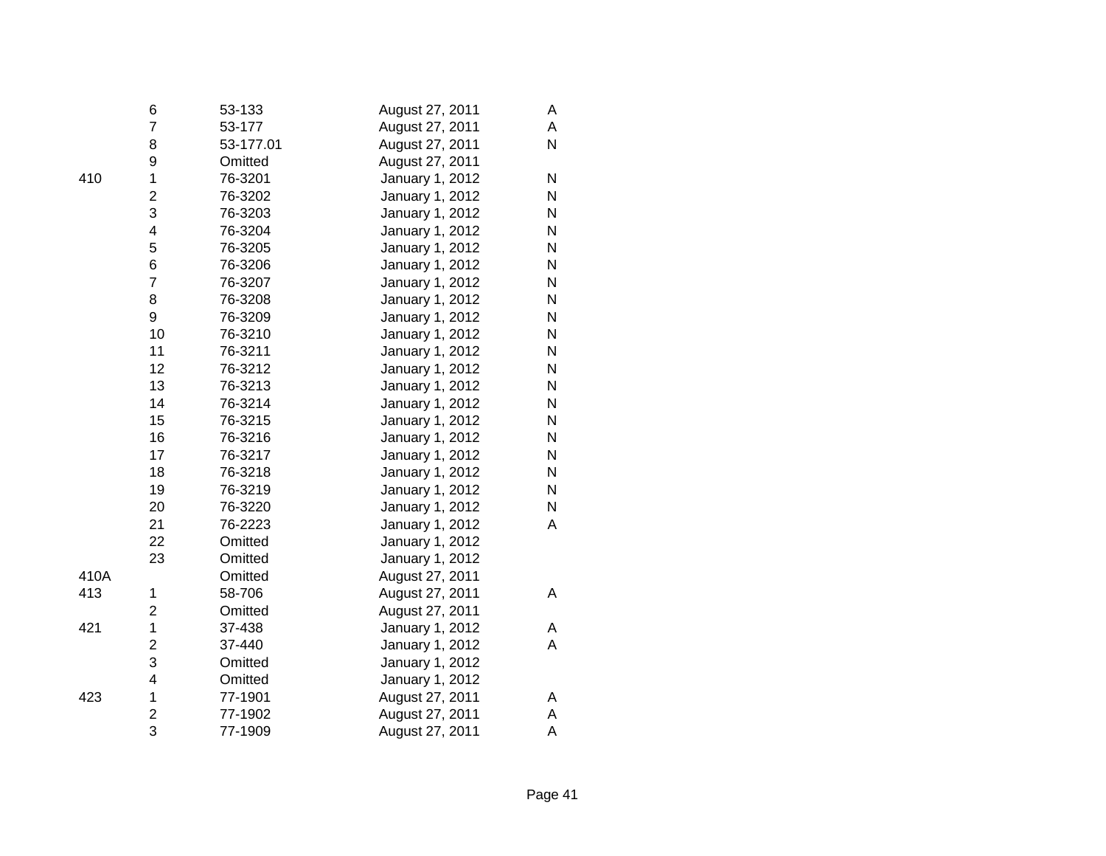|      | 6                       | 53-133    | August 27, 2011 | Α |
|------|-------------------------|-----------|-----------------|---|
|      | 7                       | 53-177    | August 27, 2011 | A |
|      | 8                       | 53-177.01 | August 27, 2011 | N |
|      | 9                       | Omitted   | August 27, 2011 |   |
| 410  | $\mathbf 1$             | 76-3201   | January 1, 2012 | N |
|      | $\overline{\mathbf{c}}$ | 76-3202   | January 1, 2012 | N |
|      | 3                       | 76-3203   | January 1, 2012 | N |
|      | 4                       | 76-3204   | January 1, 2012 | N |
|      | 5                       | 76-3205   | January 1, 2012 | N |
|      | 6                       | 76-3206   | January 1, 2012 | N |
|      | $\overline{7}$          | 76-3207   | January 1, 2012 | N |
|      | 8                       | 76-3208   | January 1, 2012 | N |
|      | 9                       | 76-3209   | January 1, 2012 | N |
|      | 10                      | 76-3210   | January 1, 2012 | N |
|      | 11                      | 76-3211   | January 1, 2012 | N |
|      | 12                      | 76-3212   | January 1, 2012 | N |
|      | 13                      | 76-3213   | January 1, 2012 | N |
|      | 14                      | 76-3214   | January 1, 2012 | N |
|      | 15                      | 76-3215   | January 1, 2012 | N |
|      | 16                      | 76-3216   | January 1, 2012 | N |
|      | 17                      | 76-3217   | January 1, 2012 | N |
|      | 18                      | 76-3218   | January 1, 2012 | Ν |
|      | 19                      | 76-3219   | January 1, 2012 | N |
|      | 20                      | 76-3220   | January 1, 2012 | N |
|      | 21                      | 76-2223   | January 1, 2012 | Α |
|      | 22                      | Omitted   | January 1, 2012 |   |
|      | 23                      | Omitted   | January 1, 2012 |   |
| 410A |                         | Omitted   | August 27, 2011 |   |
| 413  | 1                       | 58-706    | August 27, 2011 | Α |
|      | 2                       | Omitted   | August 27, 2011 |   |
| 421  | $\mathbf 1$             | 37-438    | January 1, 2012 | Α |
|      | $\overline{\mathbf{c}}$ | 37-440    | January 1, 2012 | A |
|      | 3                       | Omitted   | January 1, 2012 |   |
|      | 4                       | Omitted   | January 1, 2012 |   |
| 423  | 1                       | 77-1901   | August 27, 2011 | Α |
|      | $\overline{c}$          | 77-1902   | August 27, 2011 | Α |
|      | 3                       | 77-1909   | August 27, 2011 | A |
|      |                         |           |                 |   |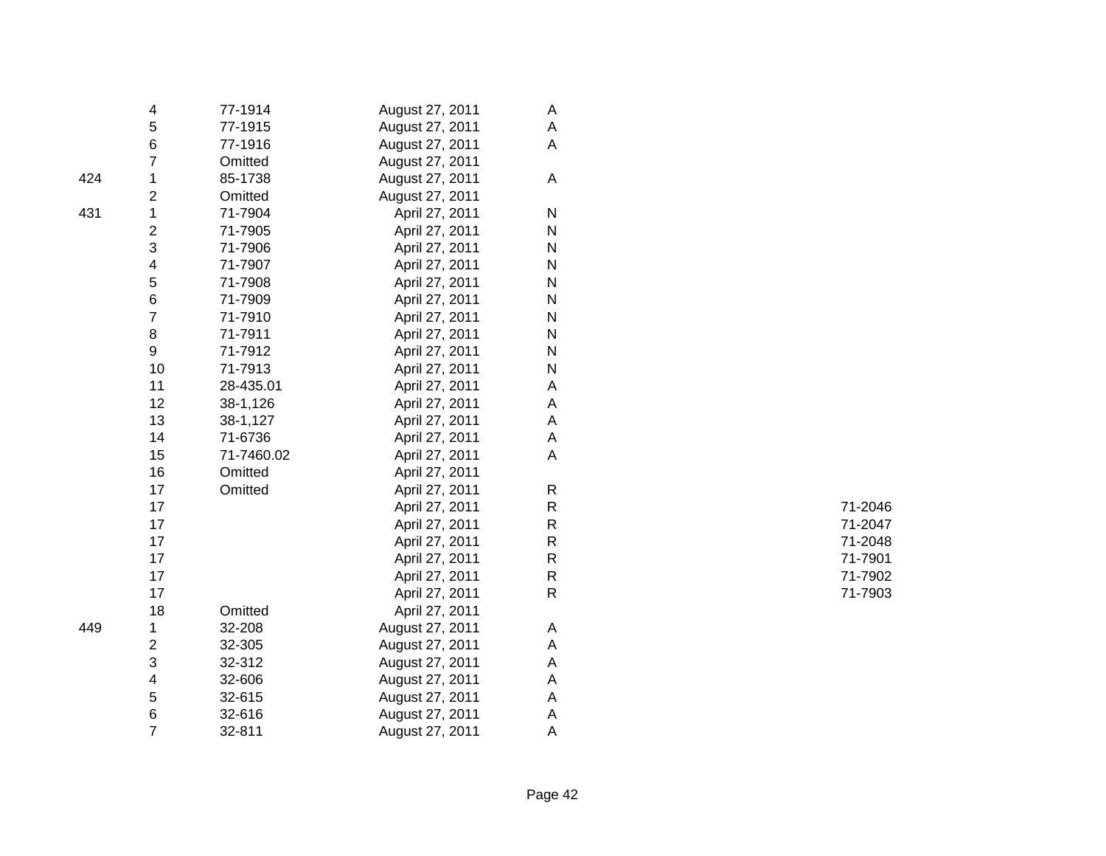|     | 4                       | 77-1914    | August 27, 2011 | A            |         |
|-----|-------------------------|------------|-----------------|--------------|---------|
|     | 5                       | 77-1915    | August 27, 2011 | Α            |         |
|     | 6                       | 77-1916    | August 27, 2011 | А            |         |
|     | 7                       | Omitted    | August 27, 2011 |              |         |
| 424 | 1                       | 85-1738    | August 27, 2011 | A            |         |
|     | 2                       | Omitted    | August 27, 2011 |              |         |
| 431 | 1                       | 71-7904    | April 27, 2011  | ${\sf N}$    |         |
|     | $\overline{\mathbf{c}}$ | 71-7905    | April 27, 2011  | ${\sf N}$    |         |
|     | 3                       | 71-7906    | April 27, 2011  | ${\sf N}$    |         |
|     | 4                       | 71-7907    | April 27, 2011  | N            |         |
|     | 5                       | 71-7908    | April 27, 2011  | $\mathsf{N}$ |         |
|     | 6                       | 71-7909    | April 27, 2011  | ${\sf N}$    |         |
|     | $\overline{7}$          | 71-7910    | April 27, 2011  | $\mathsf{N}$ |         |
|     | 8                       | 71-7911    | April 27, 2011  | $\mathsf{N}$ |         |
|     | 9                       | 71-7912    | April 27, 2011  | ${\sf N}$    |         |
|     | 10                      | 71-7913    | April 27, 2011  | $\mathsf{N}$ |         |
|     | 11                      | 28-435.01  | April 27, 2011  | А            |         |
|     | 12                      | 38-1,126   | April 27, 2011  | А            |         |
|     | 13                      | 38-1,127   | April 27, 2011  | A            |         |
|     | 14                      | 71-6736    | April 27, 2011  | A            |         |
|     | 15                      | 71-7460.02 | April 27, 2011  | A            |         |
|     | 16                      | Omitted    | April 27, 2011  |              |         |
|     | 17                      | Omitted    | April 27, 2011  | R            |         |
|     | 17                      |            | April 27, 2011  | ${\sf R}$    | 71-2046 |
|     | 17                      |            | April 27, 2011  | R            | 71-2047 |
|     | 17                      |            | April 27, 2011  | ${\sf R}$    | 71-2048 |
|     | 17                      |            | April 27, 2011  | ${\sf R}$    | 71-7901 |
|     | 17                      |            | April 27, 2011  | ${\sf R}$    | 71-7902 |
|     | 17                      |            | April 27, 2011  | $\mathsf{R}$ | 71-7903 |
|     | 18                      | Omitted    | April 27, 2011  |              |         |
| 449 | 1                       | 32-208     | August 27, 2011 | Α            |         |
|     | 2                       | 32-305     | August 27, 2011 | Α            |         |
|     | 3                       | 32-312     | August 27, 2011 | Α            |         |
|     | 4                       | 32-606     | August 27, 2011 | А            |         |
|     | 5                       | 32-615     | August 27, 2011 | Α            |         |
|     | 6                       | 32-616     | August 27, 2011 | Α            |         |
|     | $\overline{7}$          | 32-811     | August 27, 2011 | A            |         |
|     |                         |            |                 |              |         |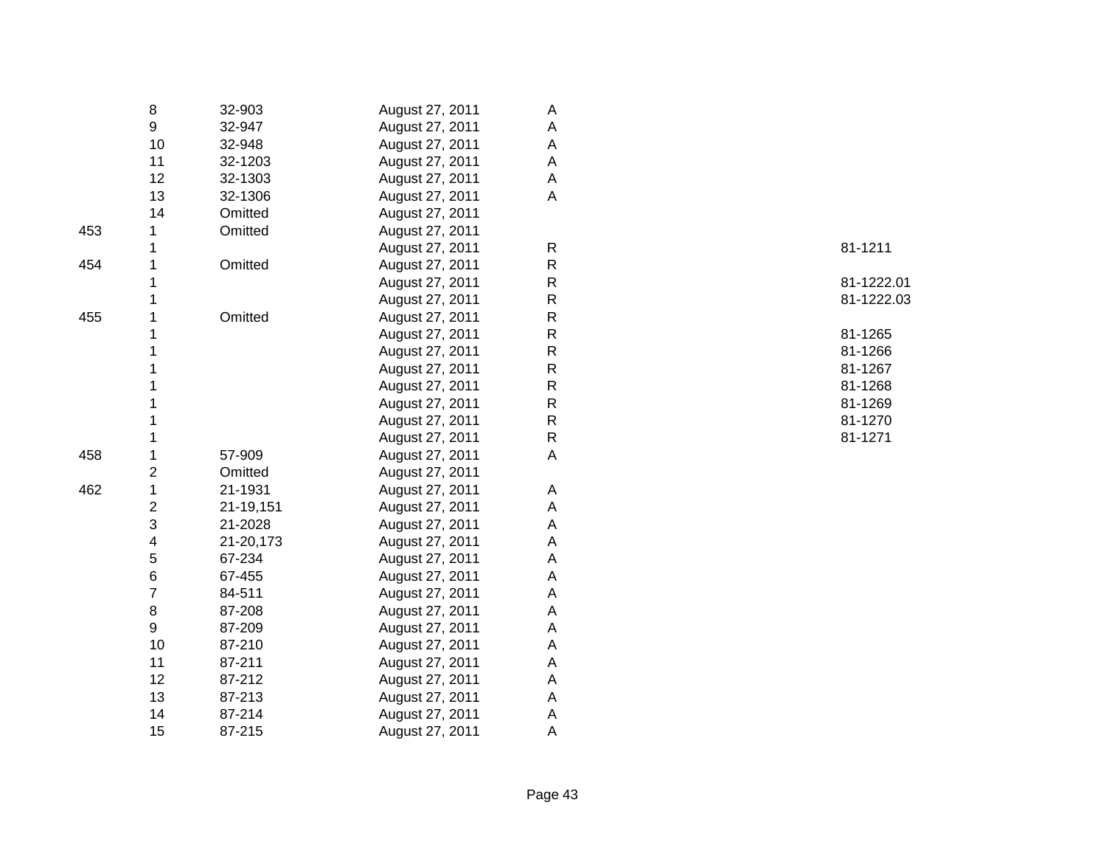|     | 8                       | 32-903    | August 27, 2011 | Α            |            |
|-----|-------------------------|-----------|-----------------|--------------|------------|
|     | 9                       | 32-947    | August 27, 2011 | Α            |            |
|     | 10                      | 32-948    | August 27, 2011 | A            |            |
|     | 11                      | 32-1203   | August 27, 2011 | $\mathsf A$  |            |
|     | 12                      | 32-1303   | August 27, 2011 | A            |            |
|     | 13                      | 32-1306   | August 27, 2011 | A            |            |
|     | 14                      | Omitted   | August 27, 2011 |              |            |
| 453 |                         | Omitted   | August 27, 2011 |              |            |
|     |                         |           | August 27, 2011 | $\mathsf{R}$ | 81-1211    |
| 454 |                         | Omitted   | August 27, 2011 | ${\sf R}$    |            |
|     |                         |           | August 27, 2011 | ${\sf R}$    | 81-1222.01 |
|     |                         |           | August 27, 2011 | ${\sf R}$    | 81-1222.03 |
| 455 |                         | Omitted   | August 27, 2011 | ${\sf R}$    |            |
|     |                         |           | August 27, 2011 | $\mathsf{R}$ | 81-1265    |
|     |                         |           | August 27, 2011 | ${\sf R}$    | 81-1266    |
|     |                         |           | August 27, 2011 | $\mathsf{R}$ | 81-1267    |
|     |                         |           | August 27, 2011 | ${\sf R}$    | 81-1268    |
|     |                         |           | August 27, 2011 | $\mathsf{R}$ | 81-1269    |
|     |                         |           | August 27, 2011 | ${\sf R}$    | 81-1270    |
|     |                         |           | August 27, 2011 | ${\sf R}$    | 81-1271    |
| 458 | 1                       | 57-909    | August 27, 2011 | A            |            |
|     | 2                       | Omitted   | August 27, 2011 |              |            |
| 462 | $\mathbf{1}$            | 21-1931   | August 27, 2011 | Α            |            |
|     | $\overline{\mathbf{c}}$ | 21-19,151 | August 27, 2011 | $\mathsf A$  |            |
|     | 3                       | 21-2028   | August 27, 2011 | A            |            |
|     | 4                       | 21-20,173 | August 27, 2011 | A            |            |
|     | 5                       | 67-234    | August 27, 2011 | A            |            |
|     | 6                       | 67-455    | August 27, 2011 | A            |            |
|     | 7                       | 84-511    | August 27, 2011 | A            |            |
|     | 8                       | 87-208    | August 27, 2011 | A            |            |
|     | 9                       | 87-209    | August 27, 2011 | A            |            |
|     | 10                      | 87-210    | August 27, 2011 | A            |            |
|     | 11                      | 87-211    | August 27, 2011 | A            |            |
|     | 12                      | 87-212    | August 27, 2011 | A            |            |
|     | 13                      | 87-213    | August 27, 2011 | $\mathsf A$  |            |
|     | 14                      | 87-214    | August 27, 2011 | A            |            |
|     | 15                      | 87-215    | August 27, 2011 | Α            |            |
|     |                         |           |                 |              |            |

| 81-1211                  |
|--------------------------|
| 81-1222.01<br>81-1222.03 |
| 81-1265                  |
| 81-1266                  |
| 81-1267                  |
| 81-1268                  |
| 81-1269                  |
| 81-1270                  |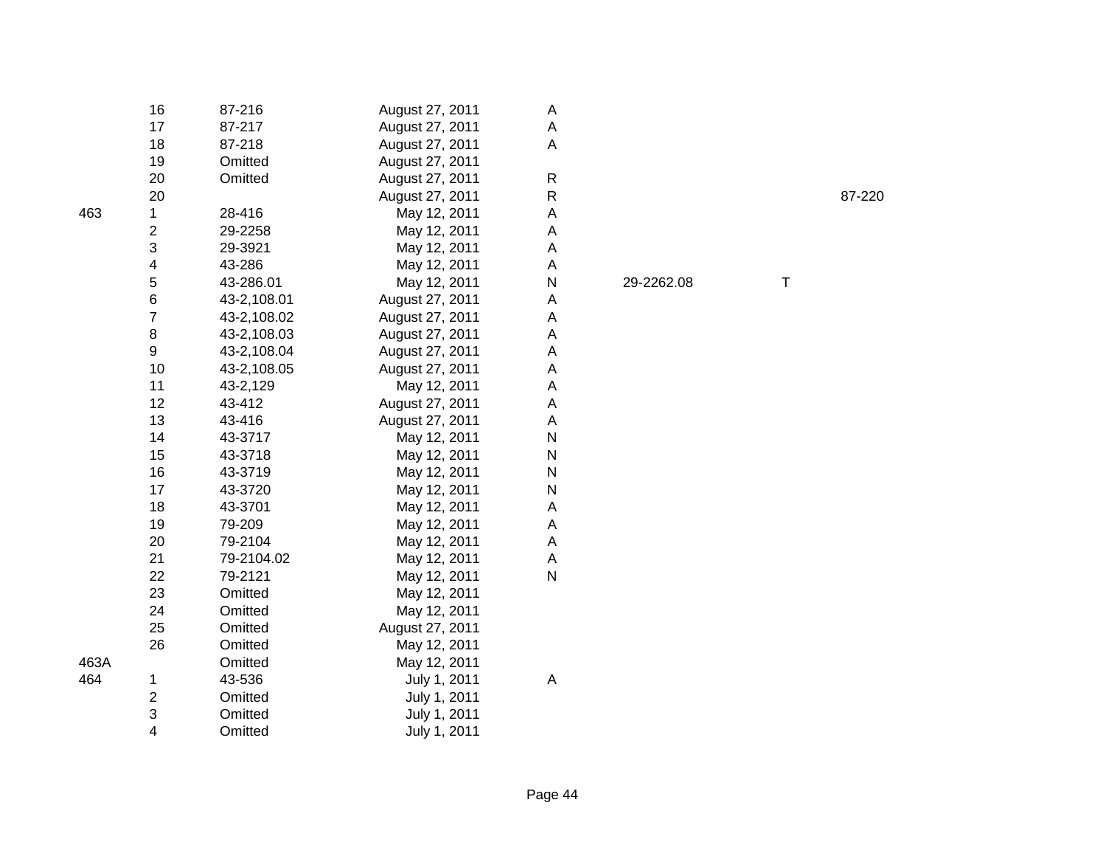|      | 16                      | 87-216      | August 27, 2011 | A            |            |   |        |
|------|-------------------------|-------------|-----------------|--------------|------------|---|--------|
|      | 17                      | 87-217      | August 27, 2011 | A            |            |   |        |
|      | 18                      | 87-218      | August 27, 2011 | $\mathsf A$  |            |   |        |
|      | 19                      | Omitted     | August 27, 2011 |              |            |   |        |
|      | 20                      | Omitted     | August 27, 2011 | ${\sf R}$    |            |   |        |
|      | 20                      |             | August 27, 2011 | ${\sf R}$    |            |   | 87-220 |
| 463  | 1                       | 28-416      | May 12, 2011    | A            |            |   |        |
|      | $\overline{\mathbf{c}}$ | 29-2258     | May 12, 2011    | A            |            |   |        |
|      | 3                       | 29-3921     | May 12, 2011    | A            |            |   |        |
|      | 4                       | 43-286      | May 12, 2011    | A            |            |   |        |
|      | 5                       | 43-286.01   | May 12, 2011    | N            | 29-2262.08 | Τ |        |
|      | 6                       | 43-2,108.01 | August 27, 2011 | A            |            |   |        |
|      | $\overline{7}$          | 43-2,108.02 | August 27, 2011 | A            |            |   |        |
|      | $\bf 8$                 | 43-2,108.03 | August 27, 2011 | A            |            |   |        |
|      | 9                       | 43-2,108.04 | August 27, 2011 | A            |            |   |        |
|      | 10                      | 43-2,108.05 | August 27, 2011 | A            |            |   |        |
|      | 11                      | 43-2,129    | May 12, 2011    | A            |            |   |        |
|      | 12                      | 43-412      | August 27, 2011 | A            |            |   |        |
|      | 13                      | 43-416      | August 27, 2011 | A            |            |   |        |
|      | 14                      | 43-3717     | May 12, 2011    | ${\sf N}$    |            |   |        |
|      | 15                      | 43-3718     | May 12, 2011    | N            |            |   |        |
|      | 16                      | 43-3719     | May 12, 2011    | N            |            |   |        |
|      | 17                      | 43-3720     | May 12, 2011    | ${\sf N}$    |            |   |        |
|      | 18                      | 43-3701     | May 12, 2011    | A            |            |   |        |
|      | 19                      | 79-209      | May 12, 2011    | A            |            |   |        |
|      | 20                      | 79-2104     | May 12, 2011    | Α            |            |   |        |
|      | 21                      | 79-2104.02  | May 12, 2011    | A            |            |   |        |
|      | 22                      | 79-2121     | May 12, 2011    | $\mathsf{N}$ |            |   |        |
|      | 23                      | Omitted     | May 12, 2011    |              |            |   |        |
|      | 24                      | Omitted     | May 12, 2011    |              |            |   |        |
|      | 25                      | Omitted     | August 27, 2011 |              |            |   |        |
|      | 26                      | Omitted     | May 12, 2011    |              |            |   |        |
| 463A |                         | Omitted     | May 12, 2011    |              |            |   |        |
| 464  | 1                       | 43-536      | July 1, 2011    | A            |            |   |        |
|      | $\overline{\mathbf{c}}$ | Omitted     | July 1, 2011    |              |            |   |        |
|      | 3                       | Omitted     | July 1, 2011    |              |            |   |        |
|      | 4                       | Omitted     | July 1, 2011    |              |            |   |        |
|      |                         |             |                 |              |            |   |        |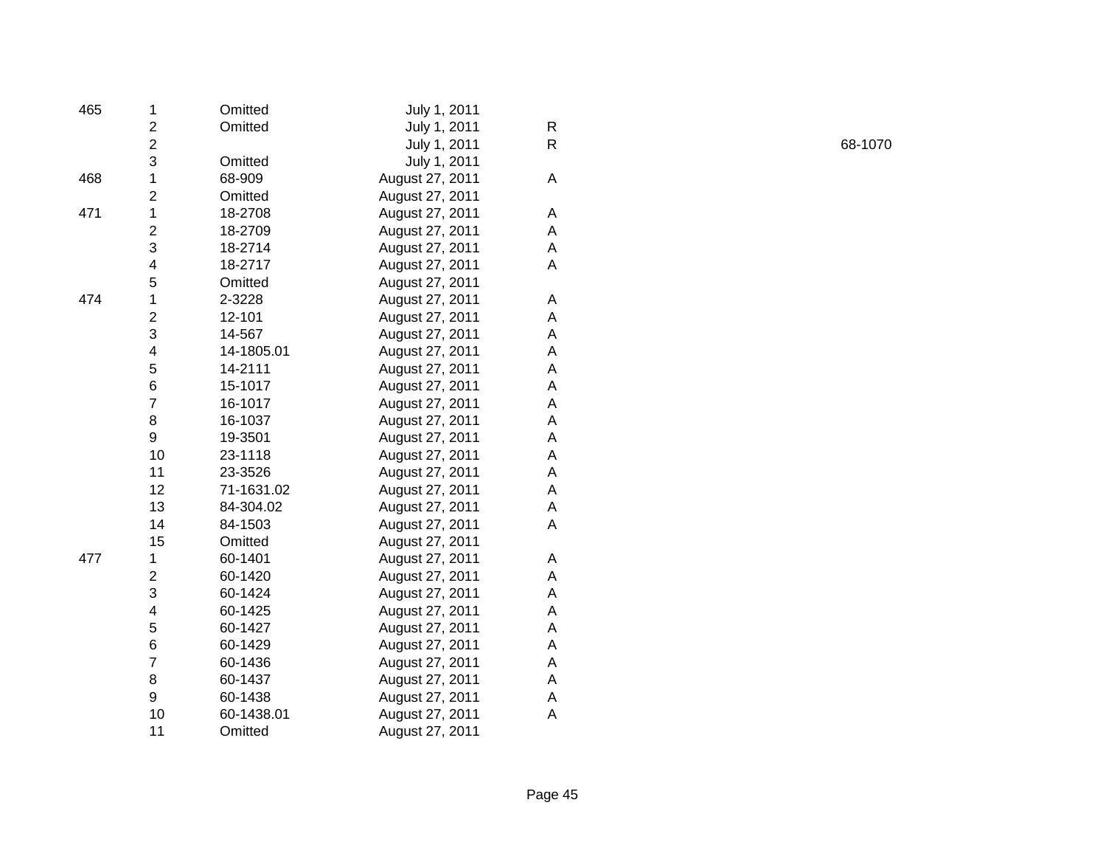| 1                       | Omitted                                                                                                                      | July 1, 2011    |   |
|-------------------------|------------------------------------------------------------------------------------------------------------------------------|-----------------|---|
| $\overline{\mathbf{c}}$ | Omitted                                                                                                                      | July 1, 2011    | R |
|                         |                                                                                                                              | July 1, 2011    | R |
|                         | Omitted                                                                                                                      | July 1, 2011    |   |
| $\mathbf 1$             | 68-909                                                                                                                       | August 27, 2011 | A |
|                         | Omitted                                                                                                                      | August 27, 2011 |   |
| $\mathbf 1$             | 18-2708                                                                                                                      | August 27, 2011 | Α |
|                         | 18-2709                                                                                                                      | August 27, 2011 | A |
|                         | 18-2714                                                                                                                      | August 27, 2011 | A |
| 4                       | 18-2717                                                                                                                      | August 27, 2011 | Α |
| 5                       | Omitted                                                                                                                      | August 27, 2011 |   |
| $\mathbf 1$             | 2-3228                                                                                                                       | August 27, 2011 | A |
|                         | 12-101                                                                                                                       | August 27, 2011 | Α |
| 3                       | 14-567                                                                                                                       | August 27, 2011 | Α |
|                         | 14-1805.01                                                                                                                   | August 27, 2011 | Α |
| 5                       | 14-2111                                                                                                                      | August 27, 2011 | Α |
|                         | 15-1017                                                                                                                      | August 27, 2011 | А |
| $\overline{7}$          | 16-1017                                                                                                                      | August 27, 2011 | A |
| 8                       | 16-1037                                                                                                                      | August 27, 2011 | Α |
| 9                       | 19-3501                                                                                                                      | August 27, 2011 | Α |
| 10                      | 23-1118                                                                                                                      | August 27, 2011 | Α |
| 11                      | 23-3526                                                                                                                      | August 27, 2011 | А |
| 12                      | 71-1631.02                                                                                                                   | August 27, 2011 | Α |
| 13                      | 84-304.02                                                                                                                    | August 27, 2011 | A |
| 14                      | 84-1503                                                                                                                      | August 27, 2011 | Α |
| 15                      | Omitted                                                                                                                      | August 27, 2011 |   |
| 1                       | 60-1401                                                                                                                      | August 27, 2011 | A |
| $\overline{2}$          | 60-1420                                                                                                                      | August 27, 2011 | Α |
|                         | 60-1424                                                                                                                      | August 27, 2011 | Α |
| 4                       | 60-1425                                                                                                                      | August 27, 2011 | Α |
| 5                       | 60-1427                                                                                                                      | August 27, 2011 | A |
| 6                       | 60-1429                                                                                                                      | August 27, 2011 | A |
| $\overline{7}$          | 60-1436                                                                                                                      | August 27, 2011 | Α |
| 8                       | 60-1437                                                                                                                      | August 27, 2011 | A |
| 9                       | 60-1438                                                                                                                      | August 27, 2011 | Α |
| 10                      | 60-1438.01                                                                                                                   | August 27, 2011 | A |
| 11                      | Omitted                                                                                                                      | August 27, 2011 |   |
|                         | $\overline{\mathbf{c}}$<br>3<br>$\overline{c}$<br>$\overline{c}$<br>3<br>$\overline{c}$<br>$\overline{\mathbf{4}}$<br>6<br>3 |                 |   |

R 68-1070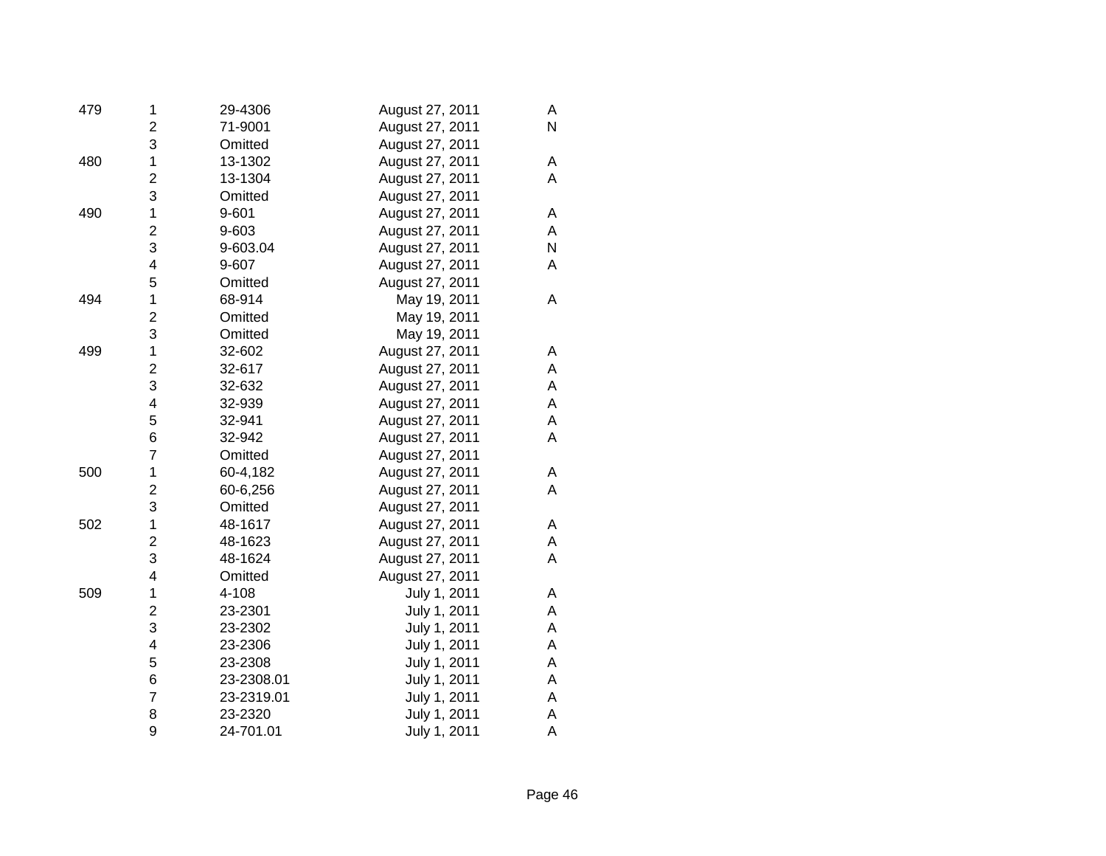| 479 | 1                       | 29-4306    | August 27, 2011 | Α |
|-----|-------------------------|------------|-----------------|---|
|     | $\overline{c}$          | 71-9001    | August 27, 2011 | N |
|     | 3                       | Omitted    | August 27, 2011 |   |
| 480 | $\mathbf{1}$            | 13-1302    | August 27, 2011 | Α |
|     | $\overline{c}$          | 13-1304    | August 27, 2011 | A |
|     | 3                       | Omitted    | August 27, 2011 |   |
| 490 | $\mathbf 1$             | 9-601      | August 27, 2011 | Α |
|     | $\overline{\mathbf{c}}$ | 9-603      | August 27, 2011 | Α |
|     | 3                       | 9-603.04   | August 27, 2011 | N |
|     | 4                       | 9-607      | August 27, 2011 | Α |
|     | 5                       | Omitted    | August 27, 2011 |   |
| 494 | $\mathbf{1}$            | 68-914     | May 19, 2011    | Α |
|     | $\overline{c}$          | Omitted    | May 19, 2011    |   |
|     | 3                       | Omitted    | May 19, 2011    |   |
| 499 | $\mathbf 1$             | 32-602     | August 27, 2011 | Α |
|     | $\overline{c}$          | 32-617     | August 27, 2011 | A |
|     | 3                       | 32-632     | August 27, 2011 | А |
|     | 4                       | 32-939     | August 27, 2011 | А |
|     | 5                       | 32-941     | August 27, 2011 | А |
|     | 6                       | 32-942     | August 27, 2011 | A |
|     | $\overline{7}$          | Omitted    | August 27, 2011 |   |
| 500 | $\mathbf 1$             | 60-4,182   | August 27, 2011 | Α |
|     | $\overline{\mathbf{c}}$ | 60-6,256   | August 27, 2011 | A |
|     | 3                       | Omitted    | August 27, 2011 |   |
| 502 | 1                       | 48-1617    | August 27, 2011 | Α |
|     | $\overline{c}$          | 48-1623    | August 27, 2011 | A |
|     | 3                       | 48-1624    | August 27, 2011 | Α |
|     | 4                       | Omitted    | August 27, 2011 |   |
| 509 | $\mathbf 1$             | 4-108      | July 1, 2011    | Α |
|     | $\overline{\mathbf{c}}$ | 23-2301    | July 1, 2011    | A |
|     | 3                       | 23-2302    | July 1, 2011    | А |
|     | 4                       | 23-2306    | July 1, 2011    | A |
|     | 5                       | 23-2308    | July 1, 2011    | A |
|     | 6                       | 23-2308.01 | July 1, 2011    | А |
|     | $\overline{7}$          | 23-2319.01 | July 1, 2011    | A |
|     | 8                       | 23-2320    | July 1, 2011    | Α |
|     | 9                       | 24-701.01  | July 1, 2011    | A |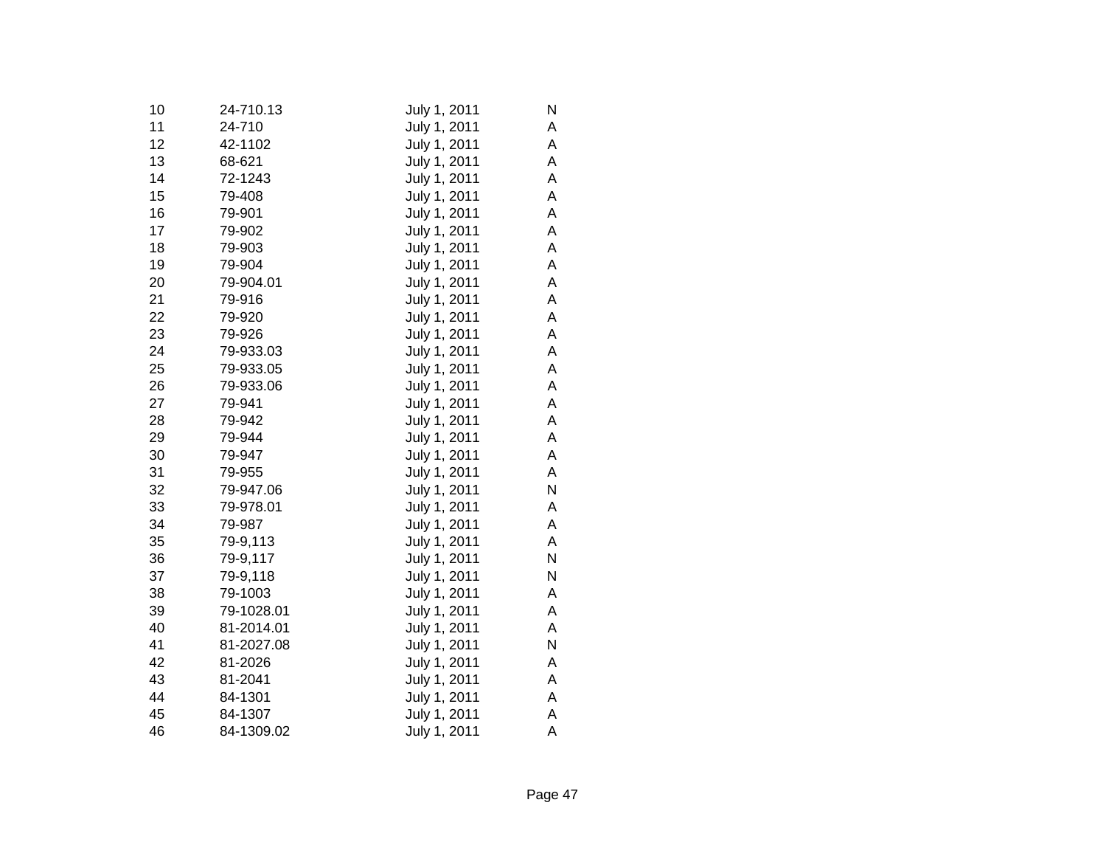| 10 | 24-710.13  | July 1, 2011 | N |
|----|------------|--------------|---|
| 11 | 24-710     | July 1, 2011 | А |
| 12 | 42-1102    | July 1, 2011 | А |
| 13 | 68-621     | July 1, 2011 | A |
| 14 | 72-1243    | July 1, 2011 | А |
| 15 | 79-408     | July 1, 2011 | A |
| 16 | 79-901     | July 1, 2011 | А |
| 17 | 79-902     | July 1, 2011 | Α |
| 18 | 79-903     | July 1, 2011 | Α |
| 19 | 79-904     | July 1, 2011 | Α |
| 20 | 79-904.01  | July 1, 2011 | Α |
| 21 | 79-916     | July 1, 2011 | А |
| 22 | 79-920     | July 1, 2011 | А |
| 23 | 79-926     | July 1, 2011 | А |
| 24 | 79-933.03  | July 1, 2011 | A |
| 25 | 79-933.05  | July 1, 2011 | А |
| 26 | 79-933.06  | July 1, 2011 | Α |
| 27 | 79-941     | July 1, 2011 | Α |
| 28 | 79-942     | July 1, 2011 | Α |
| 29 | 79-944     | July 1, 2011 | Α |
| 30 | 79-947     | July 1, 2011 | Α |
| 31 | 79-955     | July 1, 2011 | А |
| 32 | 79-947.06  | July 1, 2011 | N |
| 33 | 79-978.01  | July 1, 2011 | А |
| 34 | 79-987     | July 1, 2011 | А |
| 35 | 79-9,113   | July 1, 2011 | А |
| 36 | 79-9,117   | July 1, 2011 | Ν |
| 37 | 79-9,118   | July 1, 2011 | N |
| 38 | 79-1003    | July 1, 2011 | А |
| 39 | 79-1028.01 | July 1, 2011 | Α |
| 40 | 81-2014.01 | July 1, 2011 | А |
| 41 | 81-2027.08 | July 1, 2011 | N |
| 42 | 81-2026    | July 1, 2011 | А |
| 43 | 81-2041    | July 1, 2011 | А |
| 44 | 84-1301    | July 1, 2011 | А |
| 45 | 84-1307    | July 1, 2011 | A |
| 46 | 84-1309.02 | July 1, 2011 | A |
|    |            |              |   |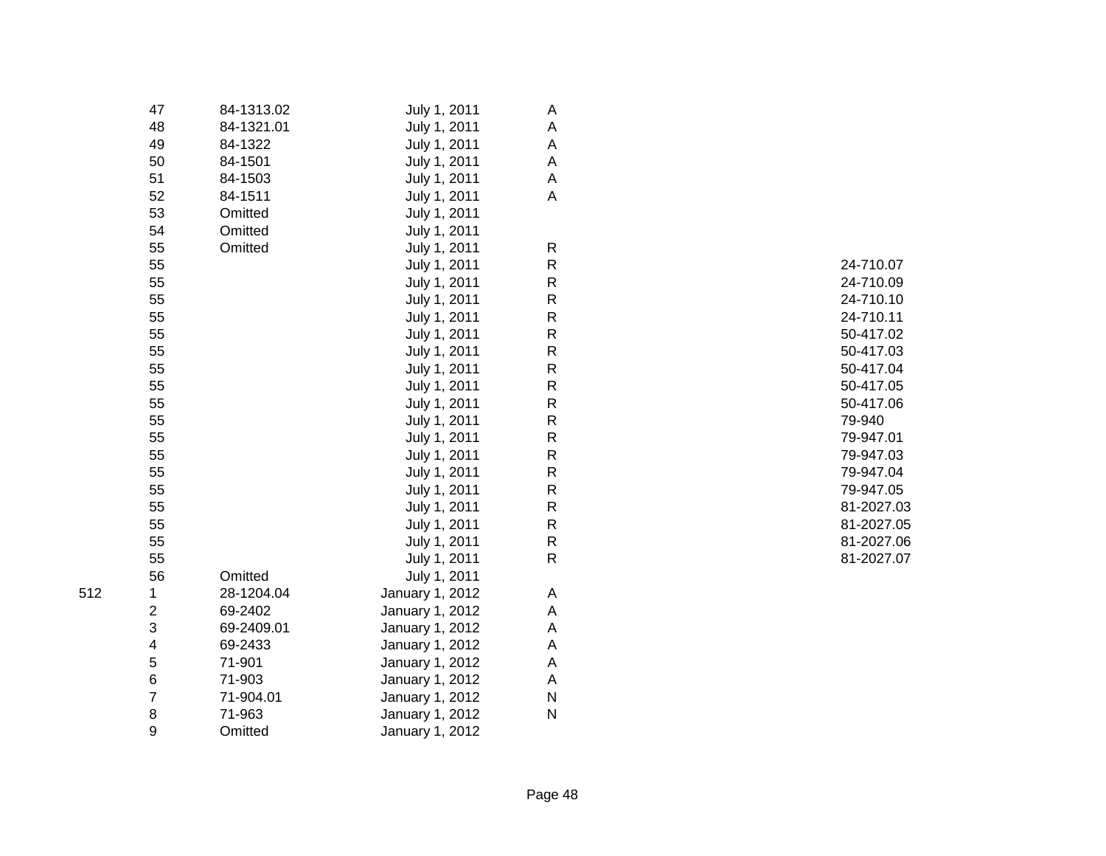|     | 47                      | 84-1313.02 | July 1, 2011    | A |
|-----|-------------------------|------------|-----------------|---|
|     | 48                      | 84-1321.01 | July 1, 2011    | A |
|     | 49                      | 84-1322    | July 1, 2011    | Α |
|     | 50                      | 84-1501    | July 1, 2011    | A |
|     | 51                      | 84-1503    | July 1, 2011    | A |
|     | 52                      | 84-1511    | July 1, 2011    | A |
|     | 53                      | Omitted    | July 1, 2011    |   |
|     | 54                      | Omitted    | July 1, 2011    |   |
|     | 55                      | Omitted    | July 1, 2011    | R |
|     | 55                      |            | July 1, 2011    | R |
|     | 55                      |            | July 1, 2011    | R |
|     | 55                      |            | July 1, 2011    | R |
|     | 55                      |            | July 1, 2011    | R |
|     | 55                      |            | July 1, 2011    | R |
|     | 55                      |            | July 1, 2011    | R |
|     | 55                      |            | July 1, 2011    | R |
|     | 55                      |            | July 1, 2011    | R |
|     | 55                      |            | July 1, 2011    | R |
|     | 55                      |            | July 1, 2011    | R |
|     | 55                      |            | July 1, 2011    | R |
|     | 55                      |            | July 1, 2011    | R |
|     | 55                      |            | July 1, 2011    | R |
|     | 55                      |            | July 1, 2011    | R |
|     | 55                      |            | July 1, 2011    | R |
|     | 55                      |            | July 1, 2011    | R |
|     | 55                      |            | July 1, 2011    | R |
|     | 55                      |            | July 1, 2011    | R |
|     | 56                      | Omitted    | July 1, 2011    |   |
| 512 | 1                       | 28-1204.04 | January 1, 2012 | A |
|     | $\overline{\mathbf{c}}$ | 69-2402    | January 1, 2012 | Α |
|     | 3                       | 69-2409.01 | January 1, 2012 | Α |
|     | 4                       | 69-2433    | January 1, 2012 | A |
|     | 5                       | 71-901     | January 1, 2012 | A |
|     | 6                       | 71-903     | January 1, 2012 | A |
|     | $\overline{7}$          | 71-904.01  | January 1, 2012 | N |
|     | 8                       | 71-963     | January 1, 2012 | N |
|     | 9                       | Omitted    | January 1, 2012 |   |

| R | 24-710.07  |
|---|------------|
| R | 24-710.09  |
| R | 24-710.10  |
| R | 24-710.11  |
| R | 50-417.02  |
| R | 50-417.03  |
| R | 50-417.04  |
| R | 50-417.05  |
| R | 50-417.06  |
| R | 79-940     |
| R | 79-947.01  |
| R | 79-947.03  |
| R | 79-947.04  |
| R | 79-947.05  |
| R | 81-2027.03 |
| R | 81-2027.05 |
| R | 81-2027.06 |
| R | 81-2027.07 |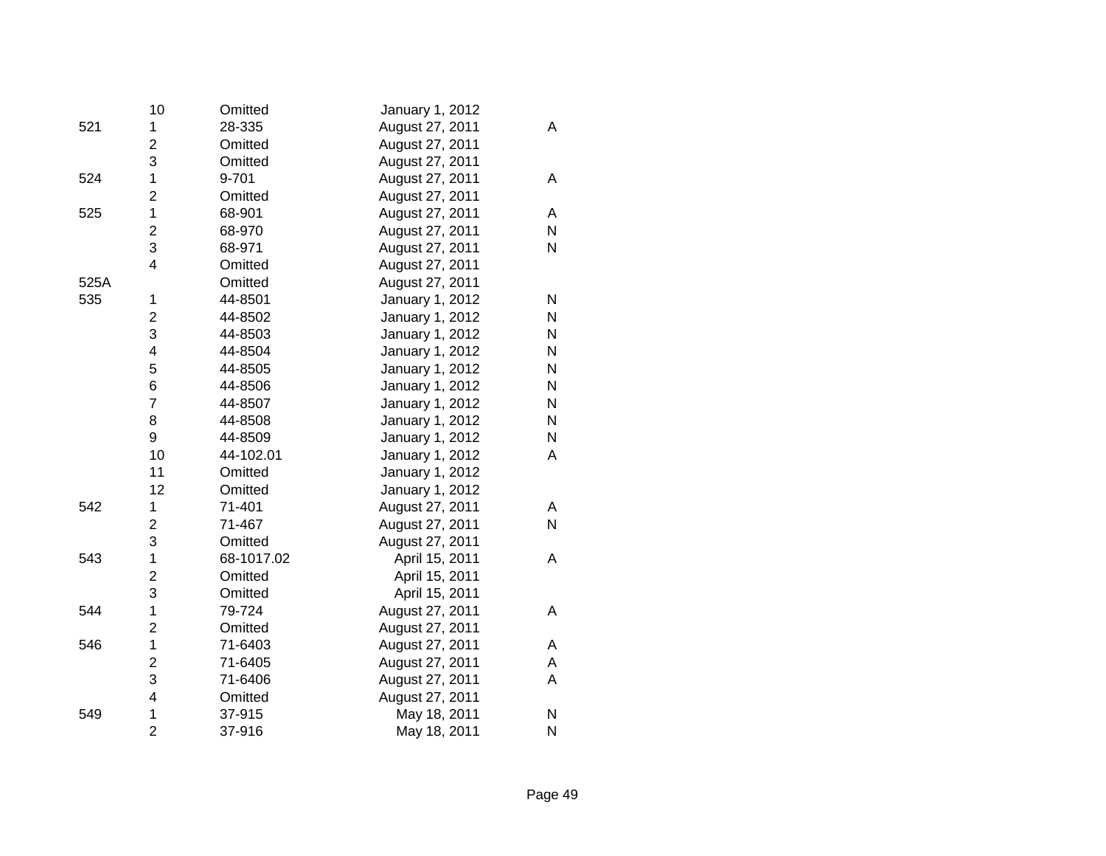|      | 10                      | Omitted    | January 1, 2012 |              |
|------|-------------------------|------------|-----------------|--------------|
| 521  | 1                       | 28-335     | August 27, 2011 | A            |
|      | $\overline{c}$          | Omitted    | August 27, 2011 |              |
|      | 3                       | Omitted    | August 27, 2011 |              |
| 524  | $\mathbf 1$             | 9-701      | August 27, 2011 | Α            |
|      | $\overline{\mathbf{c}}$ | Omitted    | August 27, 2011 |              |
| 525  | $\mathbf 1$             | 68-901     | August 27, 2011 | A            |
|      | $\overline{\mathbf{c}}$ | 68-970     | August 27, 2011 | N            |
|      | 3                       | 68-971     | August 27, 2011 | N            |
|      | 4                       | Omitted    | August 27, 2011 |              |
| 525A |                         | Omitted    | August 27, 2011 |              |
| 535  | 1                       | 44-8501    | January 1, 2012 | N            |
|      | $\overline{c}$          | 44-8502    | January 1, 2012 | $\mathsf{N}$ |
|      | 3                       | 44-8503    | January 1, 2012 | N            |
|      | 4                       | 44-8504    | January 1, 2012 | N            |
|      | 5                       | 44-8505    | January 1, 2012 | N            |
|      | 6                       | 44-8506    | January 1, 2012 | $\mathsf{N}$ |
|      | $\overline{7}$          | 44-8507    | January 1, 2012 | N            |
|      | 8                       | 44-8508    | January 1, 2012 | N            |
|      | 9                       | 44-8509    | January 1, 2012 | N            |
|      | 10                      | 44-102.01  | January 1, 2012 | A            |
|      | 11                      | Omitted    | January 1, 2012 |              |
|      | 12                      | Omitted    | January 1, 2012 |              |
| 542  | 1                       | 71-401     | August 27, 2011 | A            |
|      | $\overline{2}$          | 71-467     | August 27, 2011 | $\mathsf{N}$ |
|      | 3                       | Omitted    | August 27, 2011 |              |
| 543  | 1                       | 68-1017.02 | April 15, 2011  | A            |
|      | $\overline{2}$          | Omitted    | April 15, 2011  |              |
|      | 3                       | Omitted    | April 15, 2011  |              |
| 544  | 1                       | 79-724     | August 27, 2011 | A            |
|      | $\overline{2}$          | Omitted    | August 27, 2011 |              |
| 546  | 1                       | 71-6403    | August 27, 2011 | A            |
|      | $\overline{c}$          | 71-6405    | August 27, 2011 | A            |
|      | 3                       | 71-6406    | August 27, 2011 | A            |
|      | 4                       | Omitted    | August 27, 2011 |              |
| 549  | 1                       | 37-915     | May 18, 2011    | N            |
|      | $\overline{2}$          | 37-916     | May 18, 2011    | N            |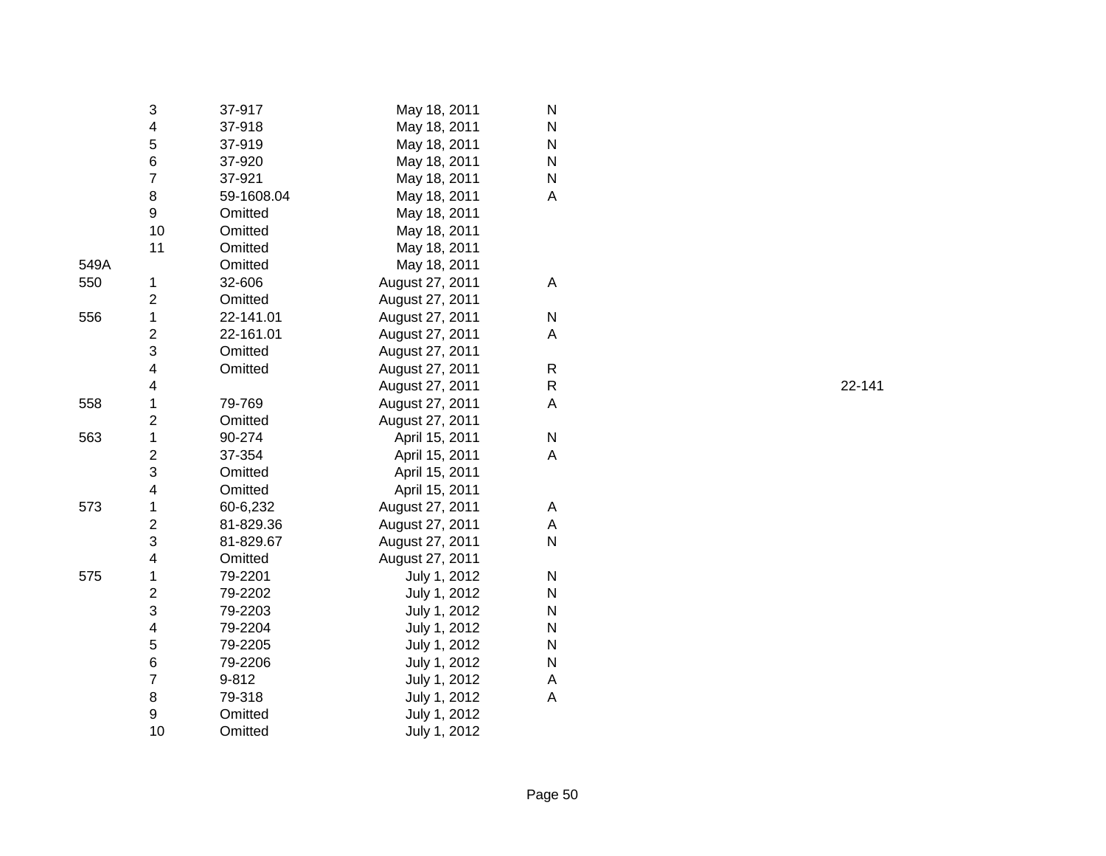|      | 3                       | 37-917     | May 18, 2011    | N |
|------|-------------------------|------------|-----------------|---|
|      | 4                       | 37-918     | May 18, 2011    | N |
|      | 5                       | 37-919     | May 18, 2011    | N |
|      | 6                       | 37-920     | May 18, 2011    | N |
|      | $\overline{7}$          | 37-921     | May 18, 2011    | N |
|      | 8                       | 59-1608.04 | May 18, 2011    | A |
|      | 9                       | Omitted    | May 18, 2011    |   |
|      | 10                      | Omitted    | May 18, 2011    |   |
|      | 11                      | Omitted    | May 18, 2011    |   |
| 549A |                         | Omitted    | May 18, 2011    |   |
| 550  | 1                       | 32-606     | August 27, 2011 | A |
|      | $\overline{\mathbf{c}}$ | Omitted    | August 27, 2011 |   |
| 556  | $\mathbf 1$             | 22-141.01  | August 27, 2011 | N |
|      | $\overline{c}$          | 22-161.01  | August 27, 2011 | A |
|      | 3                       | Omitted    | August 27, 2011 |   |
|      | 4                       | Omitted    | August 27, 2011 | R |
|      | 4                       |            | August 27, 2011 | R |
| 558  | $\mathbf 1$             | 79-769     | August 27, 2011 | A |
|      | $\overline{\mathbf{c}}$ | Omitted    | August 27, 2011 |   |
| 563  | $\mathbf 1$             | 90-274     | April 15, 2011  | N |
|      | $\overline{\mathbf{c}}$ | 37-354     | April 15, 2011  | A |
|      | 3                       | Omitted    | April 15, 2011  |   |
|      | 4                       | Omitted    | April 15, 2011  |   |
| 573  | 1                       | 60-6,232   | August 27, 2011 | Α |
|      | $\overline{c}$          | 81-829.36  | August 27, 2011 | A |
|      | 3                       | 81-829.67  | August 27, 2011 | N |
|      | 4                       | Omitted    | August 27, 2011 |   |
| 575  | 1                       | 79-2201    | July 1, 2012    | N |
|      | $\overline{2}$          | 79-2202    | July 1, 2012    | N |
|      | 3                       | 79-2203    | July 1, 2012    | N |
|      | 4                       | 79-2204    | July 1, 2012    | N |
|      | 5                       | 79-2205    | July 1, 2012    | N |
|      | 6                       | 79-2206    | July 1, 2012    | N |
|      | 7                       | 9-812      | July 1, 2012    | A |
|      | 8                       | 79-318     | July 1, 2012    | A |
|      | 9                       | Omitted    | July 1, 2012    |   |
|      | 10                      | Omitted    | July 1, 2012    |   |
|      |                         |            |                 |   |

R 22-141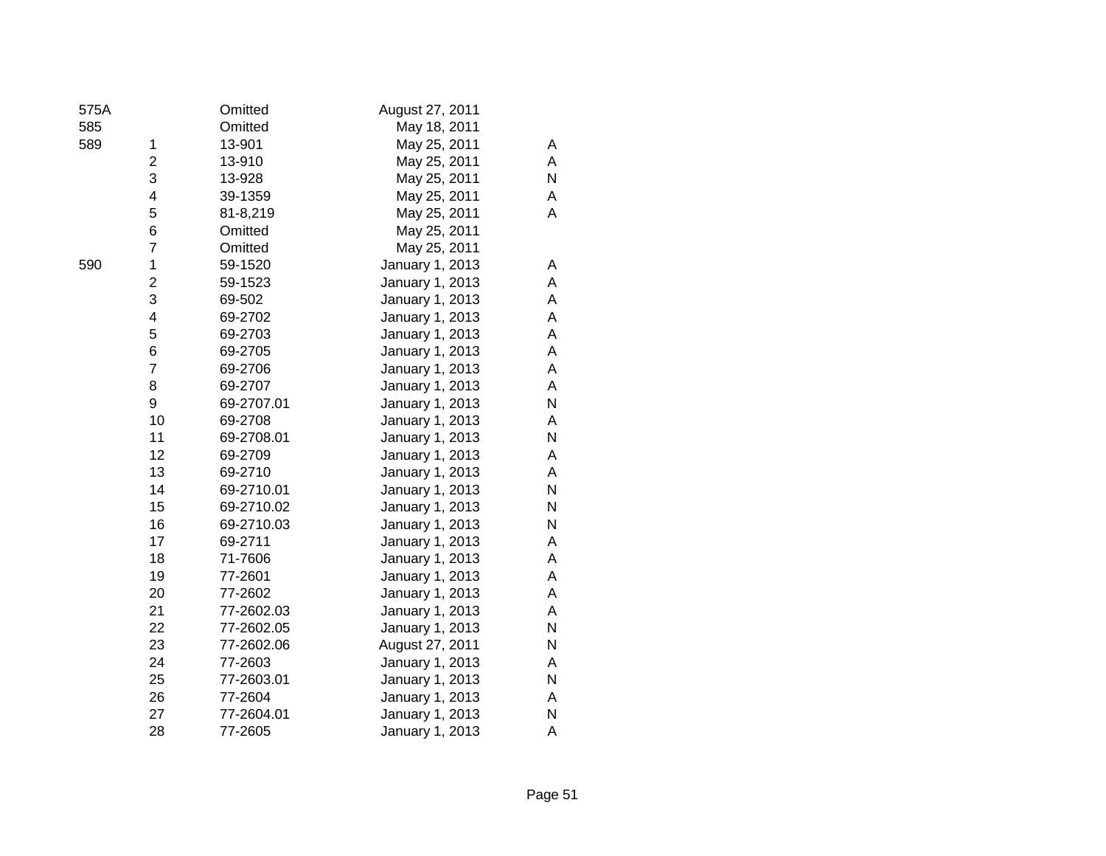| 575A |                         | Omitted    | August 27, 2011 |   |
|------|-------------------------|------------|-----------------|---|
| 585  |                         | Omitted    | May 18, 2011    |   |
| 589  | 1                       | 13-901     | May 25, 2011    | A |
|      | $\overline{c}$          | 13-910     | May 25, 2011    | A |
|      | 3                       | 13-928     | May 25, 2011    | N |
|      | 4                       | 39-1359    | May 25, 2011    | Α |
|      | 5                       | 81-8,219   | May 25, 2011    | A |
|      | 6                       | Omitted    | May 25, 2011    |   |
|      | $\overline{7}$          | Omitted    | May 25, 2011    |   |
| 590  | 1                       | 59-1520    | January 1, 2013 | Α |
|      | $\overline{\mathbf{c}}$ | 59-1523    | January 1, 2013 | A |
|      | 3                       | 69-502     | January 1, 2013 | Α |
|      | 4                       | 69-2702    | January 1, 2013 | A |
|      | 5                       | 69-2703    | January 1, 2013 | Α |
|      | 6                       | 69-2705    | January 1, 2013 | Α |
|      | $\overline{7}$          | 69-2706    | January 1, 2013 | Α |
|      | 8                       | 69-2707    | January 1, 2013 | A |
|      | 9                       | 69-2707.01 | January 1, 2013 | Ν |
|      | 10                      | 69-2708    | January 1, 2013 | A |
|      | 11                      | 69-2708.01 | January 1, 2013 | N |
|      | 12                      | 69-2709    | January 1, 2013 | Α |
|      | 13                      | 69-2710    | January 1, 2013 | A |
|      | 14                      | 69-2710.01 | January 1, 2013 | N |
|      | 15                      | 69-2710.02 | January 1, 2013 | N |
|      | 16                      | 69-2710.03 | January 1, 2013 | N |
|      | 17                      | 69-2711    | January 1, 2013 | A |
|      | 18                      | 71-7606    | January 1, 2013 | Α |
|      | 19                      | 77-2601    | January 1, 2013 | Α |
|      | 20                      | 77-2602    | January 1, 2013 | Α |
|      | 21                      | 77-2602.03 | January 1, 2013 | Α |
|      | 22                      | 77-2602.05 | January 1, 2013 | N |
|      | 23                      | 77-2602.06 | August 27, 2011 | N |
|      | 24                      | 77-2603    | January 1, 2013 | A |
|      | 25                      | 77-2603.01 | January 1, 2013 | N |
|      | 26                      | 77-2604    | January 1, 2013 | A |
|      | 27                      | 77-2604.01 | January 1, 2013 | Ν |
|      | 28                      | 77-2605    | January 1, 2013 | Α |

| ۰.<br>۰,<br>×     | ٠                 |        |
|-------------------|-------------------|--------|
| ×<br>۰.<br>w<br>v | I<br>٠<br>w<br>۰, | ×<br>× |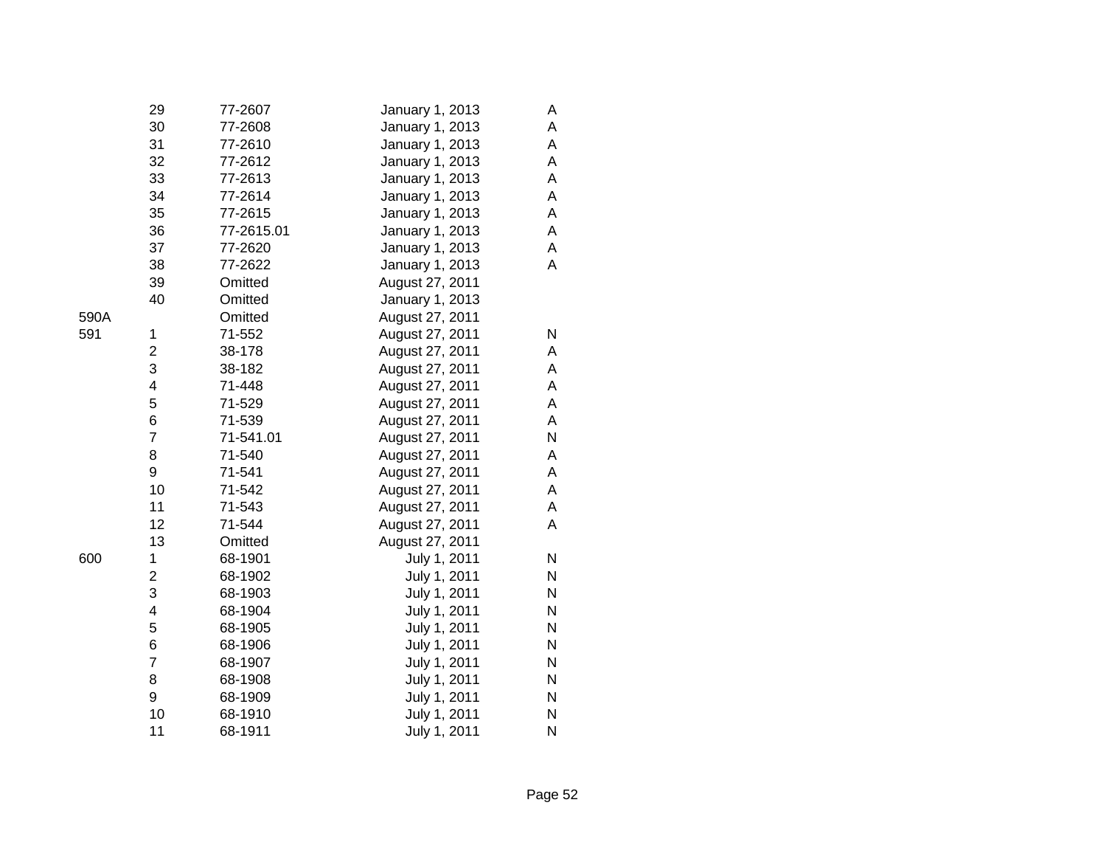|      | 29                      | 77-2607    | January 1, 2013 | A |
|------|-------------------------|------------|-----------------|---|
|      | 30                      | 77-2608    | January 1, 2013 | A |
|      | 31                      | 77-2610    | January 1, 2013 | A |
|      | 32                      | 77-2612    | January 1, 2013 | A |
|      | 33                      | 77-2613    | January 1, 2013 | A |
|      | 34                      | 77-2614    | January 1, 2013 | A |
|      | 35                      | 77-2615    | January 1, 2013 | A |
|      | 36                      | 77-2615.01 | January 1, 2013 | A |
|      | 37                      | 77-2620    | January 1, 2013 | A |
|      | 38                      | 77-2622    | January 1, 2013 | A |
|      | 39                      | Omitted    | August 27, 2011 |   |
|      | 40                      | Omitted    | January 1, 2013 |   |
| 590A |                         | Omitted    | August 27, 2011 |   |
| 591  | 1                       | 71-552     | August 27, 2011 | N |
|      | $\overline{\mathbf{c}}$ | 38-178     | August 27, 2011 | A |
|      | 3                       | 38-182     | August 27, 2011 | A |
|      | 4                       | 71-448     | August 27, 2011 | A |
|      | 5                       | 71-529     | August 27, 2011 | A |
|      | 6                       | 71-539     | August 27, 2011 | A |
|      | $\overline{7}$          | 71-541.01  | August 27, 2011 | N |
|      | 8                       | 71-540     | August 27, 2011 | Α |
|      | 9                       | 71-541     | August 27, 2011 | A |
|      | 10                      | 71-542     | August 27, 2011 | A |
|      | 11                      | 71-543     | August 27, 2011 | A |
|      | 12                      | 71-544     | August 27, 2011 | A |
|      | 13                      | Omitted    | August 27, 2011 |   |
| 600  | 1                       | 68-1901    | July 1, 2011    | N |
|      | $\overline{\mathbf{c}}$ | 68-1902    | July 1, 2011    | N |
|      | 3                       | 68-1903    | July 1, 2011    | N |
|      | 4                       | 68-1904    | July 1, 2011    | N |
|      | 5                       | 68-1905    | July 1, 2011    | N |
|      | 6                       | 68-1906    | July 1, 2011    | N |
|      | $\overline{7}$          | 68-1907    | July 1, 2011    | N |
|      | 8                       | 68-1908    | July 1, 2011    | N |
|      | 9                       | 68-1909    | July 1, 2011    | N |
|      | 10                      | 68-1910    | July 1, 2011    | N |
|      | 11                      | 68-1911    | July 1, 2011    | N |

| ×<br>w<br>v | w<br>۰, | ×<br>۰. |
|-------------|---------|---------|
|             |         |         |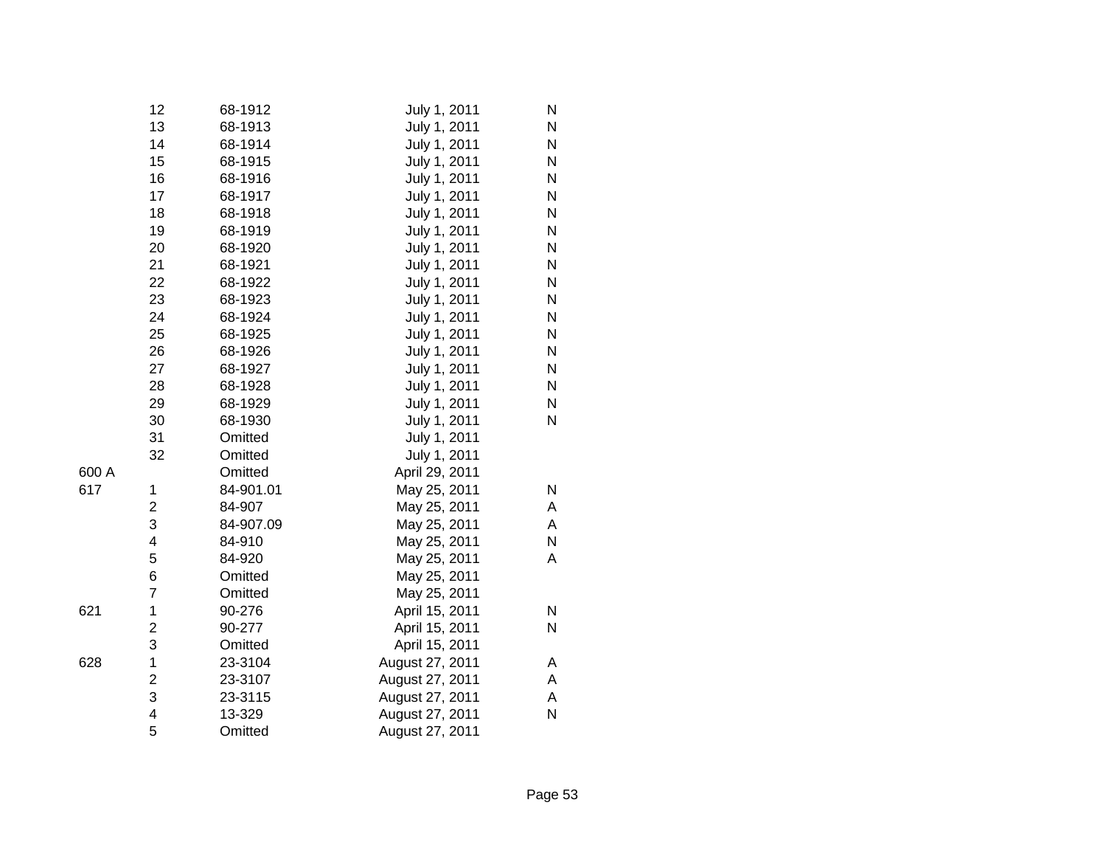|       | 12             | 68-1912   | July 1, 2011    | N |
|-------|----------------|-----------|-----------------|---|
|       | 13             | 68-1913   | July 1, 2011    | N |
|       | 14             | 68-1914   | July 1, 2011    | N |
|       | 15             | 68-1915   | July 1, 2011    | N |
|       | 16             | 68-1916   | July 1, 2011    | N |
|       | 17             | 68-1917   | July 1, 2011    | N |
|       | 18             | 68-1918   | July 1, 2011    | N |
|       | 19             | 68-1919   | July 1, 2011    | N |
|       | 20             | 68-1920   | July 1, 2011    | N |
|       | 21             | 68-1921   | July 1, 2011    | N |
|       | 22             | 68-1922   | July 1, 2011    | N |
|       | 23             | 68-1923   | July 1, 2011    | N |
|       | 24             | 68-1924   | July 1, 2011    | N |
|       | 25             | 68-1925   | July 1, 2011    | N |
|       | 26             | 68-1926   | July 1, 2011    | N |
|       | 27             | 68-1927   | July 1, 2011    | N |
|       | 28             | 68-1928   | July 1, 2011    | N |
|       | 29             | 68-1929   | July 1, 2011    | N |
|       | 30             | 68-1930   | July 1, 2011    | N |
|       | 31             | Omitted   | July 1, 2011    |   |
|       | 32             | Omitted   | July 1, 2011    |   |
| 600 A |                | Omitted   | April 29, 2011  |   |
| 617   | 1              | 84-901.01 | May 25, 2011    | N |
|       | $\overline{c}$ | 84-907    | May 25, 2011    | А |
|       | 3              | 84-907.09 | May 25, 2011    | А |
|       | 4              | 84-910    | May 25, 2011    | N |
|       | 5              | 84-920    | May 25, 2011    | А |
|       | 6              | Omitted   | May 25, 2011    |   |
|       | 7              | Omitted   | May 25, 2011    |   |
| 621   | 1              | 90-276    | April 15, 2011  | N |
|       | 2              | 90-277    | April 15, 2011  | N |
|       | 3              | Omitted   | April 15, 2011  |   |
| 628   | 1              | 23-3104   | August 27, 2011 | А |
|       | $\overline{2}$ | 23-3107   | August 27, 2011 | А |
|       | 3              | 23-3115   | August 27, 2011 | А |
|       | 4              | 13-329    | August 27, 2011 | N |
|       | 5              | Omitted   | August 27, 2011 |   |
|       |                |           |                 |   |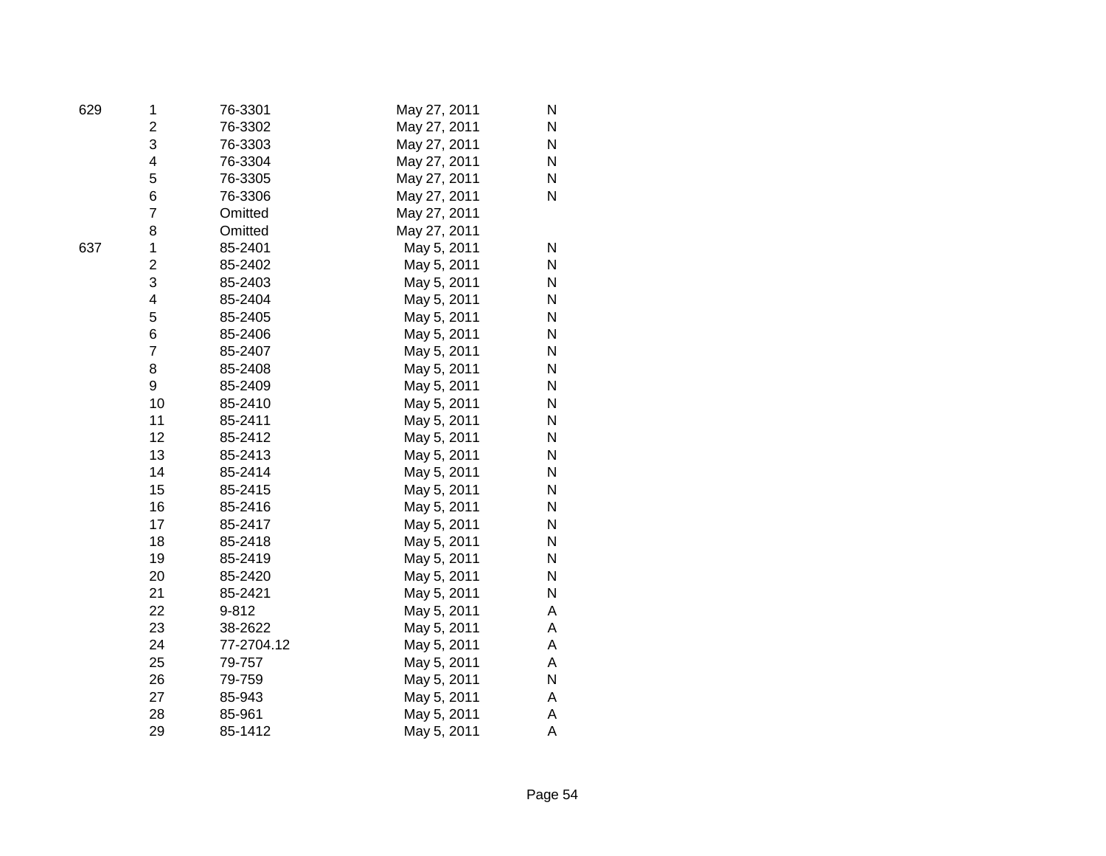| 629 | 1                       | 76-3301    | May 27, 2011 | N            |
|-----|-------------------------|------------|--------------|--------------|
|     | $\overline{2}$          | 76-3302    | May 27, 2011 | N            |
|     | 3                       | 76-3303    | May 27, 2011 | N            |
|     | 4                       | 76-3304    | May 27, 2011 | $\mathsf{N}$ |
|     | 5                       | 76-3305    | May 27, 2011 | Ν            |
|     | 6                       | 76-3306    | May 27, 2011 | N            |
|     | 7                       | Omitted    | May 27, 2011 |              |
|     | 8                       | Omitted    | May 27, 2011 |              |
| 637 | 1                       | 85-2401    | May 5, 2011  | N            |
|     | $\overline{\mathbf{c}}$ | 85-2402    | May 5, 2011  | N            |
|     | 3                       | 85-2403    | May 5, 2011  | N            |
|     | 4                       | 85-2404    | May 5, 2011  | N            |
|     | 5                       | 85-2405    | May 5, 2011  | Ν            |
|     | 6                       | 85-2406    | May 5, 2011  | N            |
|     | $\overline{7}$          | 85-2407    | May 5, 2011  | Ν            |
|     | 8                       | 85-2408    | May 5, 2011  | N            |
|     | 9                       | 85-2409    | May 5, 2011  | Ν            |
|     | 10                      | 85-2410    | May 5, 2011  | Ν            |
|     | 11                      | 85-2411    | May 5, 2011  | Ν            |
|     | 12                      | 85-2412    | May 5, 2011  | N            |
|     | 13                      | 85-2413    | May 5, 2011  | Ν            |
|     | 14                      | 85-2414    | May 5, 2011  | N            |
|     | 15                      | 85-2415    | May 5, 2011  | Ν            |
|     | 16                      | 85-2416    | May 5, 2011  | N            |
|     | 17                      | 85-2417    | May 5, 2011  | N            |
|     | 18                      | 85-2418    | May 5, 2011  | N            |
|     | 19                      | 85-2419    | May 5, 2011  | N            |
|     | 20                      | 85-2420    | May 5, 2011  | N            |
|     | 21                      | 85-2421    | May 5, 2011  | N            |
|     | 22                      | 9-812      | May 5, 2011  | Α            |
|     | 23                      | 38-2622    | May 5, 2011  | Α            |
|     | 24                      | 77-2704.12 | May 5, 2011  | A            |
|     | 25                      | 79-757     | May 5, 2011  | Α            |
|     | 26                      | 79-759     | May 5, 2011  | N            |
|     | 27                      | 85-943     | May 5, 2011  | Α            |
|     | 28                      | 85-961     | May 5, 2011  | Α            |
|     | 29                      | 85-1412    | May 5, 2011  | Α            |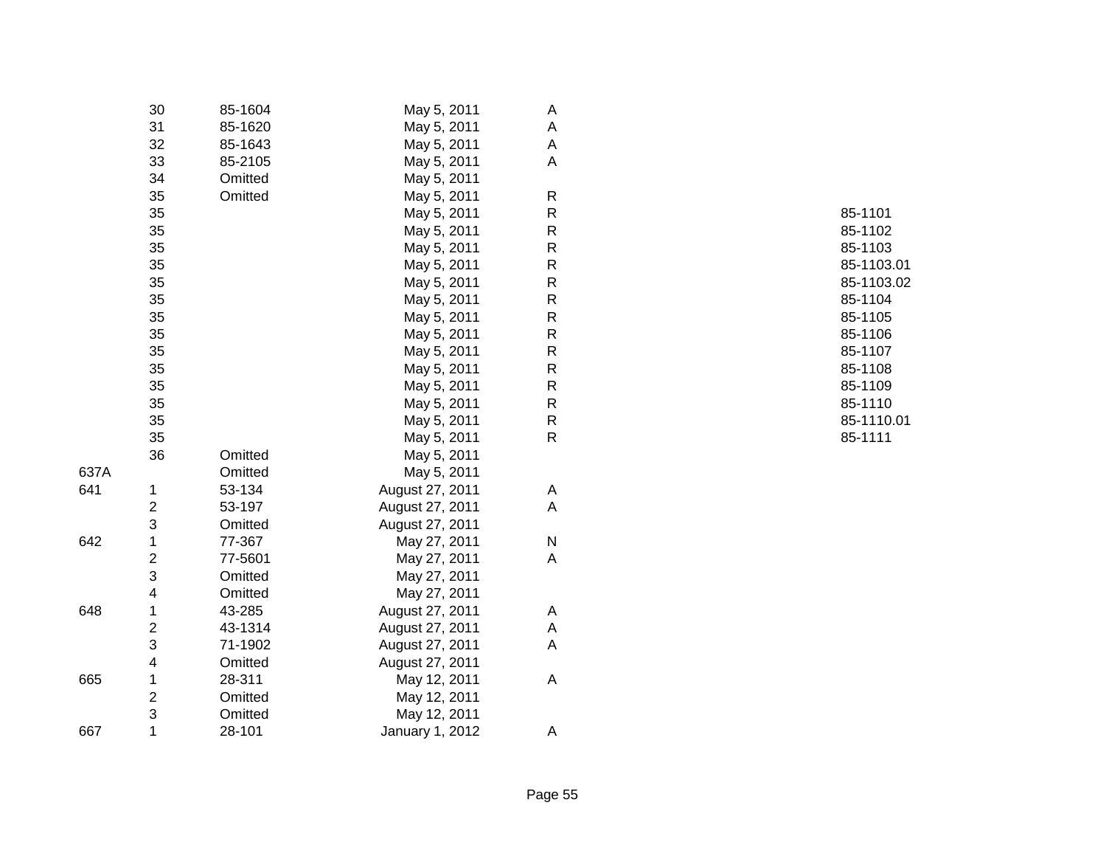|      | 30                      | 85-1604 | May 5, 2011     | A           |         |
|------|-------------------------|---------|-----------------|-------------|---------|
|      | 31                      | 85-1620 | May 5, 2011     | A           |         |
|      | 32                      | 85-1643 | May 5, 2011     | A           |         |
|      | 33                      | 85-2105 | May 5, 2011     | $\mathsf A$ |         |
|      | 34                      | Omitted | May 5, 2011     |             |         |
|      | 35                      | Omitted | May 5, 2011     | $\mathsf R$ |         |
|      | 35                      |         | May 5, 2011     | ${\sf R}$   | 85-1101 |
|      | 35                      |         | May 5, 2011     | ${\sf R}$   | 85-1102 |
|      | 35                      |         | May 5, 2011     | ${\sf R}$   | 85-1103 |
|      | 35                      |         | May 5, 2011     | ${\sf R}$   | 85-1103 |
|      | 35                      |         | May 5, 2011     | ${\sf R}$   | 85-1103 |
|      | 35                      |         | May 5, 2011     | ${\sf R}$   | 85-1104 |
|      | 35                      |         | May 5, 2011     | ${\sf R}$   | 85-1105 |
|      | 35                      |         | May 5, 2011     | ${\sf R}$   | 85-1106 |
|      | 35                      |         | May 5, 2011     | ${\sf R}$   | 85-1107 |
|      | 35                      |         | May 5, 2011     | ${\sf R}$   | 85-1108 |
|      | 35                      |         | May 5, 2011     | ${\sf R}$   | 85-1109 |
|      | 35                      |         | May 5, 2011     | ${\sf R}$   | 85-1110 |
|      | 35                      |         | May 5, 2011     | ${\sf R}$   | 85-1110 |
|      | 35                      |         | May 5, 2011     | ${\sf R}$   | 85-1111 |
|      | 36                      | Omitted | May 5, 2011     |             |         |
| 637A |                         | Omitted | May 5, 2011     |             |         |
| 641  | 1                       | 53-134  | August 27, 2011 | A           |         |
|      | 2                       | 53-197  | August 27, 2011 | $\mathsf A$ |         |
|      | 3                       | Omitted | August 27, 2011 |             |         |
| 642  | 1                       | 77-367  | May 27, 2011    | ${\sf N}$   |         |
|      | 2                       | 77-5601 | May 27, 2011    | A           |         |
|      | 3                       | Omitted | May 27, 2011    |             |         |
|      | 4                       | Omitted | May 27, 2011    |             |         |
| 648  | 1                       | 43-285  | August 27, 2011 | A           |         |
|      | 2                       | 43-1314 | August 27, 2011 | A           |         |
|      | 3                       | 71-1902 | August 27, 2011 | A           |         |
|      | 4                       | Omitted | August 27, 2011 |             |         |
| 665  | 1                       | 28-311  | May 12, 2011    | A           |         |
|      | $\overline{\mathbf{c}}$ | Omitted | May 12, 2011    |             |         |
|      | 3                       | Omitted | May 12, 2011    |             |         |
| 667  | $\mathbf 1$             | 28-101  | January 1, 2012 | Α           |         |
|      |                         |         |                 |             |         |

R 85-1101 R 85-1102 R 85-1103 85-1103.01 85-1103.02 R 85-1104 R 85-1105 R 85-1106 R 85-1107 R 85-1108 R 85-1109 R 85-1110 85-1110.01<br>85-1111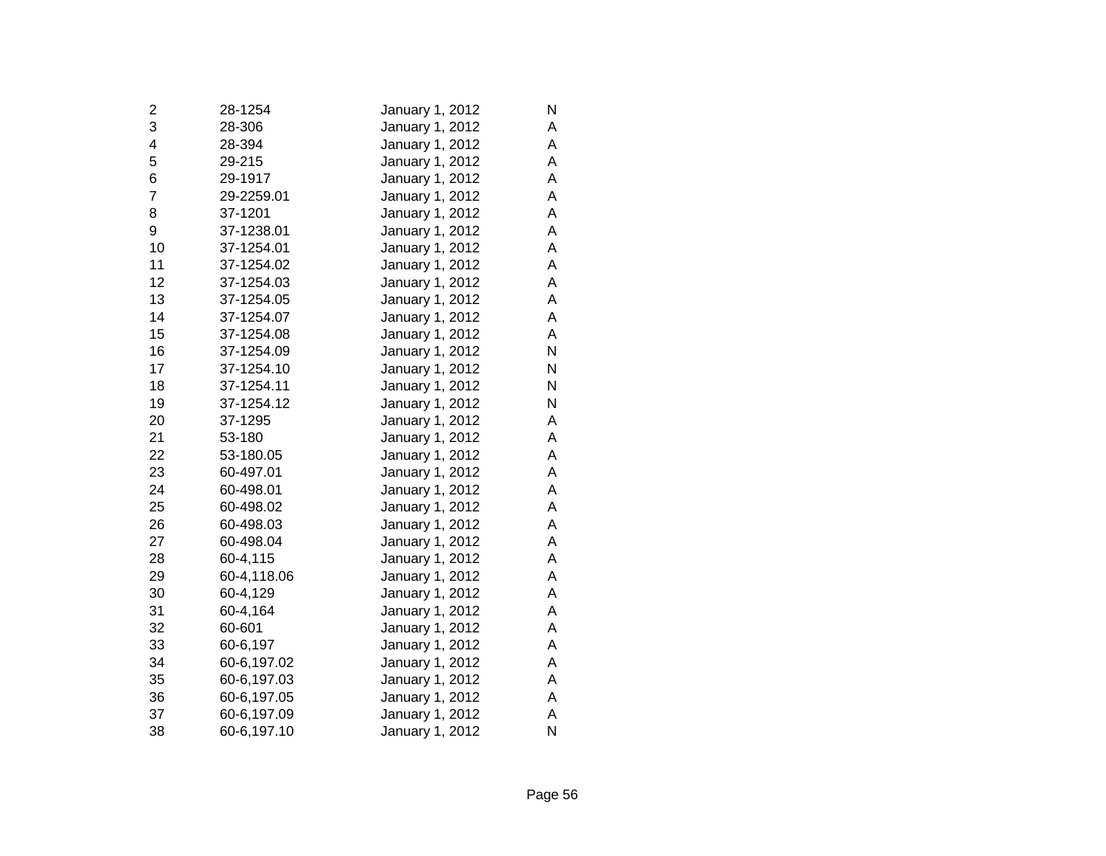| 2              | 28-1254     | January 1, 2012 | N |
|----------------|-------------|-----------------|---|
| 3              | 28-306      | January 1, 2012 | A |
| 4              | 28-394      | January 1, 2012 | A |
| 5              | 29-215      | January 1, 2012 | A |
| 6              | 29-1917     | January 1, 2012 | A |
| $\overline{7}$ | 29-2259.01  | January 1, 2012 | A |
| 8              | 37-1201     | January 1, 2012 | A |
| 9              | 37-1238.01  | January 1, 2012 | A |
| 10             | 37-1254.01  | January 1, 2012 | A |
| 11             | 37-1254.02  | January 1, 2012 | A |
| 12             | 37-1254.03  | January 1, 2012 | А |
| 13             | 37-1254.05  | January 1, 2012 | A |
| 14             | 37-1254.07  | January 1, 2012 | А |
| 15             | 37-1254.08  | January 1, 2012 | A |
| 16             | 37-1254.09  | January 1, 2012 | N |
| 17             | 37-1254.10  | January 1, 2012 | N |
| 18             | 37-1254.11  | January 1, 2012 | N |
| 19             | 37-1254.12  | January 1, 2012 | N |
| 20             | 37-1295     | January 1, 2012 | A |
| 21             | 53-180      | January 1, 2012 | A |
| 22             | 53-180.05   | January 1, 2012 | A |
| 23             | 60-497.01   | January 1, 2012 | A |
| 24             | 60-498.01   | January 1, 2012 | A |
| 25             | 60-498.02   | January 1, 2012 | A |
| 26             | 60-498.03   | January 1, 2012 | A |
| 27             | 60-498.04   | January 1, 2012 | A |
| 28             | 60-4,115    | January 1, 2012 | A |
| 29             | 60-4,118.06 | January 1, 2012 | A |
| 30             | 60-4,129    | January 1, 2012 | Α |
| 31             | 60-4,164    | January 1, 2012 | A |
| 32             | 60-601      | January 1, 2012 | A |
| 33             | 60-6,197    | January 1, 2012 | A |
| 34             | 60-6,197.02 | January 1, 2012 | A |
| 35             | 60-6,197.03 | January 1, 2012 | A |
| 36             | 60-6,197.05 | January 1, 2012 | A |
| 37             | 60-6,197.09 | January 1, 2012 | A |
| 38             | 60-6,197.10 | January 1, 2012 | N |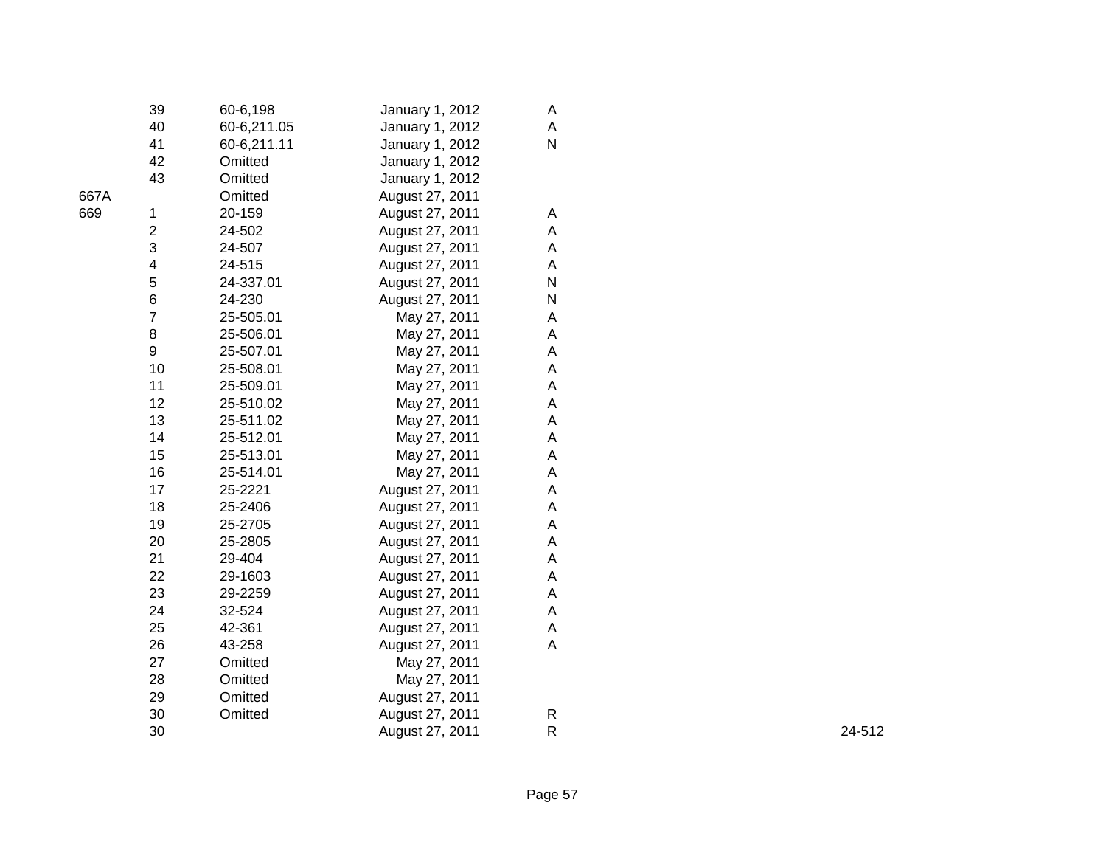|      | 39             | 60-6,198    | January 1, 2012 | A |
|------|----------------|-------------|-----------------|---|
|      | 40             | 60-6,211.05 | January 1, 2012 | A |
|      | 41             | 60-6,211.11 | January 1, 2012 | N |
|      | 42             | Omitted     | January 1, 2012 |   |
|      | 43             | Omitted     | January 1, 2012 |   |
| 667A |                | Omitted     | August 27, 2011 |   |
| 669  | 1              | 20-159      | August 27, 2011 | A |
|      | $\overline{c}$ | 24-502      | August 27, 2011 | A |
|      | 3              | 24-507      | August 27, 2011 | A |
|      | 4              | 24-515      | August 27, 2011 | Α |
|      | 5              | 24-337.01   | August 27, 2011 | N |
|      | 6              | 24-230      | August 27, 2011 | N |
|      | $\overline{7}$ | 25-505.01   | May 27, 2011    | A |
|      | 8              | 25-506.01   | May 27, 2011    | A |
|      | 9              | 25-507.01   | May 27, 2011    | A |
|      | 10             | 25-508.01   | May 27, 2011    | A |
|      | 11             | 25-509.01   | May 27, 2011    | A |
|      | 12             | 25-510.02   | May 27, 2011    | Α |
|      | 13             | 25-511.02   | May 27, 2011    | Α |
|      | 14             | 25-512.01   | May 27, 2011    | A |
|      | 15             | 25-513.01   | May 27, 2011    | A |
|      | 16             | 25-514.01   | May 27, 2011    | A |
|      | 17             | 25-2221     | August 27, 2011 | A |
|      | 18             | 25-2406     | August 27, 2011 | A |
|      | 19             | 25-2705     | August 27, 2011 | A |
|      | 20             | 25-2805     | August 27, 2011 | A |
|      | 21             | 29-404      | August 27, 2011 | Α |
|      | 22             | 29-1603     | August 27, 2011 | A |
|      | 23             | 29-2259     | August 27, 2011 | A |
|      | 24             | 32-524      | August 27, 2011 | A |
|      | 25             | 42-361      | August 27, 2011 | A |
|      | 26             | 43-258      | August 27, 2011 | A |
|      | 27             | Omitted     | May 27, 2011    |   |
|      | 28             | Omitted     | May 27, 2011    |   |
|      | 29             | Omitted     | August 27, 2011 |   |
|      | 30             | Omitted     | August 27, 2011 | R |
|      | 30             |             | August 27, 2011 | R |
|      |                |             |                 |   |

R 24-512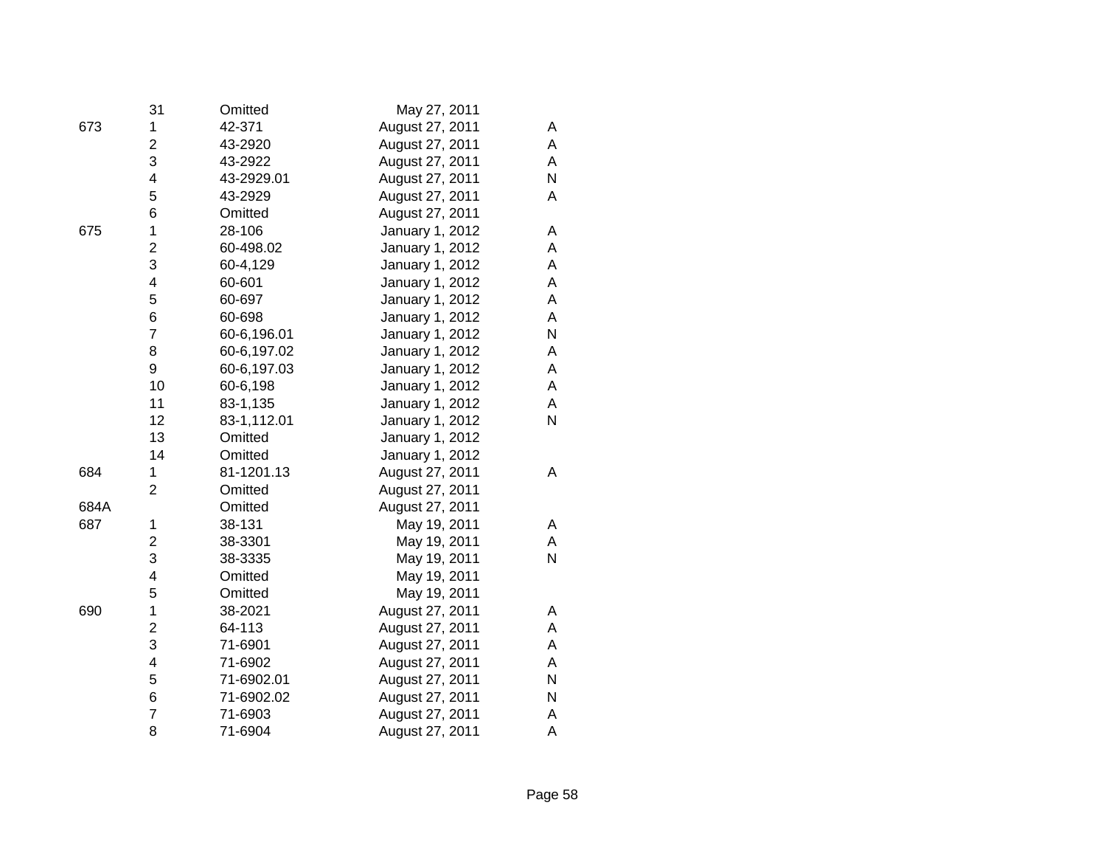|      | 31                      | Omitted     | May 27, 2011    |   |
|------|-------------------------|-------------|-----------------|---|
| 673  | 1                       | 42-371      | August 27, 2011 | A |
|      | $\overline{2}$          | 43-2920     | August 27, 2011 | A |
|      | 3                       | 43-2922     | August 27, 2011 | A |
|      | $\overline{\mathbf{4}}$ | 43-2929.01  | August 27, 2011 | N |
|      | 5                       | 43-2929     | August 27, 2011 | Α |
|      | 6                       | Omitted     | August 27, 2011 |   |
| 675  | 1                       | 28-106      | January 1, 2012 | Α |
|      | $\overline{c}$          | 60-498.02   | January 1, 2012 | A |
|      | 3                       | 60-4,129    | January 1, 2012 | A |
|      | $\overline{\mathbf{4}}$ | 60-601      | January 1, 2012 | Α |
|      | 5                       | 60-697      | January 1, 2012 | A |
|      | 6                       | 60-698      | January 1, 2012 | Α |
|      | $\overline{7}$          | 60-6,196.01 | January 1, 2012 | N |
|      | 8                       | 60-6,197.02 | January 1, 2012 | A |
|      | 9                       | 60-6,197.03 | January 1, 2012 | A |
|      | 10                      | 60-6,198    | January 1, 2012 | A |
|      | 11                      | 83-1,135    | January 1, 2012 | A |
|      | 12                      | 83-1,112.01 | January 1, 2012 | N |
|      | 13                      | Omitted     | January 1, 2012 |   |
|      | 14                      | Omitted     | January 1, 2012 |   |
| 684  | 1                       | 81-1201.13  | August 27, 2011 | Α |
|      | $\overline{2}$          | Omitted     | August 27, 2011 |   |
| 684A |                         | Omitted     | August 27, 2011 |   |
| 687  | 1                       | 38-131      | May 19, 2011    | A |
|      | $\overline{2}$          | 38-3301     | May 19, 2011    | A |
|      | 3                       | 38-3335     | May 19, 2011    | N |
|      | 4                       | Omitted     | May 19, 2011    |   |
|      | 5                       | Omitted     | May 19, 2011    |   |
| 690  | 1                       | 38-2021     | August 27, 2011 | Α |
|      | $\overline{2}$          | 64-113      | August 27, 2011 | A |
|      | 3                       | 71-6901     | August 27, 2011 | A |
|      | 4                       | 71-6902     | August 27, 2011 | A |
|      | 5                       | 71-6902.01  | August 27, 2011 | N |
|      | 6                       | 71-6902.02  | August 27, 2011 | N |
|      | $\overline{7}$          | 71-6903     | August 27, 2011 | А |
|      | 8                       | 71-6904     | August 27, 2011 | A |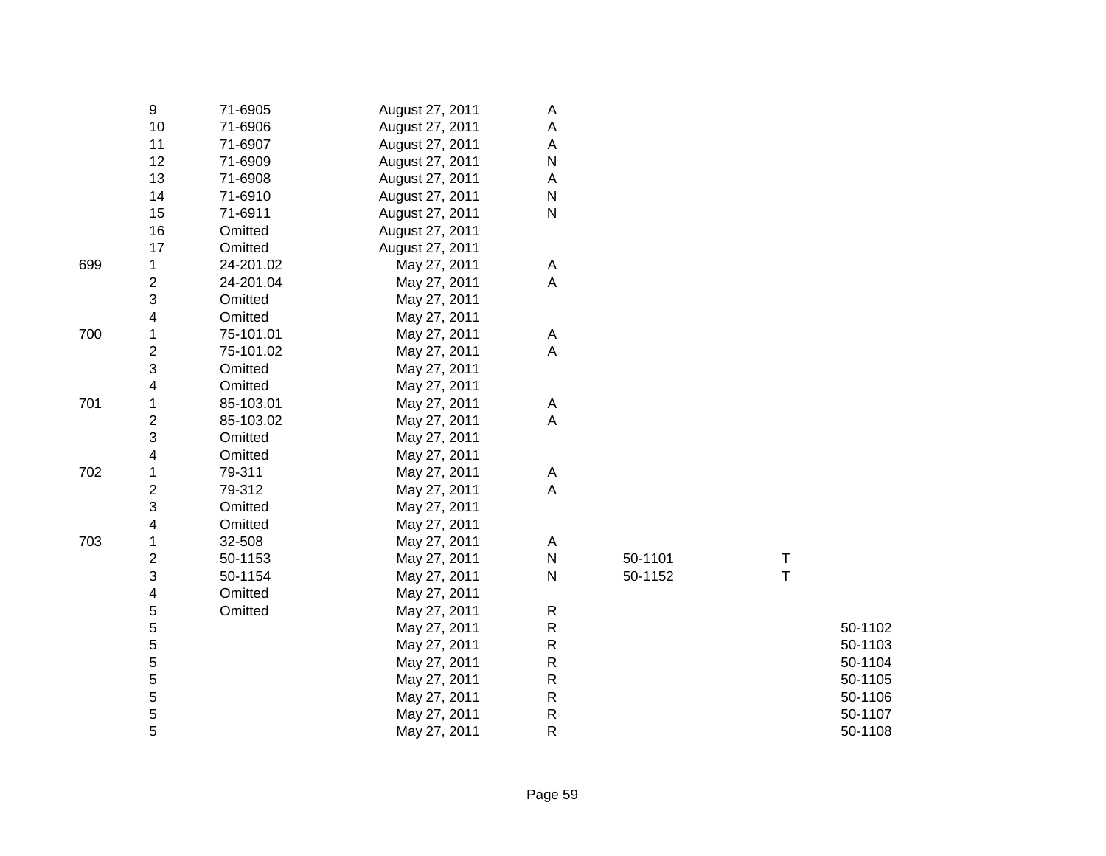|     | 9              | 71-6905   | August 27, 2011 | Α         |         |   |         |
|-----|----------------|-----------|-----------------|-----------|---------|---|---------|
|     | 10             | 71-6906   | August 27, 2011 | А         |         |   |         |
|     | 11             | 71-6907   | August 27, 2011 | А         |         |   |         |
|     | 12             | 71-6909   | August 27, 2011 | N         |         |   |         |
|     | 13             | 71-6908   | August 27, 2011 | Α         |         |   |         |
|     | 14             | 71-6910   | August 27, 2011 | Ν         |         |   |         |
|     | 15             | 71-6911   | August 27, 2011 | ${\sf N}$ |         |   |         |
|     | 16             | Omitted   | August 27, 2011 |           |         |   |         |
|     | 17             | Omitted   | August 27, 2011 |           |         |   |         |
| 699 | 1              | 24-201.02 | May 27, 2011    | Α         |         |   |         |
|     | 2              | 24-201.04 | May 27, 2011    | A         |         |   |         |
|     | 3              | Omitted   | May 27, 2011    |           |         |   |         |
|     | 4              | Omitted   | May 27, 2011    |           |         |   |         |
| 700 | 1              | 75-101.01 | May 27, 2011    | Α         |         |   |         |
|     | 2              | 75-101.02 | May 27, 2011    | A         |         |   |         |
|     | 3              | Omitted   | May 27, 2011    |           |         |   |         |
|     | 4              | Omitted   | May 27, 2011    |           |         |   |         |
| 701 | 1              | 85-103.01 | May 27, 2011    | А         |         |   |         |
|     | $\overline{c}$ | 85-103.02 | May 27, 2011    | A         |         |   |         |
|     | 3              | Omitted   | May 27, 2011    |           |         |   |         |
|     | 4              | Omitted   | May 27, 2011    |           |         |   |         |
| 702 | 1              | 79-311    | May 27, 2011    | А         |         |   |         |
|     | $\overline{c}$ | 79-312    | May 27, 2011    | A         |         |   |         |
|     | 3              | Omitted   | May 27, 2011    |           |         |   |         |
|     | 4              | Omitted   | May 27, 2011    |           |         |   |         |
| 703 | 1              | 32-508    | May 27, 2011    | A         |         |   |         |
|     | 2              | 50-1153   | May 27, 2011    | ${\sf N}$ | 50-1101 | Τ |         |
|     | 3              | 50-1154   | May 27, 2011    | ${\sf N}$ | 50-1152 | T |         |
|     | 4              | Omitted   | May 27, 2011    |           |         |   |         |
|     | 5              | Omitted   | May 27, 2011    | R         |         |   |         |
|     | 5              |           | May 27, 2011    | R         |         |   | 50-1102 |
|     | 5              |           | May 27, 2011    | R         |         |   | 50-1103 |
|     | 5              |           | May 27, 2011    | R         |         |   | 50-1104 |
|     | 5              |           | May 27, 2011    | R         |         |   | 50-1105 |
|     | 5              |           | May 27, 2011    | R         |         |   | 50-1106 |
|     | 5              |           | May 27, 2011    | R         |         |   | 50-1107 |
|     | 5              |           | May 27, 2011    | R         |         |   | 50-1108 |
|     |                |           |                 |           |         |   |         |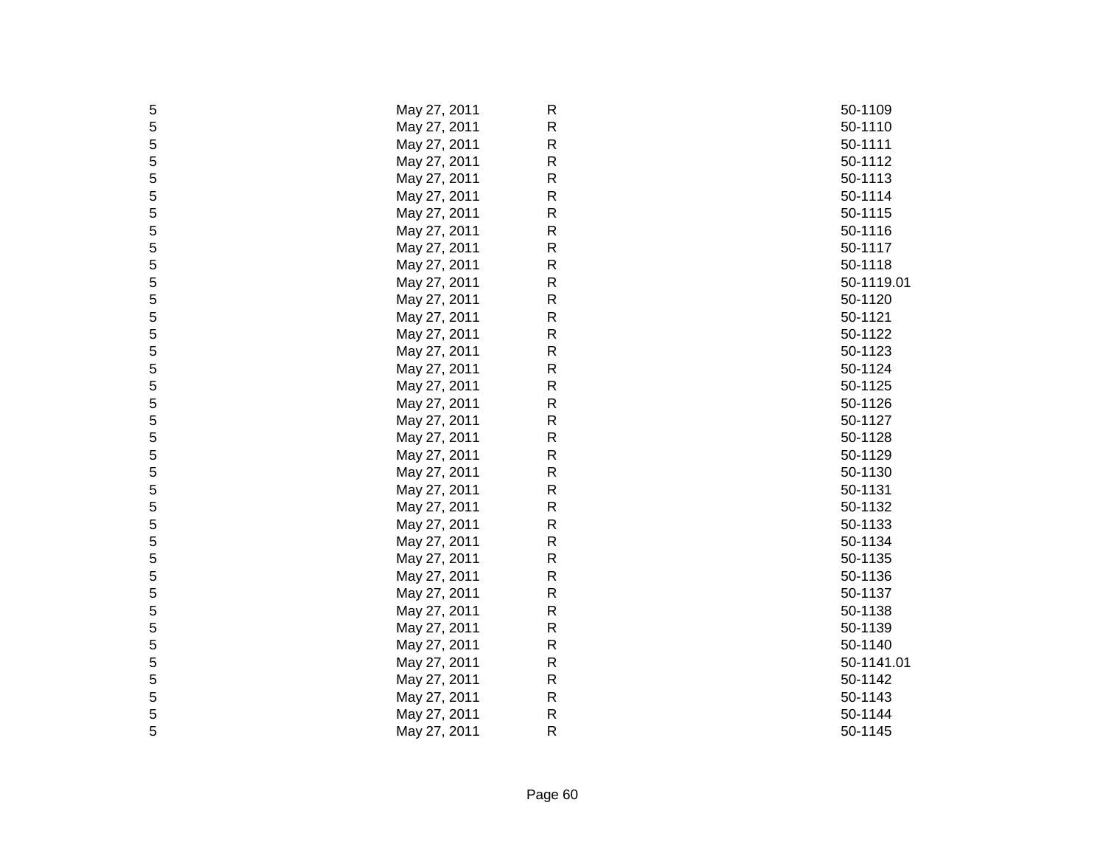| 5 | May 27, 2011 | R | 50-1109    |
|---|--------------|---|------------|
| 5 | May 27, 2011 | R | 50-1110    |
| 5 | May 27, 2011 | R | 50-1111    |
| 5 | May 27, 2011 | R | 50-1112    |
| 5 | May 27, 2011 | R | 50-1113    |
| 5 | May 27, 2011 | R | 50-1114    |
| 5 | May 27, 2011 | R | 50-1115    |
| 5 | May 27, 2011 | R | 50-1116    |
| 5 | May 27, 2011 | R | 50-1117    |
| 5 | May 27, 2011 | R | 50-1118    |
| 5 | May 27, 2011 | R | 50-1119.01 |
| 5 | May 27, 2011 | R | 50-1120    |
| 5 | May 27, 2011 | R | 50-1121    |
| 5 | May 27, 2011 | R | 50-1122    |
| 5 | May 27, 2011 | R | 50-1123    |
| 5 | May 27, 2011 | R | 50-1124    |
| 5 | May 27, 2011 | R | 50-1125    |
| 5 | May 27, 2011 | R | 50-1126    |
| 5 | May 27, 2011 | R | 50-1127    |
| 5 | May 27, 2011 | R | 50-1128    |
| 5 | May 27, 2011 | R | 50-1129    |
| 5 | May 27, 2011 | R | 50-1130    |
| 5 | May 27, 2011 | R | 50-1131    |
| 5 | May 27, 2011 | R | 50-1132    |
| 5 | May 27, 2011 | R | 50-1133    |
| 5 | May 27, 2011 | R | 50-1134    |
| 5 | May 27, 2011 | R | 50-1135    |
| 5 | May 27, 2011 | R | 50-1136    |
| 5 | May 27, 2011 | R | 50-1137    |
| 5 | May 27, 2011 | R | 50-1138    |
| 5 | May 27, 2011 | R | 50-1139    |
| 5 | May 27, 2011 | R | 50-1140    |
| 5 | May 27, 2011 | R | 50-1141.01 |
| 5 | May 27, 2011 | R | 50-1142    |
| 5 | May 27, 2011 | R | 50-1143    |
| 5 | May 27, 2011 | R | 50-1144    |
| 5 | May 27, 2011 | R | 50-1145    |
|   |              |   |            |